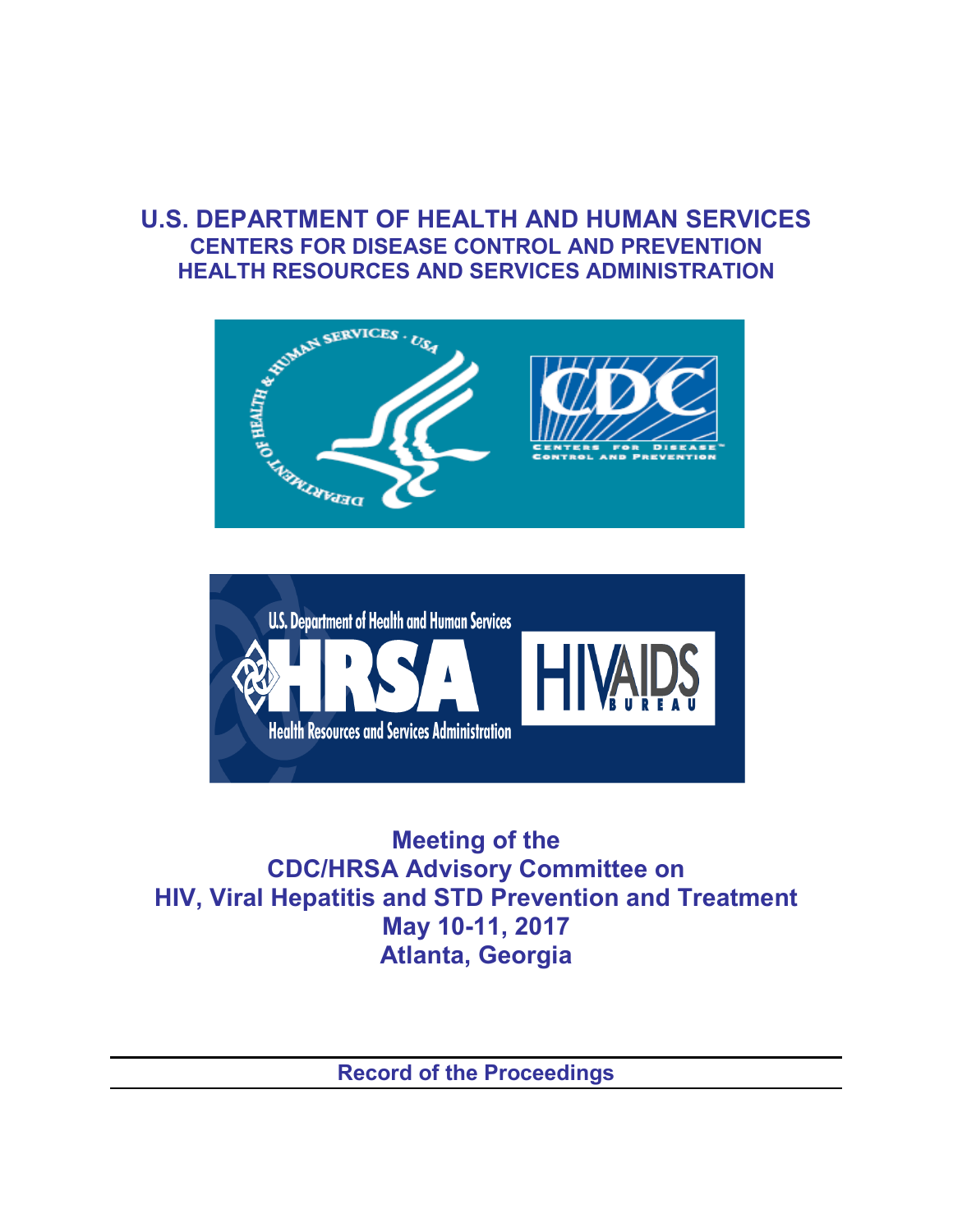## **U.S. DEPARTMENT OF HEALTH AND HUMAN SERVICES CENTERS FOR DISEASE CONTROL AND PREVENTION HEALTH RESOURCES AND SERVICES ADMINISTRATION**





**Meeting of the CDC/HRSA Advisory Committee on HIV, Viral Hepatitis and STD Prevention and Treatment May 10-11, 2017 Atlanta, Georgia**

**Record of the Proceedings**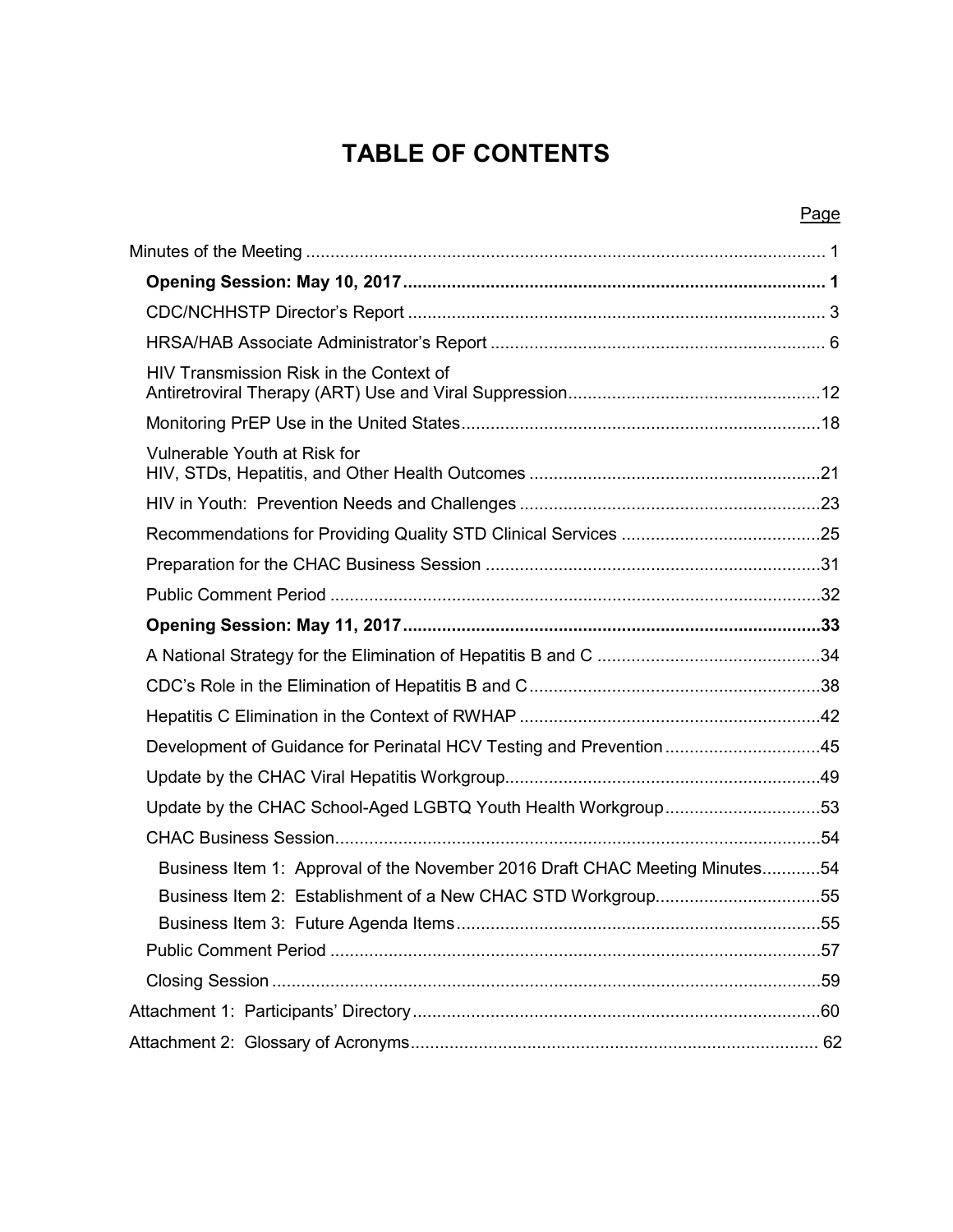# **TABLE OF CONTENTS**

|                                                                             | Page |
|-----------------------------------------------------------------------------|------|
|                                                                             |      |
|                                                                             |      |
|                                                                             |      |
|                                                                             |      |
| HIV Transmission Risk in the Context of                                     |      |
|                                                                             |      |
| Vulnerable Youth at Risk for                                                |      |
|                                                                             |      |
|                                                                             |      |
|                                                                             |      |
|                                                                             |      |
|                                                                             |      |
|                                                                             |      |
|                                                                             |      |
|                                                                             |      |
| Development of Guidance for Perinatal HCV Testing and Prevention45          |      |
|                                                                             |      |
| Update by the CHAC School-Aged LGBTQ Youth Health Workgroup53               |      |
|                                                                             |      |
| Business Item 1: Approval of the November 2016 Draft CHAC Meeting Minutes54 |      |
| Business Item 2: Establishment of a New CHAC STD Workgroup55                |      |
|                                                                             |      |
|                                                                             |      |
|                                                                             |      |
|                                                                             |      |
|                                                                             |      |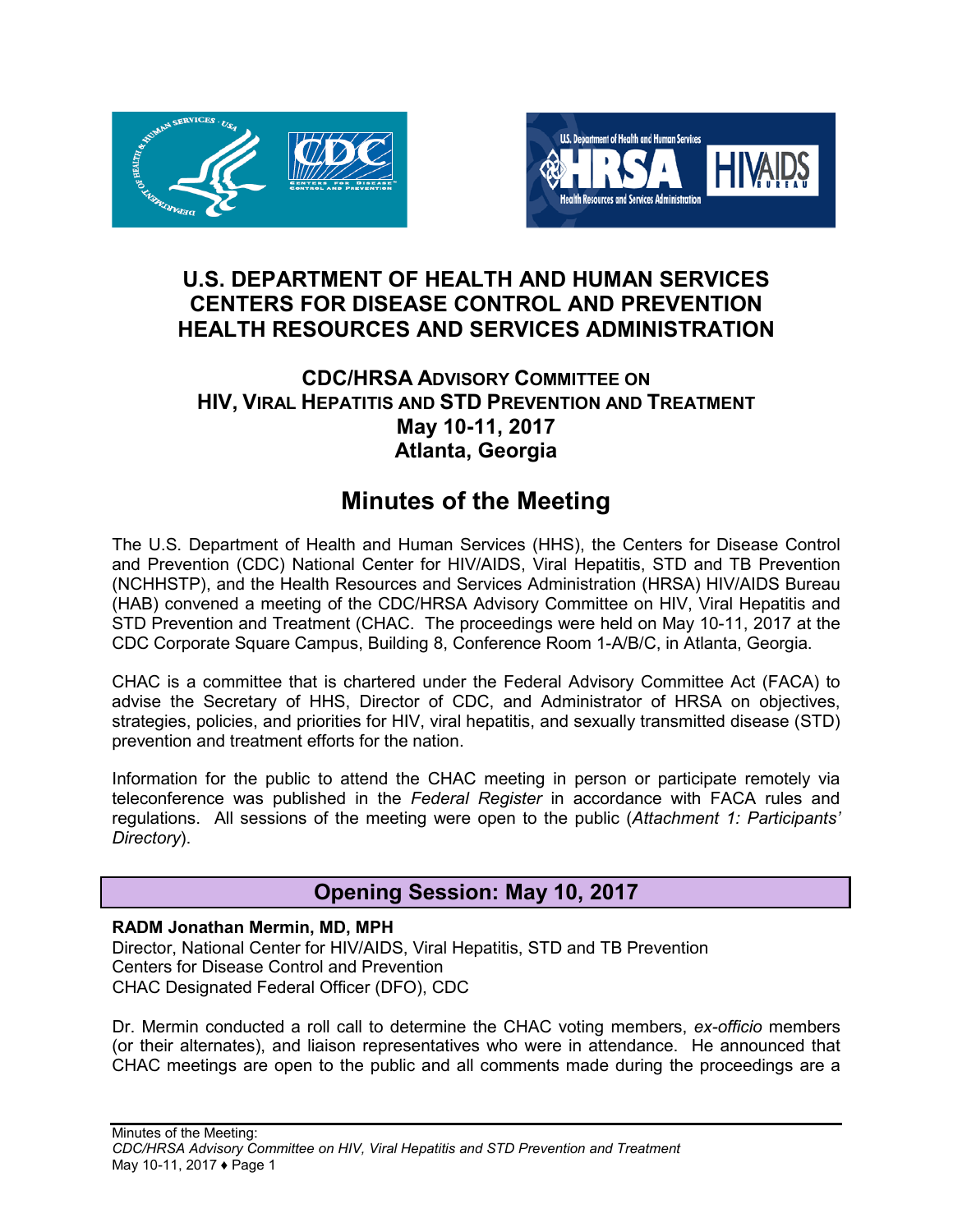



## **U.S. DEPARTMENT OF HEALTH AND HUMAN SERVICES CENTERS FOR DISEASE CONTROL AND PREVENTION HEALTH RESOURCES AND SERVICES ADMINISTRATION**

## **CDC/HRSA ADVISORY COMMITTEE ON HIV, VIRAL HEPATITIS AND STD PREVENTION AND TREATMENT May 10-11, 2017 Atlanta, Georgia**

# **Minutes of the Meeting**

<span id="page-2-0"></span>The U.S. Department of Health and Human Services (HHS), the Centers for Disease Control and Prevention (CDC) National Center for HIV/AIDS, Viral Hepatitis, STD and TB Prevention (NCHHSTP), and the Health Resources and Services Administration (HRSA) HIV/AIDS Bureau (HAB) convened a meeting of the CDC/HRSA Advisory Committee on HIV, Viral Hepatitis and STD Prevention and Treatment (CHAC. The proceedings were held on May 10-11, 2017 at the CDC Corporate Square Campus, Building 8, Conference Room 1-A/B/C, in Atlanta, Georgia.

CHAC is a committee that is chartered under the Federal Advisory Committee Act (FACA) to advise the Secretary of HHS, Director of CDC, and Administrator of HRSA on objectives, strategies, policies, and priorities for HIV, viral hepatitis, and sexually transmitted disease (STD) prevention and treatment efforts for the nation.

Information for the public to attend the CHAC meeting in person or participate remotely via teleconference was published in the *Federal Register* in accordance with FACA rules and regulations. All sessions of the meeting were open to the public (*Attachment 1: Participants' Directory*).

## **Opening Session: May 10, 2017**

## <span id="page-2-1"></span>**RADM Jonathan Mermin, MD, MPH**

Director, National Center for HIV/AIDS, Viral Hepatitis, STD and TB Prevention Centers for Disease Control and Prevention CHAC Designated Federal Officer (DFO), CDC

Dr. Mermin conducted a roll call to determine the CHAC voting members, *ex-officio* members (or their alternates), and liaison representatives who were in attendance. He announced that CHAC meetings are open to the public and all comments made during the proceedings are a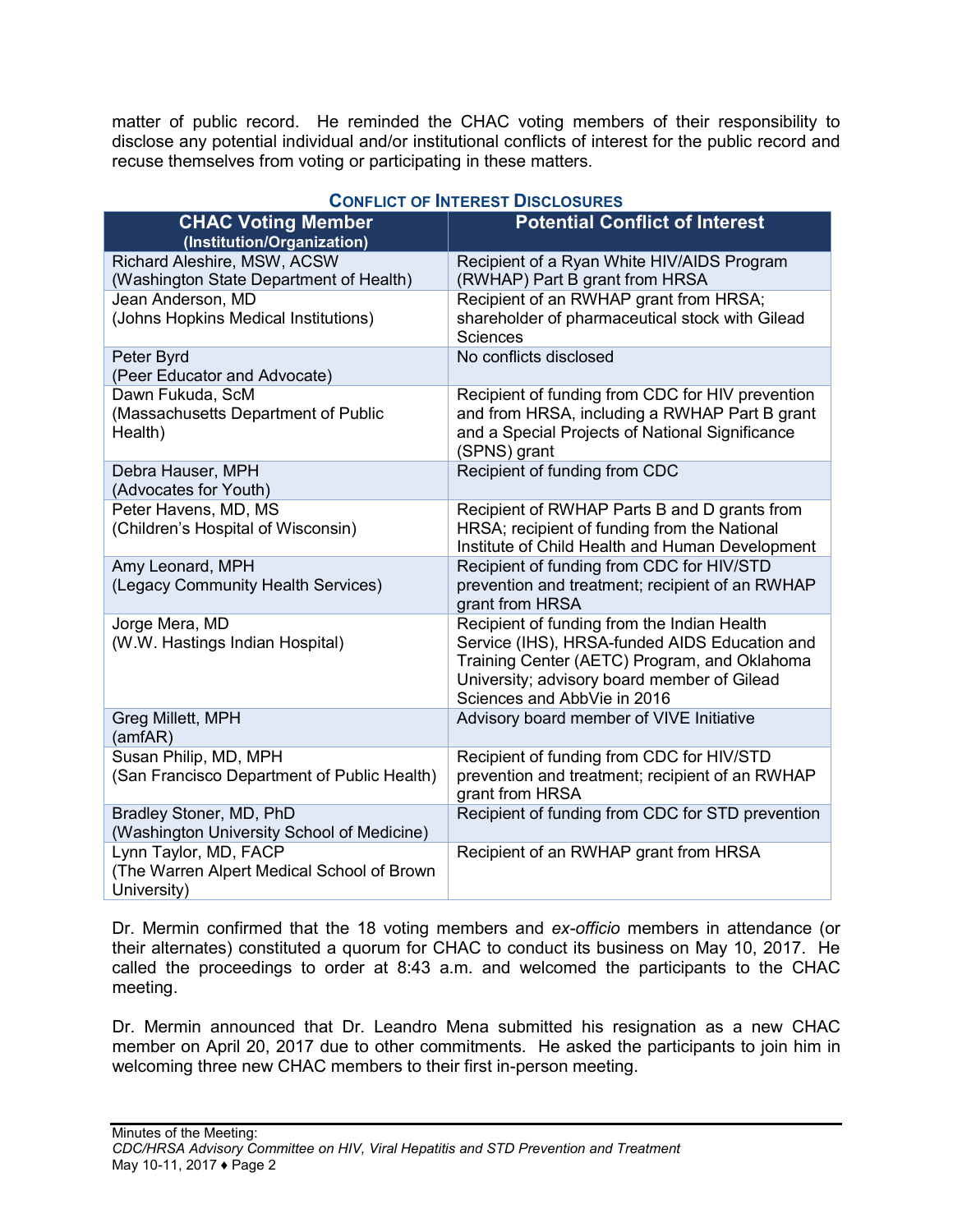matter of public record. He reminded the CHAC voting members of their responsibility to disclose any potential individual and/or institutional conflicts of interest for the public record and recuse themselves from voting or participating in these matters.

| <b>CHAC Voting Member</b><br>(Institution/Organization)                            | <b>Potential Conflict of Interest</b>                                                                                                                                                                                      |
|------------------------------------------------------------------------------------|----------------------------------------------------------------------------------------------------------------------------------------------------------------------------------------------------------------------------|
| Richard Aleshire, MSW, ACSW<br>(Washington State Department of Health)             | Recipient of a Ryan White HIV/AIDS Program<br>(RWHAP) Part B grant from HRSA                                                                                                                                               |
| Jean Anderson, MD<br>(Johns Hopkins Medical Institutions)                          | Recipient of an RWHAP grant from HRSA;<br>shareholder of pharmaceutical stock with Gilead<br><b>Sciences</b>                                                                                                               |
| Peter Byrd<br>(Peer Educator and Advocate)                                         | No conflicts disclosed                                                                                                                                                                                                     |
| Dawn Fukuda, ScM<br>(Massachusetts Department of Public<br>Health)                 | Recipient of funding from CDC for HIV prevention<br>and from HRSA, including a RWHAP Part B grant<br>and a Special Projects of National Significance<br>(SPNS) grant                                                       |
| Debra Hauser, MPH<br>(Advocates for Youth)                                         | Recipient of funding from CDC                                                                                                                                                                                              |
| Peter Havens, MD, MS<br>(Children's Hospital of Wisconsin)                         | Recipient of RWHAP Parts B and D grants from<br>HRSA; recipient of funding from the National<br>Institute of Child Health and Human Development                                                                            |
| Amy Leonard, MPH<br>(Legacy Community Health Services)                             | Recipient of funding from CDC for HIV/STD<br>prevention and treatment; recipient of an RWHAP<br>grant from HRSA                                                                                                            |
| Jorge Mera, MD<br>(W.W. Hastings Indian Hospital)                                  | Recipient of funding from the Indian Health<br>Service (IHS), HRSA-funded AIDS Education and<br>Training Center (AETC) Program, and Oklahoma<br>University; advisory board member of Gilead<br>Sciences and AbbVie in 2016 |
| Greg Millett, MPH<br>(amfAR)                                                       | Advisory board member of VIVE Initiative                                                                                                                                                                                   |
| Susan Philip, MD, MPH<br>(San Francisco Department of Public Health)               | Recipient of funding from CDC for HIV/STD<br>prevention and treatment; recipient of an RWHAP<br>grant from HRSA                                                                                                            |
| Bradley Stoner, MD, PhD<br>(Washington University School of Medicine)              | Recipient of funding from CDC for STD prevention                                                                                                                                                                           |
| Lynn Taylor, MD, FACP<br>(The Warren Alpert Medical School of Brown<br>University) | Recipient of an RWHAP grant from HRSA                                                                                                                                                                                      |

## **CONFLICT OF INTEREST DISCLOSURES**

Dr. Mermin confirmed that the 18 voting members and *ex-officio* members in attendance (or their alternates) constituted a quorum for CHAC to conduct its business on May 10, 2017. He called the proceedings to order at 8:43 a.m. and welcomed the participants to the CHAC meeting.

Dr. Mermin announced that Dr. Leandro Mena submitted his resignation as a new CHAC member on April 20, 2017 due to other commitments. He asked the participants to join him in welcoming three new CHAC members to their first in-person meeting.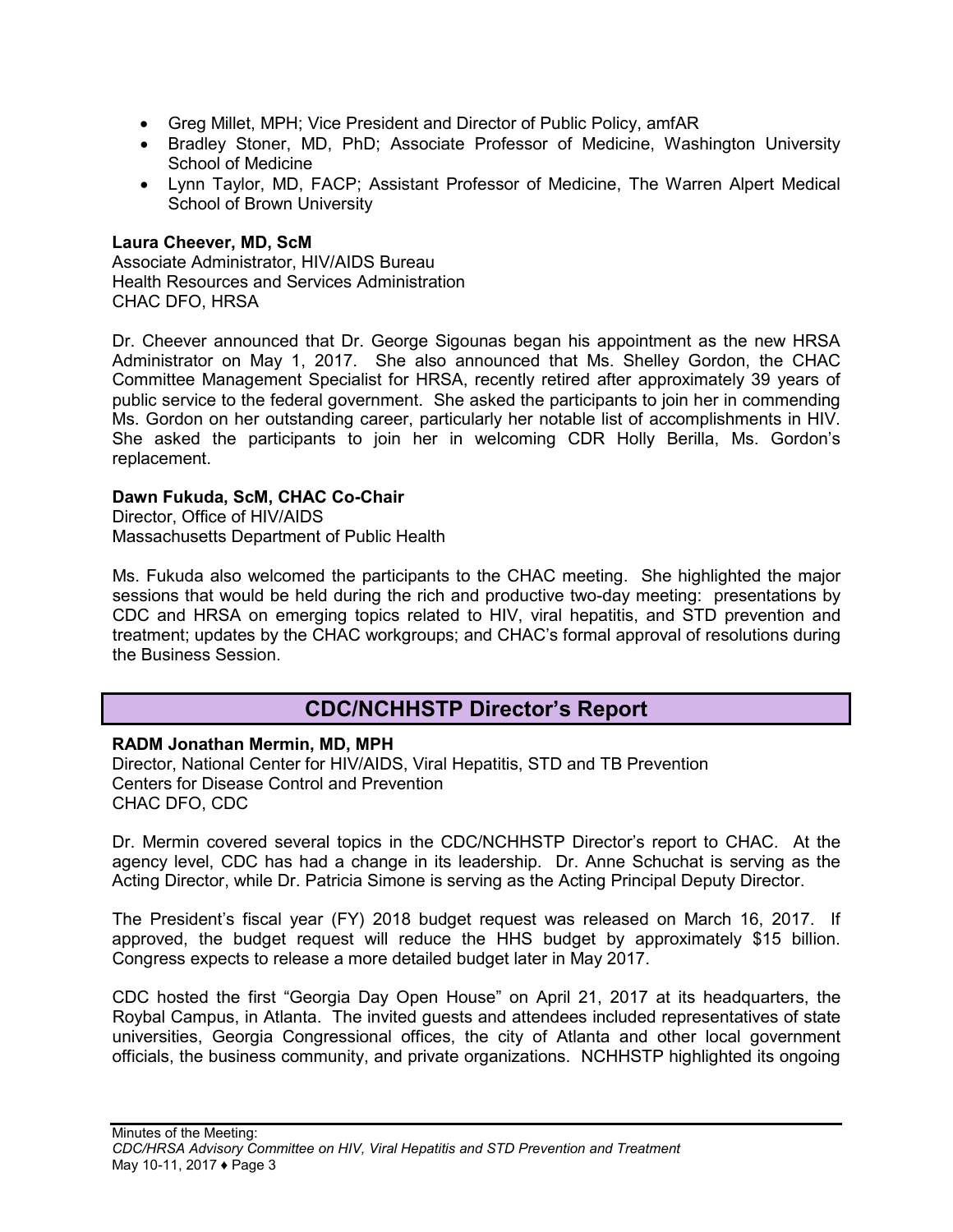- Greg Millet, MPH; Vice President and Director of Public Policy, amfAR
- Bradley Stoner, MD, PhD; Associate Professor of Medicine, Washington University School of Medicine
- Lynn Taylor, MD, FACP; Assistant Professor of Medicine, The Warren Alpert Medical School of Brown University

### **Laura Cheever, MD, ScM**

Associate Administrator, HIV/AIDS Bureau Health Resources and Services Administration CHAC DFO, HRSA

Dr. Cheever announced that Dr. George Sigounas began his appointment as the new HRSA Administrator on May 1, 2017. She also announced that Ms. Shelley Gordon, the CHAC Committee Management Specialist for HRSA, recently retired after approximately 39 years of public service to the federal government. She asked the participants to join her in commending Ms. Gordon on her outstanding career, particularly her notable list of accomplishments in HIV. She asked the participants to join her in welcoming CDR Holly Berilla, Ms. Gordon's replacement.

### **Dawn Fukuda, ScM, CHAC Co-Chair**

Director, Office of HIV/AIDS Massachusetts Department of Public Health

Ms. Fukuda also welcomed the participants to the CHAC meeting. She highlighted the major sessions that would be held during the rich and productive two-day meeting: presentations by CDC and HRSA on emerging topics related to HIV, viral hepatitis, and STD prevention and treatment; updates by the CHAC workgroups; and CHAC's formal approval of resolutions during the Business Session.

## **CDC/NCHHSTP Director's Report**

#### <span id="page-4-0"></span>**RADM Jonathan Mermin, MD, MPH**

Director, National Center for HIV/AIDS, Viral Hepatitis, STD and TB Prevention Centers for Disease Control and Prevention CHAC DFO, CDC

Dr. Mermin covered several topics in the CDC/NCHHSTP Director's report to CHAC. At the agency level, CDC has had a change in its leadership. Dr. Anne Schuchat is serving as the Acting Director, while Dr. Patricia Simone is serving as the Acting Principal Deputy Director.

The President's fiscal year (FY) 2018 budget request was released on March 16, 2017. If approved, the budget request will reduce the HHS budget by approximately \$15 billion. Congress expects to release a more detailed budget later in May 2017.

CDC hosted the first "Georgia Day Open House" on April 21, 2017 at its headquarters, the Roybal Campus, in Atlanta. The invited guests and attendees included representatives of state universities, Georgia Congressional offices, the city of Atlanta and other local government officials, the business community, and private organizations. NCHHSTP highlighted its ongoing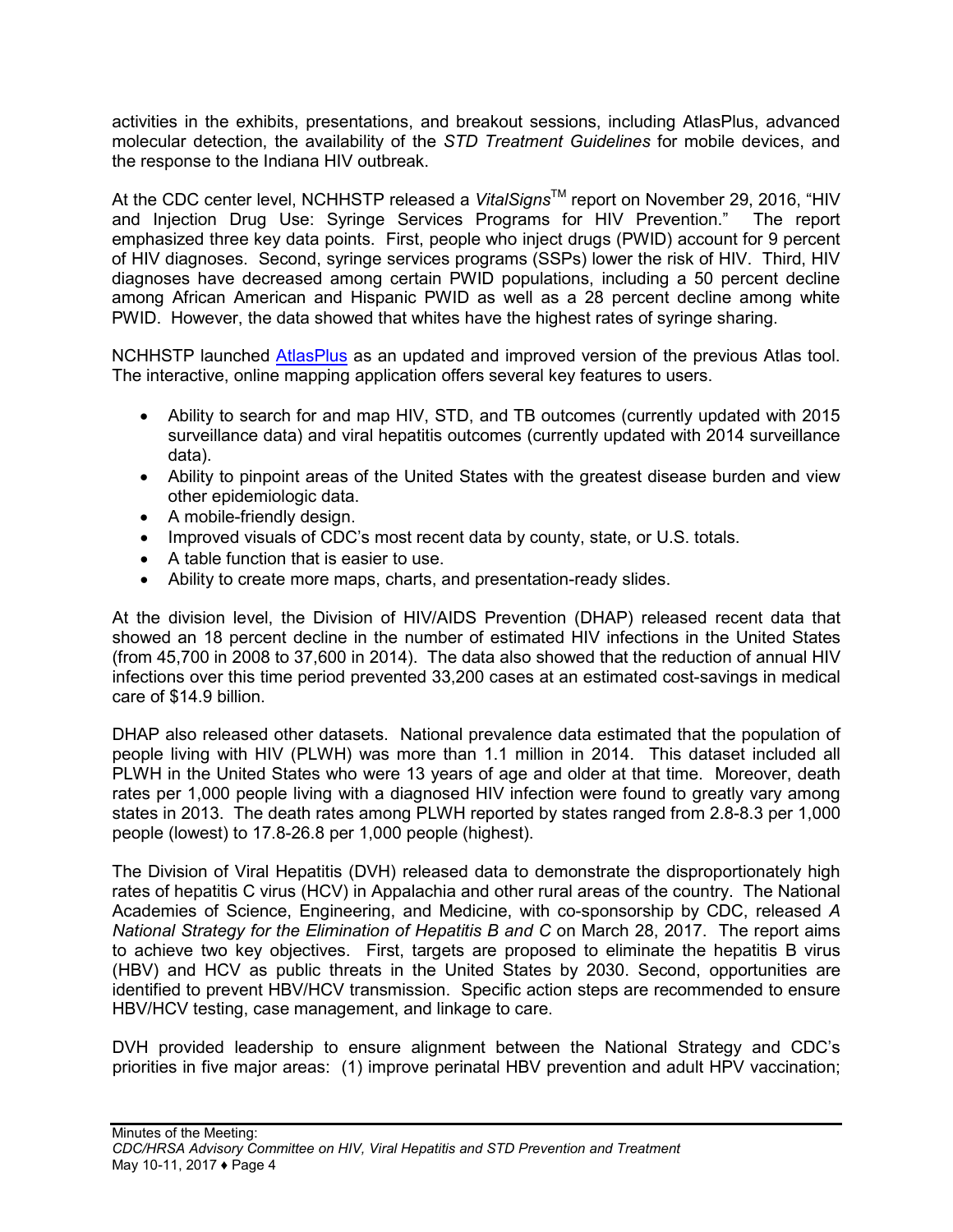activities in the exhibits, presentations, and breakout sessions, including AtlasPlus, advanced molecular detection, the availability of the *STD Treatment Guidelines* for mobile devices, and the response to the Indiana HIV outbreak.

At the CDC center level, NCHHSTP released a *VitalSigns*™ report on November 29, 2016, "HIV and Injection Drug Use: Syringe Services Programs for HIV Prevention." The report emphasized three key data points. First, people who inject drugs (PWID) account for 9 percent of HIV diagnoses. Second, syringe services programs (SSPs) lower the risk of HIV. Third, HIV diagnoses have decreased among certain PWID populations, including a 50 percent decline among African American and Hispanic PWID as well as a 28 percent decline among white PWID. However, the data showed that whites have the highest rates of syringe sharing.

NCHHSTP launched [AtlasPlus](https://www.cdc.gov/nchhstp/atlas/index.htm) as an updated and improved version of the previous Atlas tool. The interactive, online mapping application offers several key features to users.

- Ability to search for and map HIV, STD, and TB outcomes (currently updated with 2015 surveillance data) and viral hepatitis outcomes (currently updated with 2014 surveillance data).
- Ability to pinpoint areas of the United States with the greatest disease burden and view other epidemiologic data.
- A mobile-friendly design.
- Improved visuals of CDC's most recent data by county, state, or U.S. totals.
- A table function that is easier to use.
- Ability to create more maps, charts, and presentation-ready slides.

At the division level, the Division of HIV/AIDS Prevention (DHAP) released recent data that showed an 18 percent decline in the number of estimated HIV infections in the United States (from 45,700 in 2008 to 37,600 in 2014). The data also showed that the reduction of annual HIV infections over this time period prevented 33,200 cases at an estimated cost-savings in medical care of \$14.9 billion.

DHAP also released other datasets. National prevalence data estimated that the population of people living with HIV (PLWH) was more than 1.1 million in 2014. This dataset included all PLWH in the United States who were 13 years of age and older at that time. Moreover, death rates per 1,000 people living with a diagnosed HIV infection were found to greatly vary among states in 2013. The death rates among PLWH reported by states ranged from 2.8-8.3 per 1,000 people (lowest) to 17.8-26.8 per 1,000 people (highest).

The Division of Viral Hepatitis (DVH) released data to demonstrate the disproportionately high rates of hepatitis C virus (HCV) in Appalachia and other rural areas of the country. The National Academies of Science, Engineering, and Medicine, with co-sponsorship by CDC, released *A National Strategy for the Elimination of Hepatitis B and C* on March 28, 2017. The report aims to achieve two key objectives. First, targets are proposed to eliminate the hepatitis B virus (HBV) and HCV as public threats in the United States by 2030. Second, opportunities are identified to prevent HBV/HCV transmission. Specific action steps are recommended to ensure HBV/HCV testing, case management, and linkage to care.

DVH provided leadership to ensure alignment between the National Strategy and CDC's priorities in five major areas: (1) improve perinatal HBV prevention and adult HPV vaccination;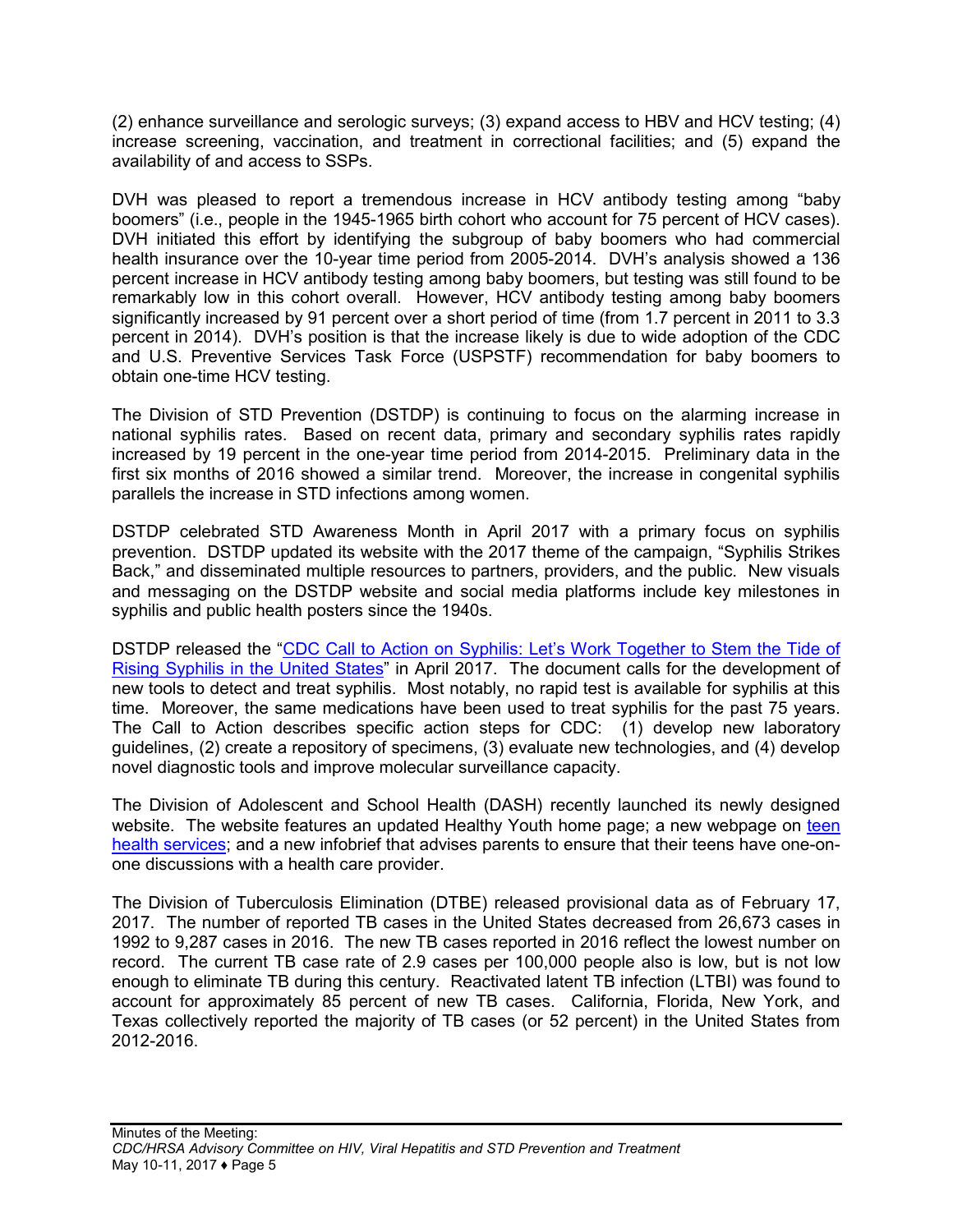(2) enhance surveillance and serologic surveys; (3) expand access to HBV and HCV testing; (4) increase screening, vaccination, and treatment in correctional facilities; and (5) expand the availability of and access to SSPs.

DVH was pleased to report a tremendous increase in HCV antibody testing among "baby boomers" (i.e., people in the 1945-1965 birth cohort who account for 75 percent of HCV cases). DVH initiated this effort by identifying the subgroup of baby boomers who had commercial health insurance over the 10-year time period from 2005-2014. DVH's analysis showed a 136 percent increase in HCV antibody testing among baby boomers, but testing was still found to be remarkably low in this cohort overall. However, HCV antibody testing among baby boomers significantly increased by 91 percent over a short period of time (from 1.7 percent in 2011 to 3.3 percent in 2014). DVH's position is that the increase likely is due to wide adoption of the CDC and U.S. Preventive Services Task Force (USPSTF) recommendation for baby boomers to obtain one-time HCV testing.

The Division of STD Prevention (DSTDP) is continuing to focus on the alarming increase in national syphilis rates. Based on recent data, primary and secondary syphilis rates rapidly increased by 19 percent in the one-year time period from 2014-2015. Preliminary data in the first six months of 2016 showed a similar trend. Moreover, the increase in congenital syphilis parallels the increase in STD infections among women.

DSTDP celebrated STD Awareness Month in April 2017 with a primary focus on syphilis prevention. DSTDP updated its website with the 2017 theme of the campaign, "Syphilis Strikes Back," and disseminated multiple resources to partners, providers, and the public. New visuals and messaging on the DSTDP website and social media platforms include key milestones in syphilis and public health posters since the 1940s.

DSTDP released the "CDC Call to Action on Syphilis: Let's Work [Together](https://www.cdc.gov/std/syphilis/resources.htm) to Stem the Tide of Rising [Syphilis](https://www.cdc.gov/std/syphilis/resources.htm) in the United States" in April 2017. The document calls for the development of new tools to detect and treat syphilis. Most notably, no rapid test is available for syphilis at this time. Moreover, the same medications have been used to treat syphilis for the past 75 years. The Call to Action describes specific action steps for CDC: (1) develop new laboratory guidelines, (2) create a repository of specimens, (3) evaluate new technologies, and (4) develop novel diagnostic tools and improve molecular surveillance capacity.

The Division of Adolescent and School Health (DASH) recently launched its newly designed website. The website features an updated Healthy Youth home page; a new webpage on [teen](https://www.cdc.gov/healthyyouth/healthservices) health [services;](https://www.cdc.gov/healthyyouth/healthservices) and a new infobrief that advises parents to ensure that their teens have one-onone discussions with a health care provider.

The Division of Tuberculosis Elimination (DTBE) released provisional data as of February 17, 2017. The number of reported TB cases in the United States decreased from 26,673 cases in 1992 to 9,287 cases in 2016. The new TB cases reported in 2016 reflect the lowest number on record. The current TB case rate of 2.9 cases per 100,000 people also is low, but is not low enough to eliminate TB during this century. Reactivated latent TB infection (LTBI) was found to account for approximately 85 percent of new TB cases. California, Florida, New York, and Texas collectively reported the majority of TB cases (or 52 percent) in the United States from 2012-2016.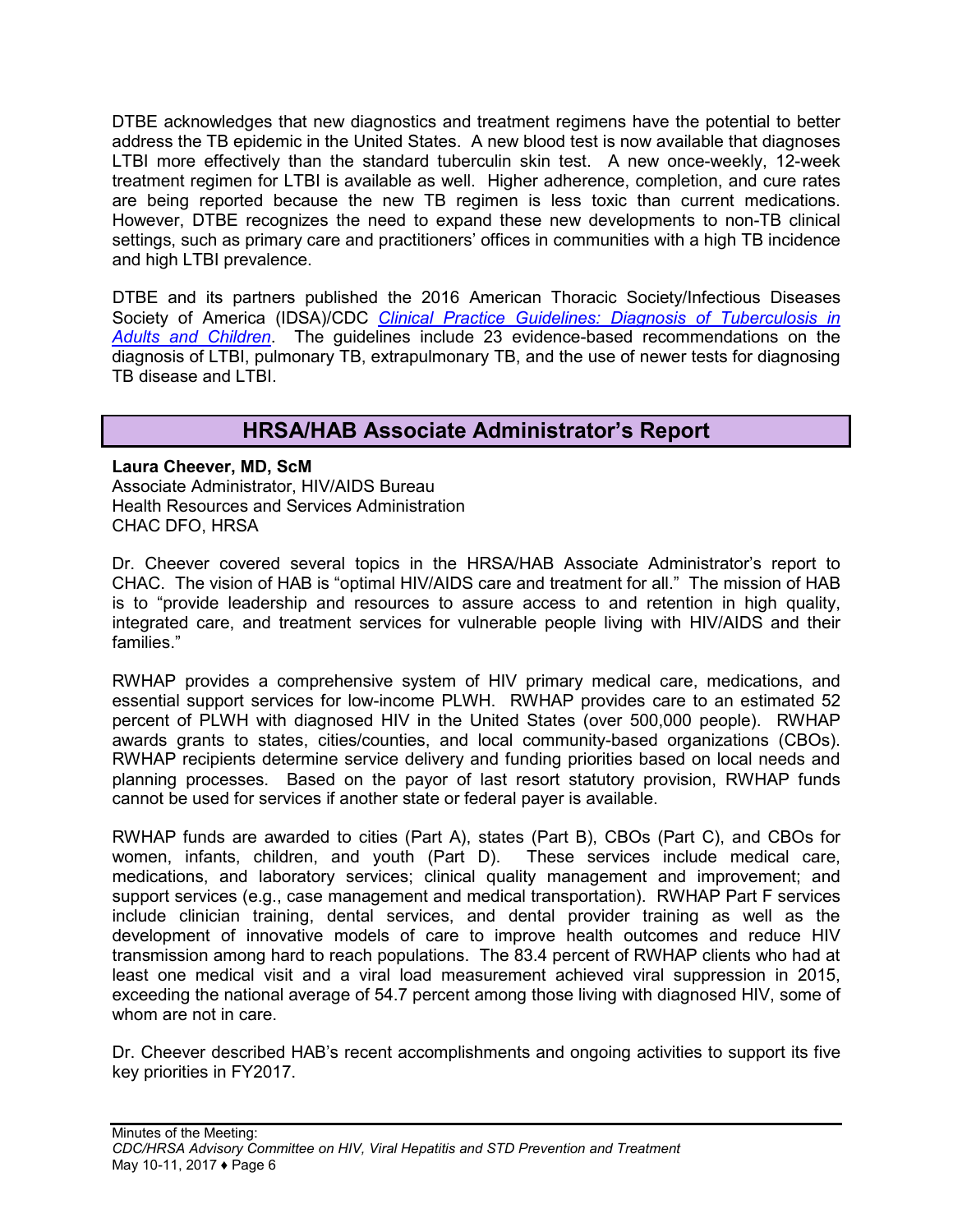DTBE acknowledges that new diagnostics and treatment regimens have the potential to better address the TB epidemic in the United States. A new blood test is now available that diagnoses LTBI more effectively than the standard tuberculin skin test. A new once-weekly, 12-week treatment regimen for LTBI is available as well. Higher adherence, completion, and cure rates are being reported because the new TB regimen is less toxic than current medications. However, DTBE recognizes the need to expand these new developments to non-TB clinical settings, such as primary care and practitioners' offices in communities with a high TB incidence and high LTBI prevalence.

DTBE and its partners published the 2016 American Thoracic Society/Infectious Diseases Society of America (IDSA)/CDC *[Clinical Practice Guidelines:](https://www.cdc.gov/tb/publications/guidelines/pdf/ciw778.pdf) Diagnosis of Tuberculosis in Adults and [Children](https://www.cdc.gov/tb/publications/guidelines/pdf/ciw778.pdf)*. The guidelines include 23 evidence-based recommendations on the diagnosis of LTBI, pulmonary TB, extrapulmonary TB, and the use of newer tests for diagnosing TB disease and LTBI.

## **HRSA/HAB Associate Administrator's Report**

<span id="page-7-0"></span>**Laura Cheever, MD, ScM** Associate Administrator, HIV/AIDS Bureau Health Resources and Services Administration CHAC DFO, HRSA

Dr. Cheever covered several topics in the HRSA/HAB Associate Administrator's report to CHAC. The vision of HAB is "optimal HIV/AIDS care and treatment for all." The mission of HAB is to "provide leadership and resources to assure access to and retention in high quality, integrated care, and treatment services for vulnerable people living with HIV/AIDS and their families."

RWHAP provides a comprehensive system of HIV primary medical care, medications, and essential support services for low-income PLWH. RWHAP provides care to an estimated 52 percent of PLWH with diagnosed HIV in the United States (over 500,000 people). RWHAP awards grants to states, cities/counties, and local community-based organizations (CBOs). RWHAP recipients determine service delivery and funding priorities based on local needs and planning processes. Based on the payor of last resort statutory provision, RWHAP funds cannot be used for services if another state or federal payer is available.

RWHAP funds are awarded to cities (Part A), states (Part B), CBOs (Part C), and CBOs for women, infants, children, and youth (Part D). These services include medical care, medications, and laboratory services; clinical quality management and improvement; and support services (e.g., case management and medical transportation). RWHAP Part F services include clinician training, dental services, and dental provider training as well as the development of innovative models of care to improve health outcomes and reduce HIV transmission among hard to reach populations. The 83.4 percent of RWHAP clients who had at least one medical visit and a viral load measurement achieved viral suppression in 2015, exceeding the national average of 54.7 percent among those living with diagnosed HIV, some of whom are not in care.

Dr. Cheever described HAB's recent accomplishments and ongoing activities to support its five key priorities in FY2017.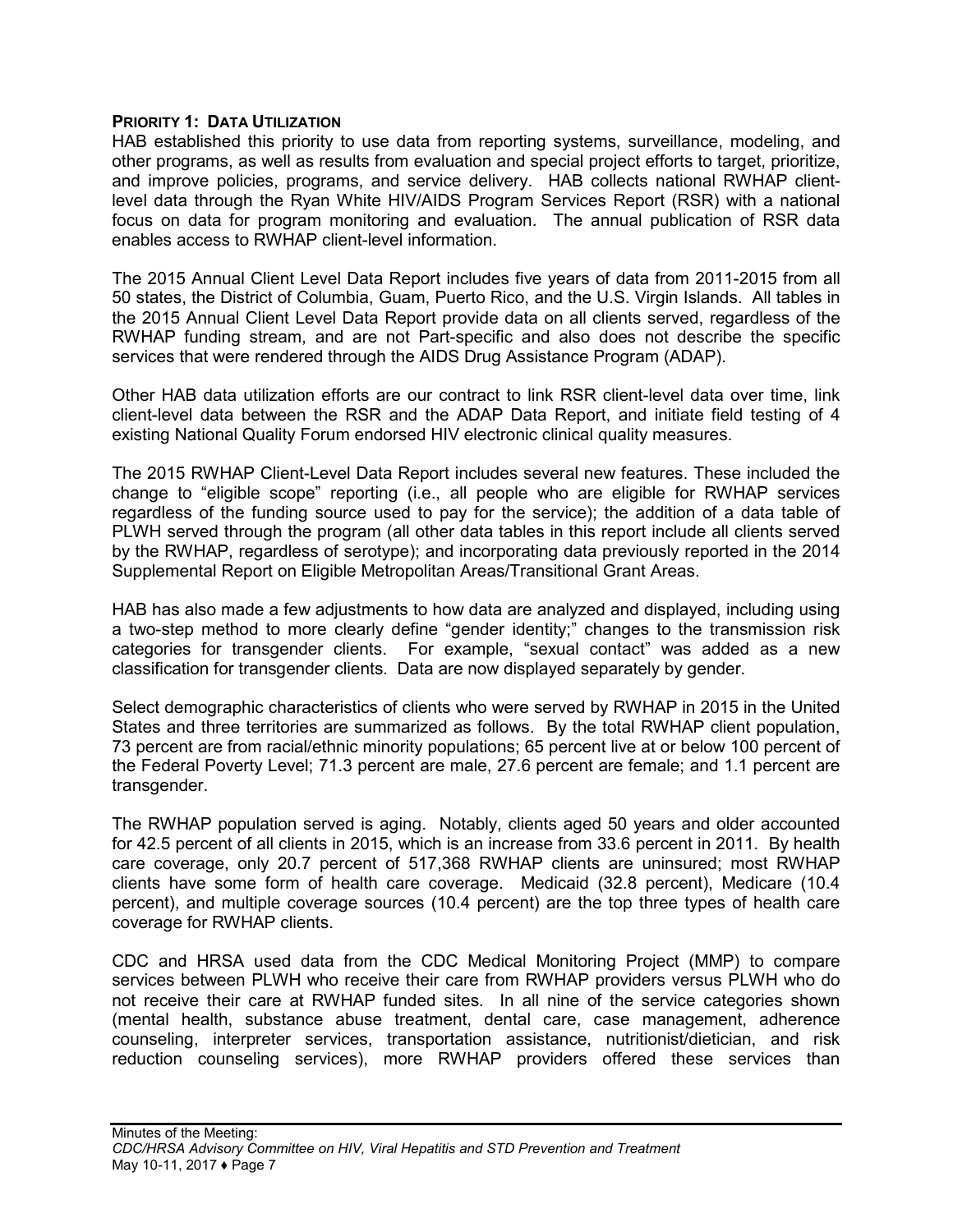#### **PRIORITY 1: DATA UTILIZATION**

HAB established this priority to use data from reporting systems, surveillance, modeling, and other programs, as well as results from evaluation and special project efforts to target, prioritize, and improve policies, programs, and service delivery. HAB collects national RWHAP clientlevel data through the Ryan White HIV/AIDS Program Services Report (RSR) with a national focus on data for program monitoring and evaluation. The annual publication of RSR data enables access to RWHAP client-level information.

The 2015 Annual Client Level Data Report includes five years of data from 2011-2015 from all 50 states, the District of Columbia, Guam, Puerto Rico, and the U.S. Virgin Islands. All tables in the 2015 Annual Client Level Data Report provide data on all clients served, regardless of the RWHAP funding stream, and are not Part-specific and also does not describe the specific services that were rendered through the AIDS Drug Assistance Program (ADAP).

Other HAB data utilization efforts are our contract to link RSR client-level data over time, link client-level data between the RSR and the ADAP Data Report, and initiate field testing of 4 existing National Quality Forum endorsed HIV electronic clinical quality measures.

The 2015 RWHAP Client-Level Data Report includes several new features. These included the change to "eligible scope" reporting (i.e., all people who are eligible for RWHAP services regardless of the funding source used to pay for the service); the addition of a data table of PLWH served through the program (all other data tables in this report include all clients served by the RWHAP, regardless of serotype); and incorporating data previously reported in the 2014 Supplemental Report on Eligible Metropolitan Areas/Transitional Grant Areas.

HAB has also made a few adjustments to how data are analyzed and displayed, including using a two-step method to more clearly define "gender identity;" changes to the transmission risk categories for transgender clients. For example, "sexual contact" was added as a new classification for transgender clients. Data are now displayed separately by gender.

Select demographic characteristics of clients who were served by RWHAP in 2015 in the United States and three territories are summarized as follows. By the total RWHAP client population, 73 percent are from racial/ethnic minority populations; 65 percent live at or below 100 percent of the Federal Poverty Level; 71.3 percent are male, 27.6 percent are female; and 1.1 percent are transgender.

The RWHAP population served is aging. Notably, clients aged 50 years and older accounted for 42.5 percent of all clients in 2015, which is an increase from 33.6 percent in 2011. By health care coverage, only 20.7 percent of 517,368 RWHAP clients are uninsured; most RWHAP clients have some form of health care coverage. Medicaid (32.8 percent), Medicare (10.4 percent), and multiple coverage sources (10.4 percent) are the top three types of health care coverage for RWHAP clients.

CDC and HRSA used data from the CDC Medical Monitoring Project (MMP) to compare services between PLWH who receive their care from RWHAP providers versus PLWH who do not receive their care at RWHAP funded sites. In all nine of the service categories shown (mental health, substance abuse treatment, dental care, case management, adherence counseling, interpreter services, transportation assistance, nutritionist/dietician, and risk reduction counseling services), more RWHAP providers offered these services than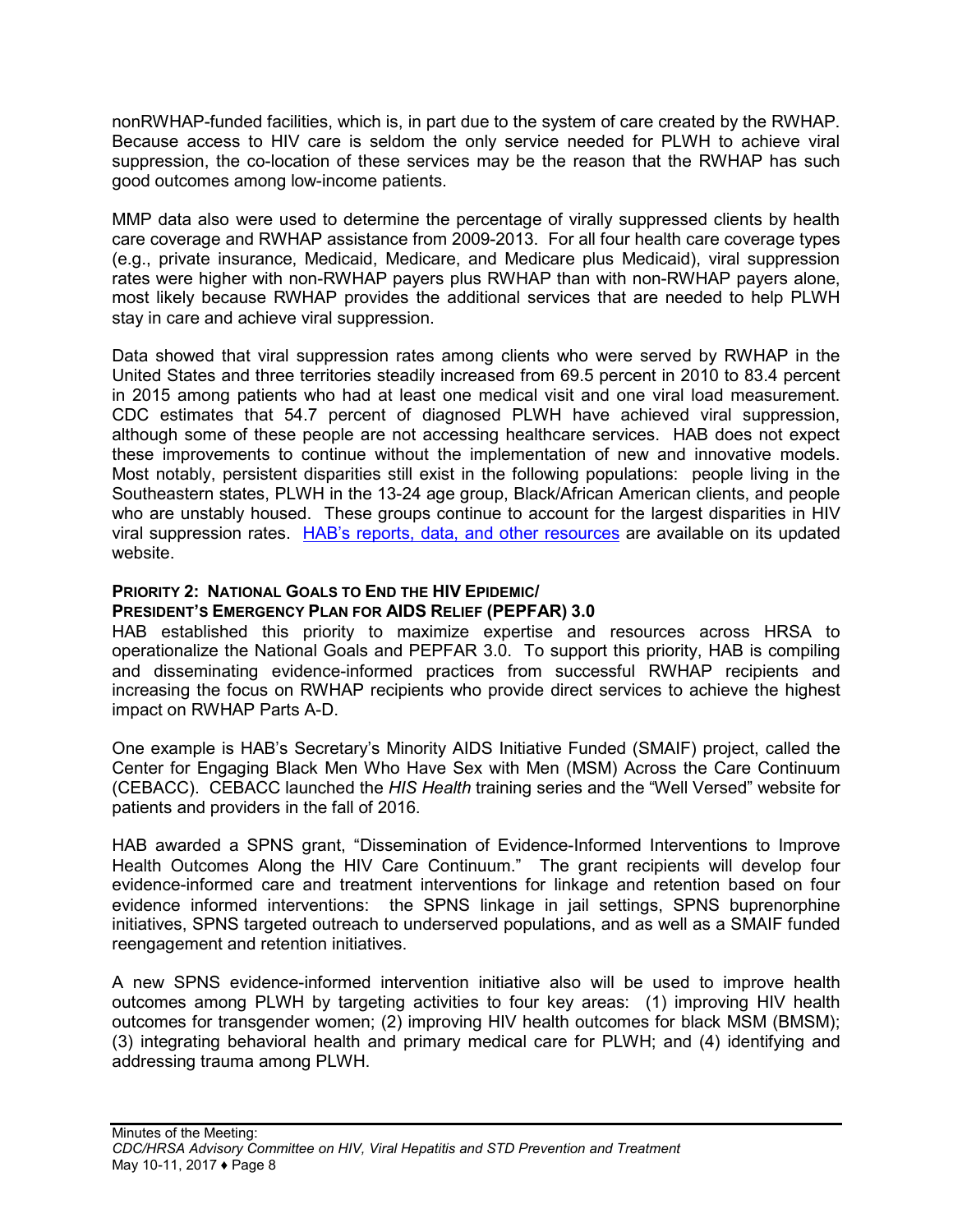nonRWHAP-funded facilities, which is, in part due to the system of care created by the RWHAP. Because access to HIV care is seldom the only service needed for PLWH to achieve viral suppression, the co-location of these services may be the reason that the RWHAP has such good outcomes among low-income patients.

MMP data also were used to determine the percentage of virally suppressed clients by health care coverage and RWHAP assistance from 2009-2013. For all four health care coverage types (e.g., private insurance, Medicaid, Medicare, and Medicare plus Medicaid), viral suppression rates were higher with non-RWHAP payers plus RWHAP than with non-RWHAP payers alone, most likely because RWHAP provides the additional services that are needed to help PLWH stay in care and achieve viral suppression.

Data showed that viral suppression rates among clients who were served by RWHAP in the United States and three territories steadily increased from 69.5 percent in 2010 to 83.4 percent in 2015 among patients who had at least one medical visit and one viral load measurement. CDC estimates that 54.7 percent of diagnosed PLWH have achieved viral suppression, although some of these people are not accessing healthcare services. HAB does not expect these improvements to continue without the implementation of new and innovative models. Most notably, persistent disparities still exist in the following populations: people living in the Southeastern states, PLWH in the 13-24 age group, Black/African American clients, and people who are unstably housed. These groups continue to account for the largest disparities in HIV viral suppression rates. [HAB's reports, data, and other resources](https://hab.hrsa.gov/data) are available on its updated website.

#### **PRIORITY 2: NATIONAL GOALS TO END THE HIV EPIDEMIC/ PRESIDENT'S EMERGENCY PLAN FOR AIDS RELIEF (PEPFAR) 3.0**

HAB established this priority to maximize expertise and resources across HRSA to operationalize the National Goals and PEPFAR 3.0. To support this priority, HAB is compiling and disseminating evidence-informed practices from successful RWHAP recipients and increasing the focus on RWHAP recipients who provide direct services to achieve the highest impact on RWHAP Parts A-D.

One example is HAB's Secretary's Minority AIDS Initiative Funded (SMAIF) project, called the Center for Engaging Black Men Who Have Sex with Men (MSM) Across the Care Continuum (CEBACC). CEBACC launched the *HIS Health* training series and the "Well Versed" website for patients and providers in the fall of 2016.

HAB awarded a SPNS grant, "Dissemination of Evidence-Informed Interventions to Improve Health Outcomes Along the HIV Care Continuum." The grant recipients will develop four evidence-informed care and treatment interventions for linkage and retention based on four evidence informed interventions: the SPNS linkage in jail settings, SPNS buprenorphine initiatives, SPNS targeted outreach to underserved populations, and as well as a SMAIF funded reengagement and retention initiatives.

A new SPNS evidence-informed intervention initiative also will be used to improve health outcomes among PLWH by targeting activities to four key areas: (1) improving HIV health outcomes for transgender women; (2) improving HIV health outcomes for black MSM (BMSM); (3) integrating behavioral health and primary medical care for PLWH; and (4) identifying and addressing trauma among PLWH.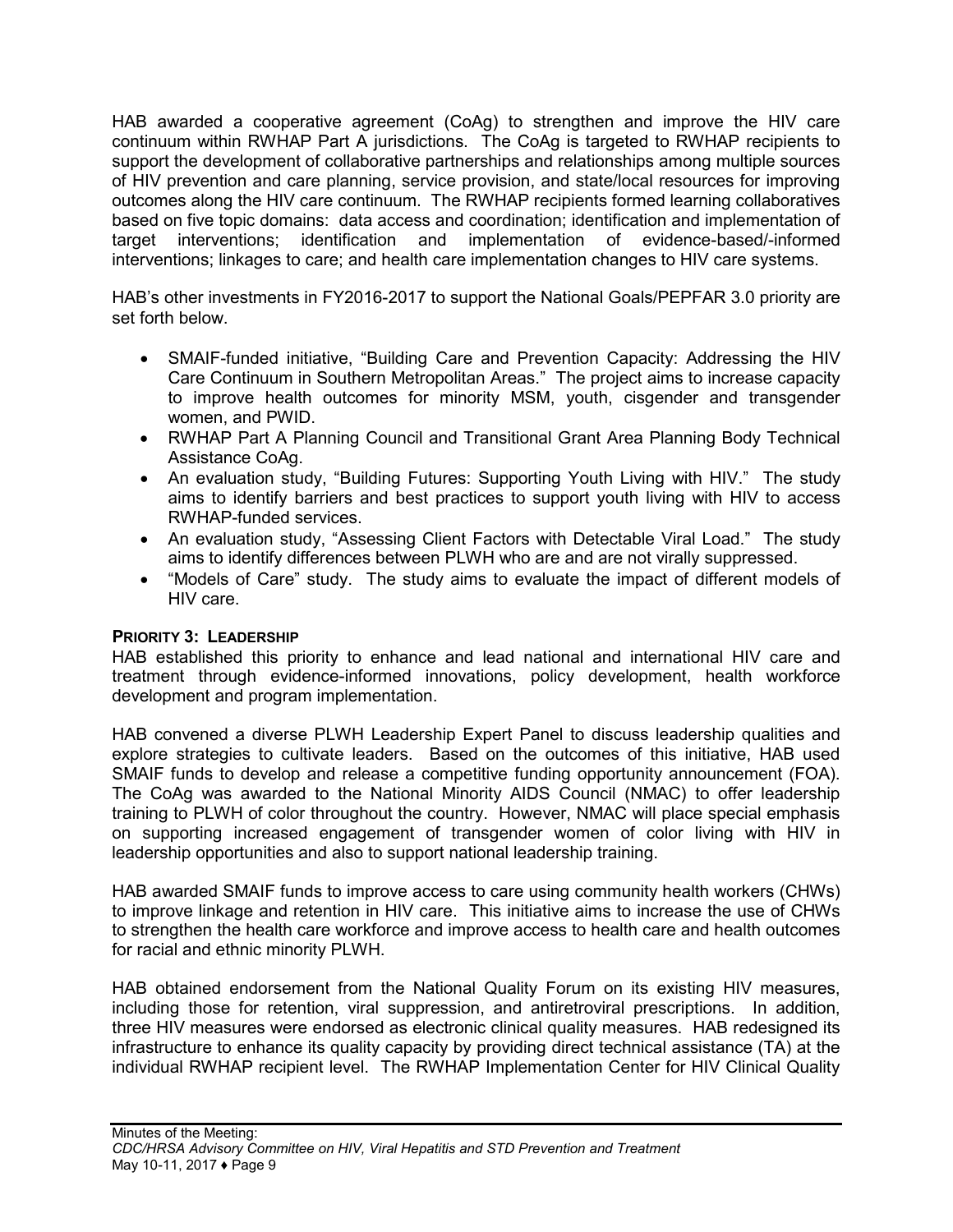HAB awarded a cooperative agreement (CoAg) to strengthen and improve the HIV care continuum within RWHAP Part A jurisdictions. The CoAg is targeted to RWHAP recipients to support the development of collaborative partnerships and relationships among multiple sources of HIV prevention and care planning, service provision, and state/local resources for improving outcomes along the HIV care continuum. The RWHAP recipients formed learning collaboratives based on five topic domains: data access and coordination; identification and implementation of target interventions; identification and implementation of evidence-based/-informed interventions; linkages to care; and health care implementation changes to HIV care systems.

HAB's other investments in FY2016-2017 to support the National Goals/PEPFAR 3.0 priority are set forth below.

- SMAIF-funded initiative, "Building Care and Prevention Capacity: Addressing the HIV Care Continuum in Southern Metropolitan Areas." The project aims to increase capacity to improve health outcomes for minority MSM, youth, cisgender and transgender women, and PWID.
- RWHAP Part A Planning Council and Transitional Grant Area Planning Body Technical Assistance CoAg.
- An evaluation study, "Building Futures: Supporting Youth Living with HIV." The study aims to identify barriers and best practices to support youth living with HIV to access RWHAP-funded services.
- An evaluation study, "Assessing Client Factors with Detectable Viral Load." The study aims to identify differences between PLWH who are and are not virally suppressed.
- "Models of Care" study. The study aims to evaluate the impact of different models of HIV care.

## **PRIORITY 3: LEADERSHIP**

HAB established this priority to enhance and lead national and international HIV care and treatment through evidence-informed innovations, policy development, health workforce development and program implementation.

HAB convened a diverse PLWH Leadership Expert Panel to discuss leadership qualities and explore strategies to cultivate leaders. Based on the outcomes of this initiative, HAB used SMAIF funds to develop and release a competitive funding opportunity announcement (FOA). The CoAg was awarded to the National Minority AIDS Council (NMAC) to offer leadership training to PLWH of color throughout the country. However, NMAC will place special emphasis on supporting increased engagement of transgender women of color living with HIV in leadership opportunities and also to support national leadership training.

HAB awarded SMAIF funds to improve access to care using community health workers (CHWs) to improve linkage and retention in HIV care. This initiative aims to increase the use of CHWs to strengthen the health care workforce and improve access to health care and health outcomes for racial and ethnic minority PLWH.

HAB obtained endorsement from the National Quality Forum on its existing HIV measures, including those for retention, viral suppression, and antiretroviral prescriptions. In addition, three HIV measures were endorsed as electronic clinical quality measures. HAB redesigned its infrastructure to enhance its quality capacity by providing direct technical assistance (TA) at the individual RWHAP recipient level. The RWHAP Implementation Center for HIV Clinical Quality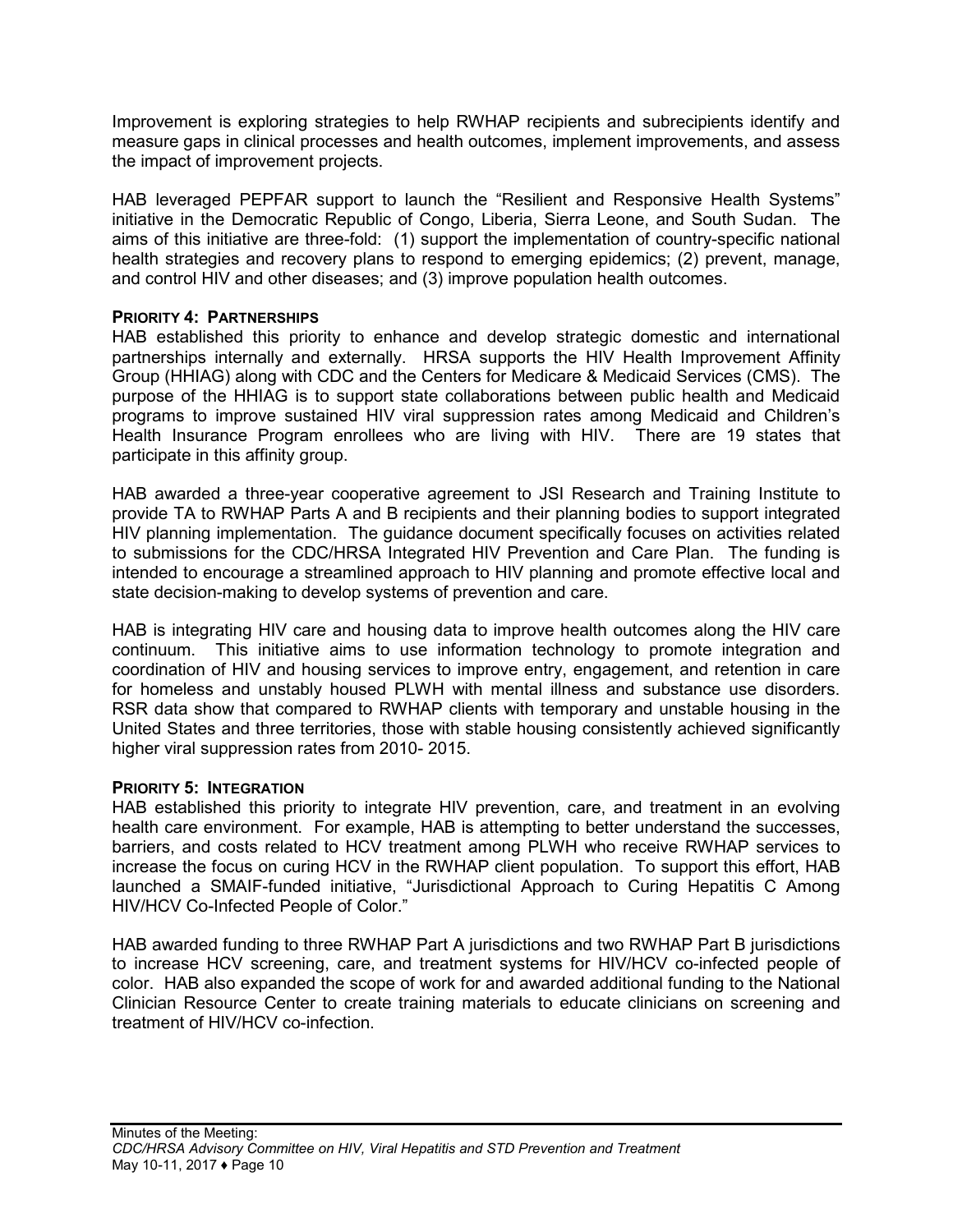Improvement is exploring strategies to help RWHAP recipients and subrecipients identify and measure gaps in clinical processes and health outcomes, implement improvements, and assess the impact of improvement projects.

HAB leveraged PEPFAR support to launch the "Resilient and Responsive Health Systems" initiative in the Democratic Republic of Congo, Liberia, Sierra Leone, and South Sudan. The aims of this initiative are three-fold: (1) support the implementation of country-specific national health strategies and recovery plans to respond to emerging epidemics; (2) prevent, manage, and control HIV and other diseases; and (3) improve population health outcomes.

#### **PRIORITY 4: PARTNERSHIPS**

HAB established this priority to enhance and develop strategic domestic and international partnerships internally and externally. HRSA supports the HIV Health Improvement Affinity Group (HHIAG) along with CDC and the Centers for Medicare & Medicaid Services (CMS). The purpose of the HHIAG is to support state collaborations between public health and Medicaid programs to improve sustained HIV viral suppression rates among Medicaid and Children's Health Insurance Program enrollees who are living with HIV. There are 19 states that participate in this affinity group.

HAB awarded a three-year cooperative agreement to JSI Research and Training Institute to provide TA to RWHAP Parts A and B recipients and their planning bodies to support integrated HIV planning implementation. The guidance document specifically focuses on activities related to submissions for the CDC/HRSA Integrated HIV Prevention and Care Plan. The funding is intended to encourage a streamlined approach to HIV planning and promote effective local and state decision-making to develop systems of prevention and care.

HAB is integrating HIV care and housing data to improve health outcomes along the HIV care continuum. This initiative aims to use information technology to promote integration and coordination of HIV and housing services to improve entry, engagement, and retention in care for homeless and unstably housed PLWH with mental illness and substance use disorders. RSR data show that compared to RWHAP clients with temporary and unstable housing in the United States and three territories, those with stable housing consistently achieved significantly higher viral suppression rates from 2010- 2015.

#### **PRIORITY 5: INTEGRATION**

HAB established this priority to integrate HIV prevention, care, and treatment in an evolving health care environment. For example, HAB is attempting to better understand the successes, barriers, and costs related to HCV treatment among PLWH who receive RWHAP services to increase the focus on curing HCV in the RWHAP client population. To support this effort, HAB launched a SMAIF-funded initiative, "Jurisdictional Approach to Curing Hepatitis C Among HIV/HCV Co-Infected People of Color."

HAB awarded funding to three RWHAP Part A jurisdictions and two RWHAP Part B jurisdictions to increase HCV screening, care, and treatment systems for HIV/HCV co-infected people of color. HAB also expanded the scope of work for and awarded additional funding to the National Clinician Resource Center to create training materials to educate clinicians on screening and treatment of HIV/HCV co-infection.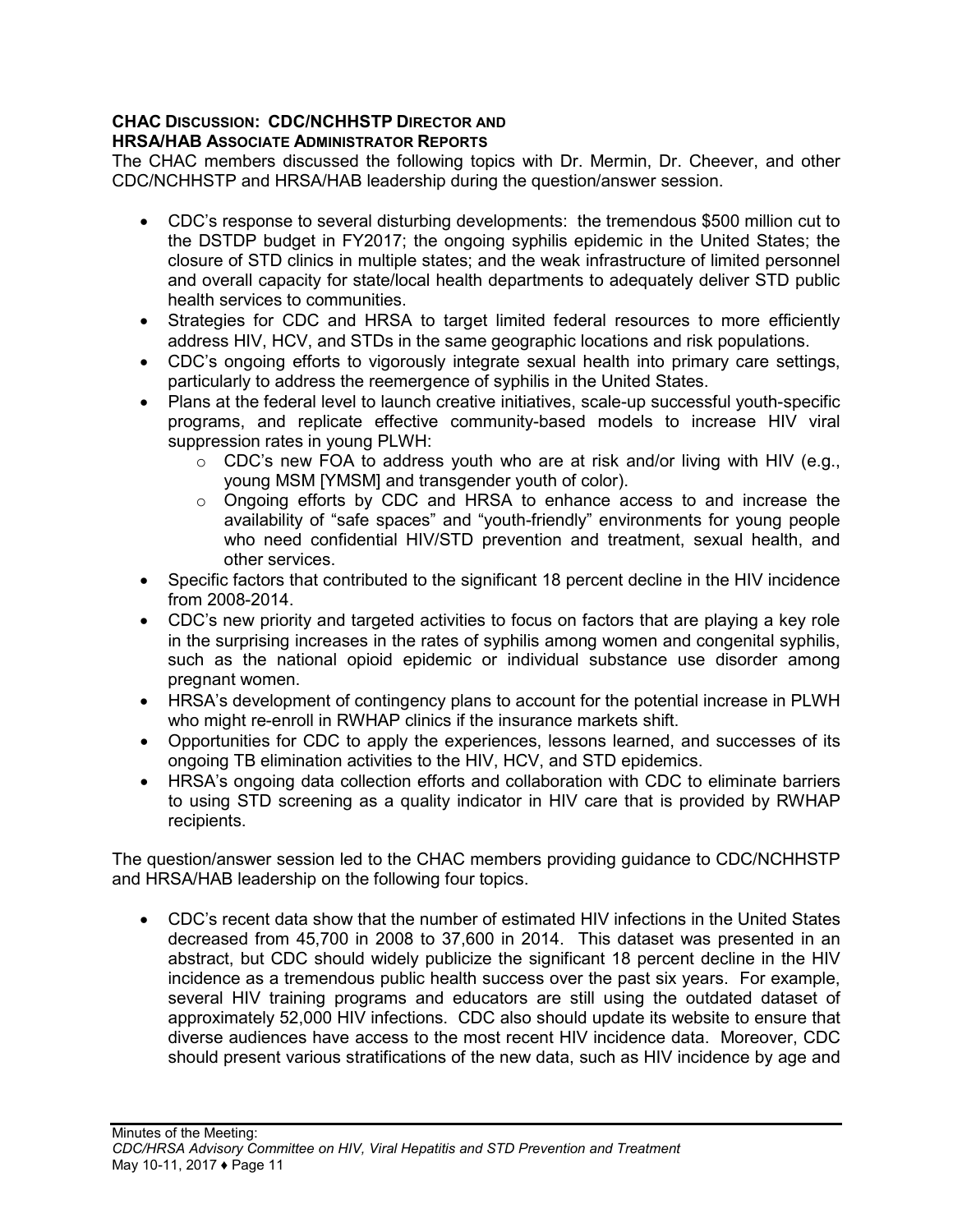#### **CHAC DISCUSSION: CDC/NCHHSTP DIRECTOR AND HRSA/HAB ASSOCIATE ADMINISTRATOR REPORTS**

The CHAC members discussed the following topics with Dr. Mermin, Dr. Cheever, and other CDC/NCHHSTP and HRSA/HAB leadership during the question/answer session.

- CDC's response to several disturbing developments: the tremendous \$500 million cut to the DSTDP budget in FY2017; the ongoing syphilis epidemic in the United States; the closure of STD clinics in multiple states; and the weak infrastructure of limited personnel and overall capacity for state/local health departments to adequately deliver STD public health services to communities.
- Strategies for CDC and HRSA to target limited federal resources to more efficiently address HIV, HCV, and STDs in the same geographic locations and risk populations.
- CDC's ongoing efforts to vigorously integrate sexual health into primary care settings, particularly to address the reemergence of syphilis in the United States.
- Plans at the federal level to launch creative initiatives, scale-up successful youth-specific programs, and replicate effective community-based models to increase HIV viral suppression rates in young PLWH:
	- o CDC's new FOA to address youth who are at risk and/or living with HIV (e.g., young MSM [YMSM] and transgender youth of color).
	- o Ongoing efforts by CDC and HRSA to enhance access to and increase the availability of "safe spaces" and "youth-friendly" environments for young people who need confidential HIV/STD prevention and treatment, sexual health, and other services.
- Specific factors that contributed to the significant 18 percent decline in the HIV incidence from 2008-2014.
- CDC's new priority and targeted activities to focus on factors that are playing a key role in the surprising increases in the rates of syphilis among women and congenital syphilis, such as the national opioid epidemic or individual substance use disorder among pregnant women.
- HRSA's development of contingency plans to account for the potential increase in PLWH who might re-enroll in RWHAP clinics if the insurance markets shift.
- Opportunities for CDC to apply the experiences, lessons learned, and successes of its ongoing TB elimination activities to the HIV, HCV, and STD epidemics.
- HRSA's ongoing data collection efforts and collaboration with CDC to eliminate barriers to using STD screening as a quality indicator in HIV care that is provided by RWHAP recipients.

The question/answer session led to the CHAC members providing guidance to CDC/NCHHSTP and HRSA/HAB leadership on the following four topics.

• CDC's recent data show that the number of estimated HIV infections in the United States decreased from 45,700 in 2008 to 37,600 in 2014. This dataset was presented in an abstract, but CDC should widely publicize the significant 18 percent decline in the HIV incidence as a tremendous public health success over the past six years. For example, several HIV training programs and educators are still using the outdated dataset of approximately 52,000 HIV infections. CDC also should update its website to ensure that diverse audiences have access to the most recent HIV incidence data. Moreover, CDC should present various stratifications of the new data, such as HIV incidence by age and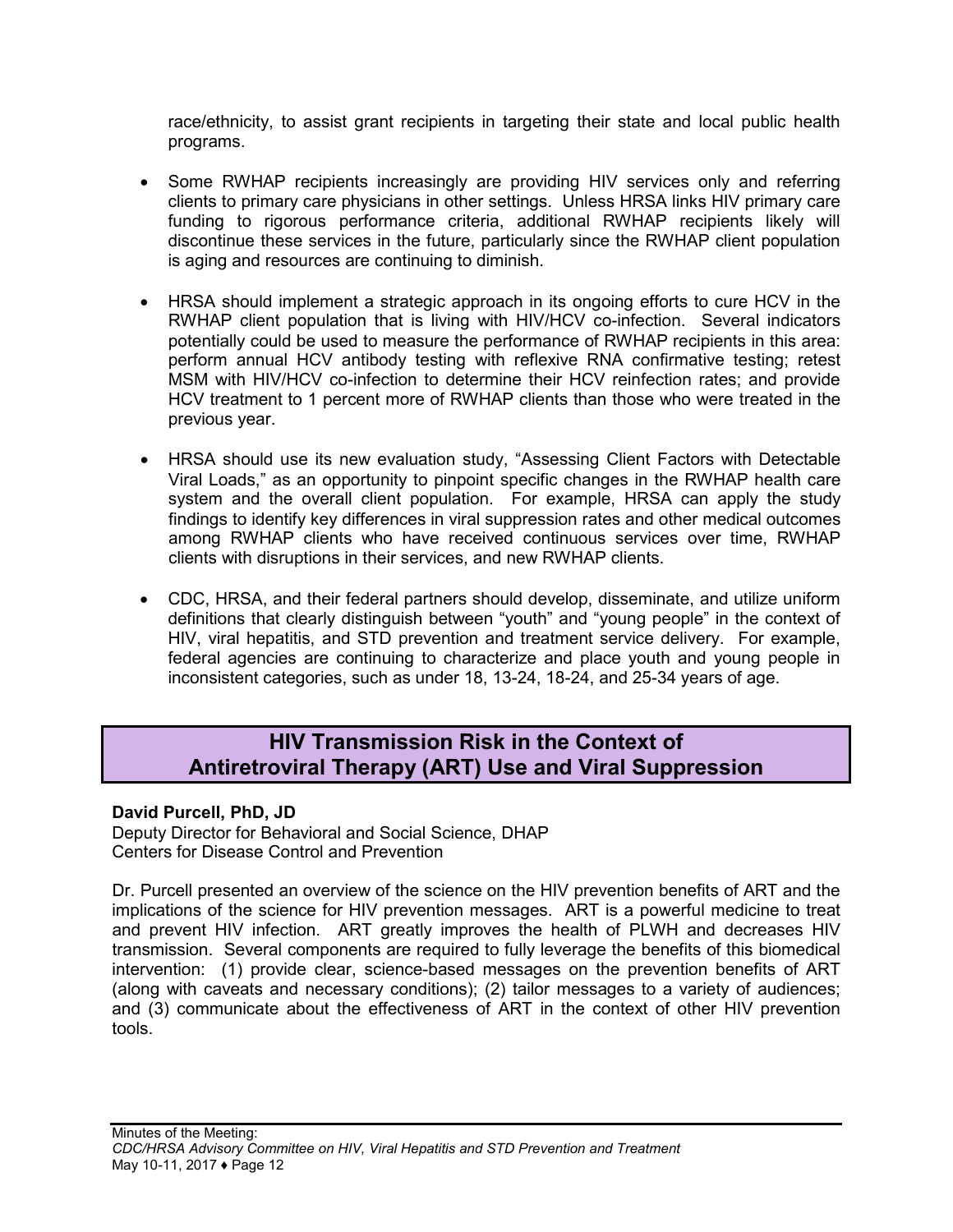race/ethnicity, to assist grant recipients in targeting their state and local public health programs.

- Some RWHAP recipients increasingly are providing HIV services only and referring clients to primary care physicians in other settings. Unless HRSA links HIV primary care funding to rigorous performance criteria, additional RWHAP recipients likely will discontinue these services in the future, particularly since the RWHAP client population is aging and resources are continuing to diminish.
- HRSA should implement a strategic approach in its ongoing efforts to cure HCV in the RWHAP client population that is living with HIV/HCV co-infection. Several indicators potentially could be used to measure the performance of RWHAP recipients in this area: perform annual HCV antibody testing with reflexive RNA confirmative testing; retest MSM with HIV/HCV co-infection to determine their HCV reinfection rates; and provide HCV treatment to 1 percent more of RWHAP clients than those who were treated in the previous year.
- HRSA should use its new evaluation study, "Assessing Client Factors with Detectable Viral Loads," as an opportunity to pinpoint specific changes in the RWHAP health care system and the overall client population. For example, HRSA can apply the study findings to identify key differences in viral suppression rates and other medical outcomes among RWHAP clients who have received continuous services over time, RWHAP clients with disruptions in their services, and new RWHAP clients.
- CDC, HRSA, and their federal partners should develop, disseminate, and utilize uniform definitions that clearly distinguish between "youth" and "young people" in the context of HIV, viral hepatitis, and STD prevention and treatment service delivery. For example, federal agencies are continuing to characterize and place youth and young people in inconsistent categories, such as under 18, 13-24, 18-24, and 25-34 years of age.

## <span id="page-13-0"></span>**HIV Transmission Risk in the Context of Antiretroviral Therapy (ART) Use and Viral Suppression**

## <span id="page-13-1"></span>**David Purcell, PhD, JD**

Deputy Director for Behavioral and Social Science, DHAP Centers for Disease Control and Prevention

Dr. Purcell presented an overview of the science on the HIV prevention benefits of ART and the implications of the science for HIV prevention messages. ART is a powerful medicine to treat and prevent HIV infection. ART greatly improves the health of PLWH and decreases HIV transmission. Several components are required to fully leverage the benefits of this biomedical intervention: (1) provide clear, science-based messages on the prevention benefits of ART (along with caveats and necessary conditions); (2) tailor messages to a variety of audiences; and (3) communicate about the effectiveness of ART in the context of other HIV prevention tools.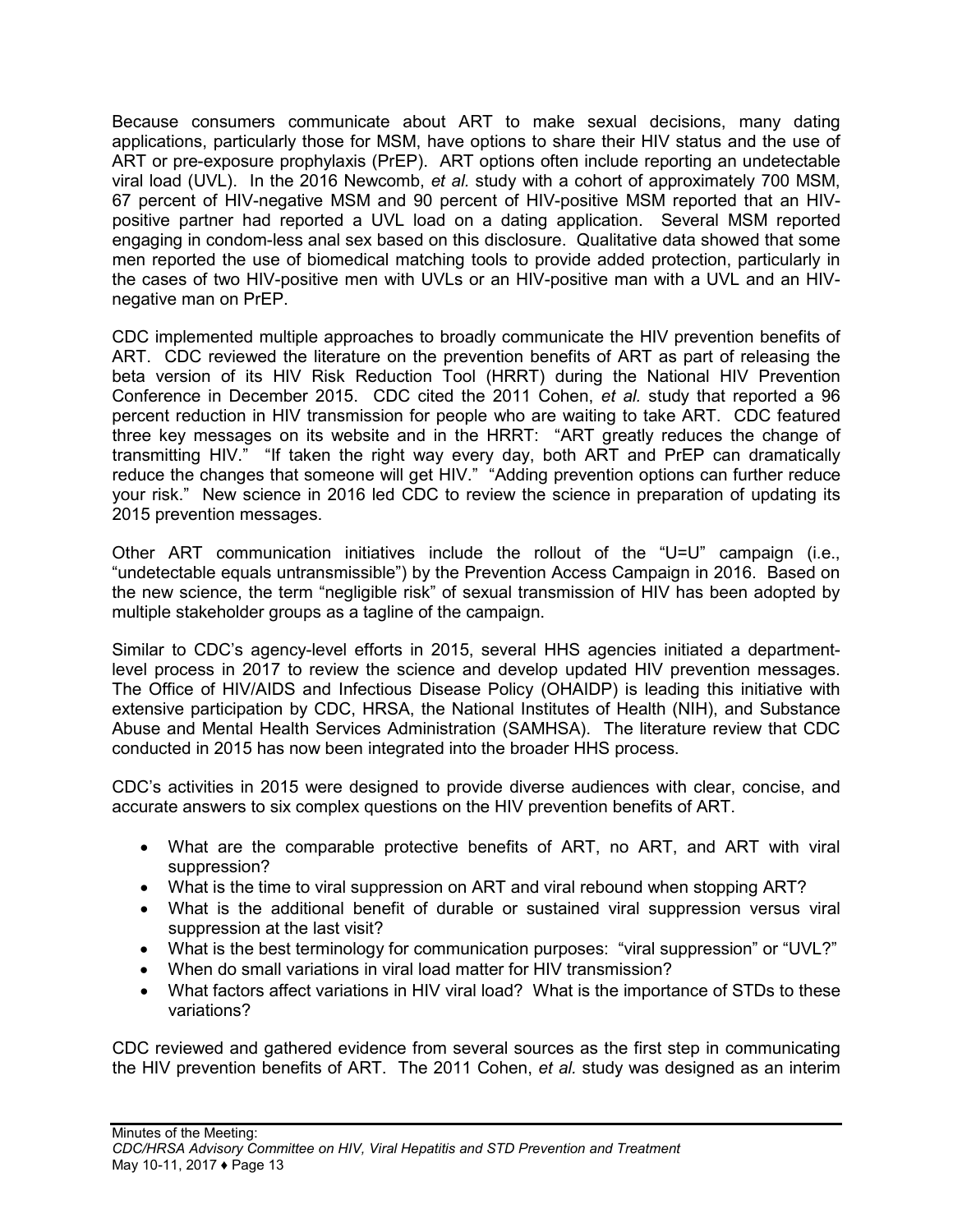Because consumers communicate about ART to make sexual decisions, many dating applications, particularly those for MSM, have options to share their HIV status and the use of ART or pre-exposure prophylaxis (PrEP). ART options often include reporting an undetectable viral load (UVL). In the 2016 Newcomb, *et al.* study with a cohort of approximately 700 MSM, 67 percent of HIV-negative MSM and 90 percent of HIV-positive MSM reported that an HIVpositive partner had reported a UVL load on a dating application. Several MSM reported engaging in condom-less anal sex based on this disclosure. Qualitative data showed that some men reported the use of biomedical matching tools to provide added protection, particularly in the cases of two HIV-positive men with UVLs or an HIV-positive man with a UVL and an HIVnegative man on PrEP.

CDC implemented multiple approaches to broadly communicate the HIV prevention benefits of ART. CDC reviewed the literature on the prevention benefits of ART as part of releasing the beta version of its HIV Risk Reduction Tool (HRRT) during the National HIV Prevention Conference in December 2015. CDC cited the 2011 Cohen, *et al.* study that reported a 96 percent reduction in HIV transmission for people who are waiting to take ART. CDC featured three key messages on its website and in the HRRT: "ART greatly reduces the change of transmitting HIV." "If taken the right way every day, both ART and PrEP can dramatically reduce the changes that someone will get HIV." "Adding prevention options can further reduce your risk." New science in 2016 led CDC to review the science in preparation of updating its 2015 prevention messages.

Other ART communication initiatives include the rollout of the "U=U" campaign (i.e., "undetectable equals untransmissible") by the Prevention Access Campaign in 2016. Based on the new science, the term "negligible risk" of sexual transmission of HIV has been adopted by multiple stakeholder groups as a tagline of the campaign.

Similar to CDC's agency-level efforts in 2015, several HHS agencies initiated a departmentlevel process in 2017 to review the science and develop updated HIV prevention messages. The Office of HIV/AIDS and Infectious Disease Policy (OHAIDP) is leading this initiative with extensive participation by CDC, HRSA, the National Institutes of Health (NIH), and Substance Abuse and Mental Health Services Administration (SAMHSA). The literature review that CDC conducted in 2015 has now been integrated into the broader HHS process.

CDC's activities in 2015 were designed to provide diverse audiences with clear, concise, and accurate answers to six complex questions on the HIV prevention benefits of ART.

- What are the comparable protective benefits of ART, no ART, and ART with viral suppression?
- What is the time to viral suppression on ART and viral rebound when stopping ART?
- What is the additional benefit of durable or sustained viral suppression versus viral suppression at the last visit?
- What is the best terminology for communication purposes: "viral suppression" or "UVL?"
- When do small variations in viral load matter for HIV transmission?
- What factors affect variations in HIV viral load? What is the importance of STDs to these variations?

CDC reviewed and gathered evidence from several sources as the first step in communicating the HIV prevention benefits of ART. The 2011 Cohen, *et al.* study was designed as an interim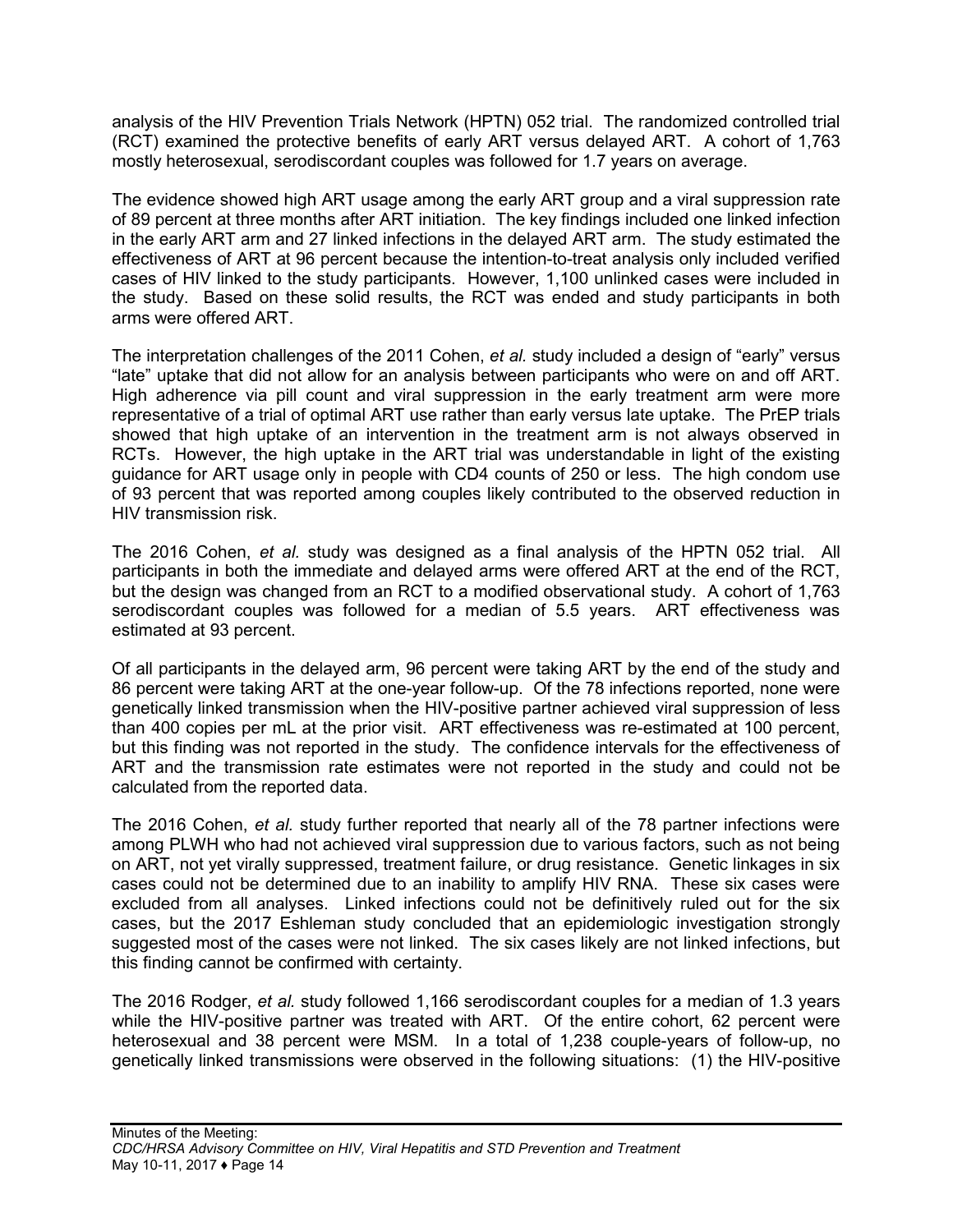analysis of the HIV Prevention Trials Network (HPTN) 052 trial. The randomized controlled trial (RCT) examined the protective benefits of early ART versus delayed ART. A cohort of 1,763 mostly heterosexual, serodiscordant couples was followed for 1.7 years on average.

The evidence showed high ART usage among the early ART group and a viral suppression rate of 89 percent at three months after ART initiation. The key findings included one linked infection in the early ART arm and 27 linked infections in the delayed ART arm. The study estimated the effectiveness of ART at 96 percent because the intention-to-treat analysis only included verified cases of HIV linked to the study participants. However, 1,100 unlinked cases were included in the study. Based on these solid results, the RCT was ended and study participants in both arms were offered ART.

The interpretation challenges of the 2011 Cohen, *et al.* study included a design of "early" versus "late" uptake that did not allow for an analysis between participants who were on and off ART. High adherence via pill count and viral suppression in the early treatment arm were more representative of a trial of optimal ART use rather than early versus late uptake. The PrEP trials showed that high uptake of an intervention in the treatment arm is not always observed in RCTs. However, the high uptake in the ART trial was understandable in light of the existing guidance for ART usage only in people with CD4 counts of 250 or less. The high condom use of 93 percent that was reported among couples likely contributed to the observed reduction in HIV transmission risk.

The 2016 Cohen, *et al.* study was designed as a final analysis of the HPTN 052 trial. All participants in both the immediate and delayed arms were offered ART at the end of the RCT, but the design was changed from an RCT to a modified observational study. A cohort of 1,763 serodiscordant couples was followed for a median of 5.5 years. ART effectiveness was estimated at 93 percent.

Of all participants in the delayed arm, 96 percent were taking ART by the end of the study and 86 percent were taking ART at the one-year follow-up. Of the 78 infections reported, none were genetically linked transmission when the HIV-positive partner achieved viral suppression of less than 400 copies per mL at the prior visit. ART effectiveness was re-estimated at 100 percent, but this finding was not reported in the study. The confidence intervals for the effectiveness of ART and the transmission rate estimates were not reported in the study and could not be calculated from the reported data.

The 2016 Cohen, *et al.* study further reported that nearly all of the 78 partner infections were among PLWH who had not achieved viral suppression due to various factors, such as not being on ART, not yet virally suppressed, treatment failure, or drug resistance. Genetic linkages in six cases could not be determined due to an inability to amplify HIV RNA. These six cases were excluded from all analyses. Linked infections could not be definitively ruled out for the six cases, but the 2017 Eshleman study concluded that an epidemiologic investigation strongly suggested most of the cases were not linked. The six cases likely are not linked infections, but this finding cannot be confirmed with certainty.

The 2016 Rodger, *et al.* study followed 1,166 serodiscordant couples for a median of 1.3 years while the HIV-positive partner was treated with ART. Of the entire cohort, 62 percent were heterosexual and 38 percent were MSM. In a total of 1,238 couple-years of follow-up, no genetically linked transmissions were observed in the following situations: (1) the HIV-positive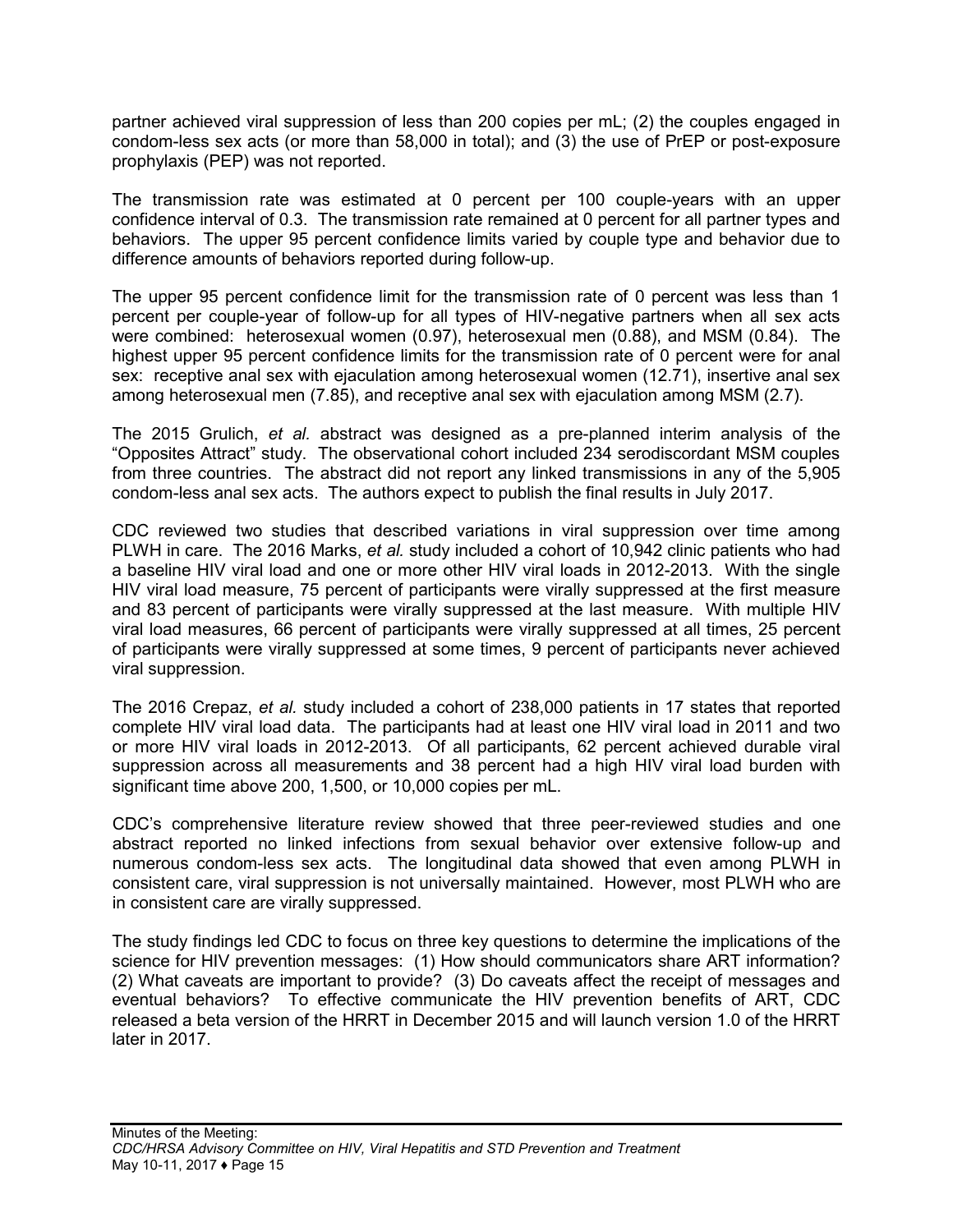partner achieved viral suppression of less than 200 copies per mL; (2) the couples engaged in condom-less sex acts (or more than 58,000 in total); and (3) the use of PrEP or post-exposure prophylaxis (PEP) was not reported.

The transmission rate was estimated at 0 percent per 100 couple-years with an upper confidence interval of 0.3. The transmission rate remained at 0 percent for all partner types and behaviors. The upper 95 percent confidence limits varied by couple type and behavior due to difference amounts of behaviors reported during follow-up.

The upper 95 percent confidence limit for the transmission rate of 0 percent was less than 1 percent per couple-year of follow-up for all types of HIV-negative partners when all sex acts were combined: heterosexual women (0.97), heterosexual men (0.88), and MSM (0.84). The highest upper 95 percent confidence limits for the transmission rate of 0 percent were for anal sex: receptive anal sex with ejaculation among heterosexual women (12.71), insertive anal sex among heterosexual men (7.85), and receptive anal sex with ejaculation among MSM (2.7).

The 2015 Grulich, *et al.* abstract was designed as a pre-planned interim analysis of the "Opposites Attract" study. The observational cohort included 234 serodiscordant MSM couples from three countries. The abstract did not report any linked transmissions in any of the 5,905 condom-less anal sex acts. The authors expect to publish the final results in July 2017.

CDC reviewed two studies that described variations in viral suppression over time among PLWH in care. The 2016 Marks, *et al.* study included a cohort of 10,942 clinic patients who had a baseline HIV viral load and one or more other HIV viral loads in 2012-2013. With the single HIV viral load measure, 75 percent of participants were virally suppressed at the first measure and 83 percent of participants were virally suppressed at the last measure. With multiple HIV viral load measures, 66 percent of participants were virally suppressed at all times, 25 percent of participants were virally suppressed at some times, 9 percent of participants never achieved viral suppression.

The 2016 Crepaz, *et al.* study included a cohort of 238,000 patients in 17 states that reported complete HIV viral load data. The participants had at least one HIV viral load in 2011 and two or more HIV viral loads in 2012-2013. Of all participants, 62 percent achieved durable viral suppression across all measurements and 38 percent had a high HIV viral load burden with significant time above 200, 1,500, or 10,000 copies per mL.

CDC's comprehensive literature review showed that three peer-reviewed studies and one abstract reported no linked infections from sexual behavior over extensive follow-up and numerous condom-less sex acts. The longitudinal data showed that even among PLWH in consistent care, viral suppression is not universally maintained. However, most PLWH who are in consistent care are virally suppressed.

The study findings led CDC to focus on three key questions to determine the implications of the science for HIV prevention messages: (1) How should communicators share ART information? (2) What caveats are important to provide? (3) Do caveats affect the receipt of messages and eventual behaviors? To effective communicate the HIV prevention benefits of ART, CDC released a beta version of the HRRT in December 2015 and will launch version 1.0 of the HRRT later in 2017.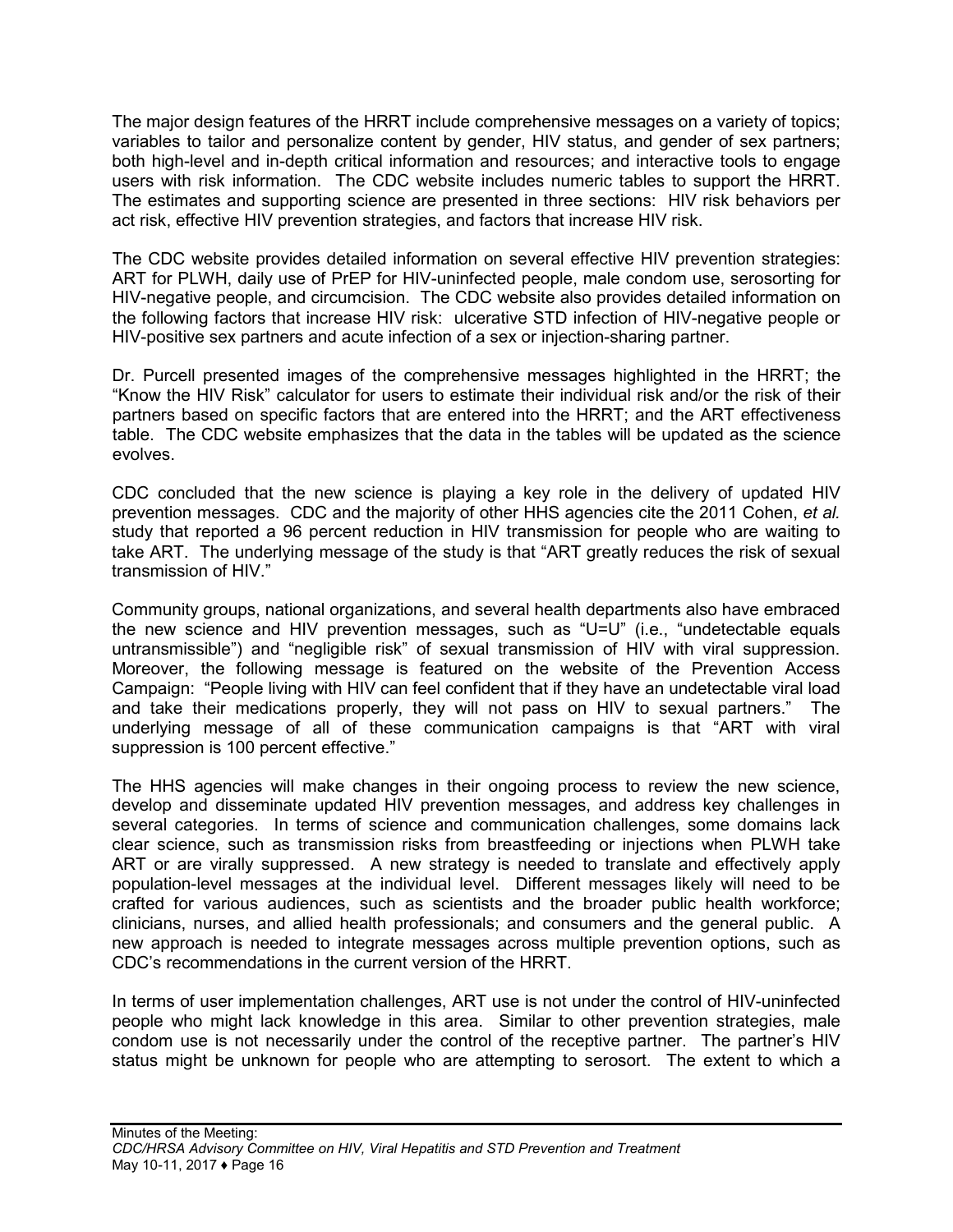The major design features of the HRRT include comprehensive messages on a variety of topics; variables to tailor and personalize content by gender, HIV status, and gender of sex partners; both high-level and in-depth critical information and resources; and interactive tools to engage users with risk information. The CDC website includes numeric tables to support the HRRT. The estimates and supporting science are presented in three sections: HIV risk behaviors per act risk, effective HIV prevention strategies, and factors that increase HIV risk.

The CDC website provides detailed information on several effective HIV prevention strategies: ART for PLWH, daily use of PrEP for HIV-uninfected people, male condom use, serosorting for HIV-negative people, and circumcision. The CDC website also provides detailed information on the following factors that increase HIV risk: ulcerative STD infection of HIV-negative people or HIV-positive sex partners and acute infection of a sex or injection-sharing partner.

Dr. Purcell presented images of the comprehensive messages highlighted in the HRRT; the "Know the HIV Risk" calculator for users to estimate their individual risk and/or the risk of their partners based on specific factors that are entered into the HRRT; and the ART effectiveness table. The CDC website emphasizes that the data in the tables will be updated as the science evolves.

CDC concluded that the new science is playing a key role in the delivery of updated HIV prevention messages. CDC and the majority of other HHS agencies cite the 2011 Cohen, *et al.* study that reported a 96 percent reduction in HIV transmission for people who are waiting to take ART. The underlying message of the study is that "ART greatly reduces the risk of sexual transmission of HIV."

Community groups, national organizations, and several health departments also have embraced the new science and HIV prevention messages, such as "U=U" (i.e., "undetectable equals untransmissible") and "negligible risk" of sexual transmission of HIV with viral suppression. Moreover, the following message is featured on the website of the Prevention Access Campaign: "People living with HIV can feel confident that if they have an undetectable viral load and take their medications properly, they will not pass on HIV to sexual partners." The underlying message of all of these communication campaigns is that "ART with viral suppression is 100 percent effective."

The HHS agencies will make changes in their ongoing process to review the new science, develop and disseminate updated HIV prevention messages, and address key challenges in several categories. In terms of science and communication challenges, some domains lack clear science, such as transmission risks from breastfeeding or injections when PLWH take ART or are virally suppressed. A new strategy is needed to translate and effectively apply population-level messages at the individual level. Different messages likely will need to be crafted for various audiences, such as scientists and the broader public health workforce; clinicians, nurses, and allied health professionals; and consumers and the general public. A new approach is needed to integrate messages across multiple prevention options, such as CDC's recommendations in the current version of the HRRT.

In terms of user implementation challenges, ART use is not under the control of HIV-uninfected people who might lack knowledge in this area. Similar to other prevention strategies, male condom use is not necessarily under the control of the receptive partner. The partner's HIV status might be unknown for people who are attempting to serosort. The extent to which a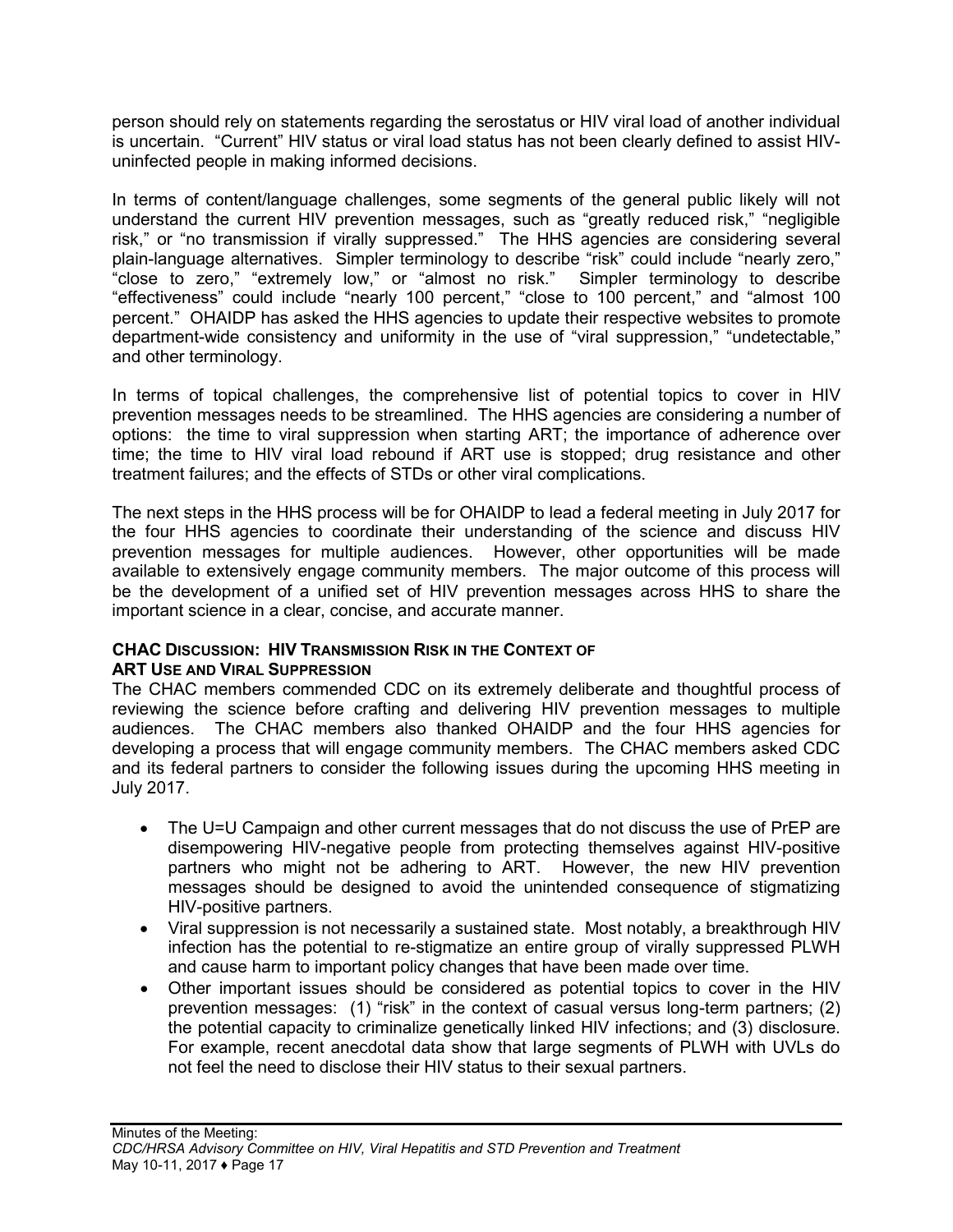person should rely on statements regarding the serostatus or HIV viral load of another individual is uncertain. "Current" HIV status or viral load status has not been clearly defined to assist HIVuninfected people in making informed decisions.

In terms of content/language challenges, some segments of the general public likely will not understand the current HIV prevention messages, such as "greatly reduced risk," "negligible risk," or "no transmission if virally suppressed." The HHS agencies are considering several plain-language alternatives. Simpler terminology to describe "risk" could include "nearly zero,"<br>"close to zero," "extremely low," or "almost no risk." Simpler terminology to describe "close to zero," "extremely low," or "almost no risk." "effectiveness" could include "nearly 100 percent," "close to 100 percent," and "almost 100 percent." OHAIDP has asked the HHS agencies to update their respective websites to promote department-wide consistency and uniformity in the use of "viral suppression," "undetectable," and other terminology.

In terms of topical challenges, the comprehensive list of potential topics to cover in HIV prevention messages needs to be streamlined. The HHS agencies are considering a number of options: the time to viral suppression when starting ART; the importance of adherence over time; the time to HIV viral load rebound if ART use is stopped; drug resistance and other treatment failures; and the effects of STDs or other viral complications.

The next steps in the HHS process will be for OHAIDP to lead a federal meeting in July 2017 for the four HHS agencies to coordinate their understanding of the science and discuss HIV prevention messages for multiple audiences. However, other opportunities will be made available to extensively engage community members. The major outcome of this process will be the development of a unified set of HIV prevention messages across HHS to share the important science in a clear, concise, and accurate manner.

#### **CHAC DISCUSSION: HIV TRANSMISSION RISK IN THE CONTEXT OF ART USE AND VIRAL SUPPRESSION**

The CHAC members commended CDC on its extremely deliberate and thoughtful process of reviewing the science before crafting and delivering HIV prevention messages to multiple audiences. The CHAC members also thanked OHAIDP and the four HHS agencies for developing a process that will engage community members. The CHAC members asked CDC and its federal partners to consider the following issues during the upcoming HHS meeting in July 2017.

- The U=U Campaign and other current messages that do not discuss the use of PrEP are disempowering HIV-negative people from protecting themselves against HIV-positive partners who might not be adhering to ART. However, the new HIV prevention messages should be designed to avoid the unintended consequence of stigmatizing HIV-positive partners.
- Viral suppression is not necessarily a sustained state. Most notably, a breakthrough HIV infection has the potential to re-stigmatize an entire group of virally suppressed PLWH and cause harm to important policy changes that have been made over time.
- Other important issues should be considered as potential topics to cover in the HIV prevention messages: (1) "risk" in the context of casual versus long-term partners; (2) the potential capacity to criminalize genetically linked HIV infections; and (3) disclosure. For example, recent anecdotal data show that large segments of PLWH with UVLs do not feel the need to disclose their HIV status to their sexual partners.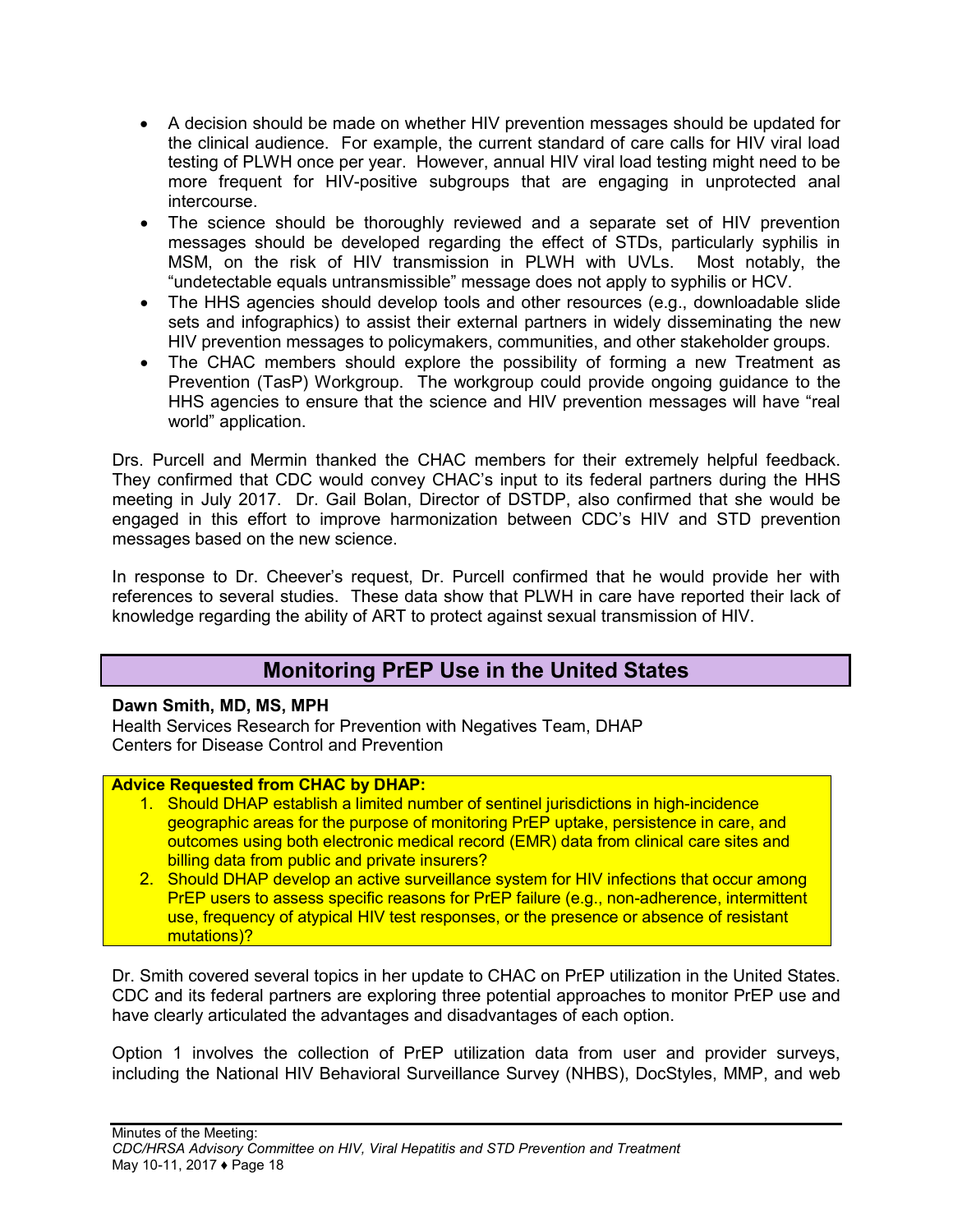- A decision should be made on whether HIV prevention messages should be updated for the clinical audience. For example, the current standard of care calls for HIV viral load testing of PLWH once per year. However, annual HIV viral load testing might need to be more frequent for HIV-positive subgroups that are engaging in unprotected anal intercourse.
- The science should be thoroughly reviewed and a separate set of HIV prevention messages should be developed regarding the effect of STDs, particularly syphilis in MSM, on the risk of HIV transmission in PLWH with UVLs. Most notably, the "undetectable equals untransmissible" message does not apply to syphilis or HCV.
- The HHS agencies should develop tools and other resources (e.g., downloadable slide sets and infographics) to assist their external partners in widely disseminating the new HIV prevention messages to policymakers, communities, and other stakeholder groups.
- The CHAC members should explore the possibility of forming a new Treatment as Prevention (TasP) Workgroup. The workgroup could provide ongoing guidance to the HHS agencies to ensure that the science and HIV prevention messages will have "real world" application.

Drs. Purcell and Mermin thanked the CHAC members for their extremely helpful feedback. They confirmed that CDC would convey CHAC's input to its federal partners during the HHS meeting in July 2017. Dr. Gail Bolan, Director of DSTDP, also confirmed that she would be engaged in this effort to improve harmonization between CDC's HIV and STD prevention messages based on the new science.

<span id="page-19-0"></span>In response to Dr. Cheever's request, Dr. Purcell confirmed that he would provide her with references to several studies. These data show that PLWH in care have reported their lack of knowledge regarding the ability of ART to protect against sexual transmission of HIV.

## **Monitoring PrEP Use in the United States**

## **Dawn Smith, MD, MS, MPH**

Health Services Research for Prevention with Negatives Team, DHAP Centers for Disease Control and Prevention

#### **Advice Requested from CHAC by DHAP:**

- 1. Should DHAP establish a limited number of sentinel jurisdictions in high-incidence geographic areas for the purpose of monitoring PrEP uptake, persistence in care, and outcomes using both electronic medical record (EMR) data from clinical care sites and billing data from public and private insurers?
- 2. Should DHAP develop an active surveillance system for HIV infections that occur among PrEP users to assess specific reasons for PrEP failure (e.g., non-adherence, intermittent use, frequency of atypical HIV test responses, or the presence or absence of resistant mutations)?

Dr. Smith covered several topics in her update to CHAC on PrEP utilization in the United States. CDC and its federal partners are exploring three potential approaches to monitor PrEP use and have clearly articulated the advantages and disadvantages of each option.

Option 1 involves the collection of PrEP utilization data from user and provider surveys, including the National HIV Behavioral Surveillance Survey (NHBS), DocStyles, MMP, and web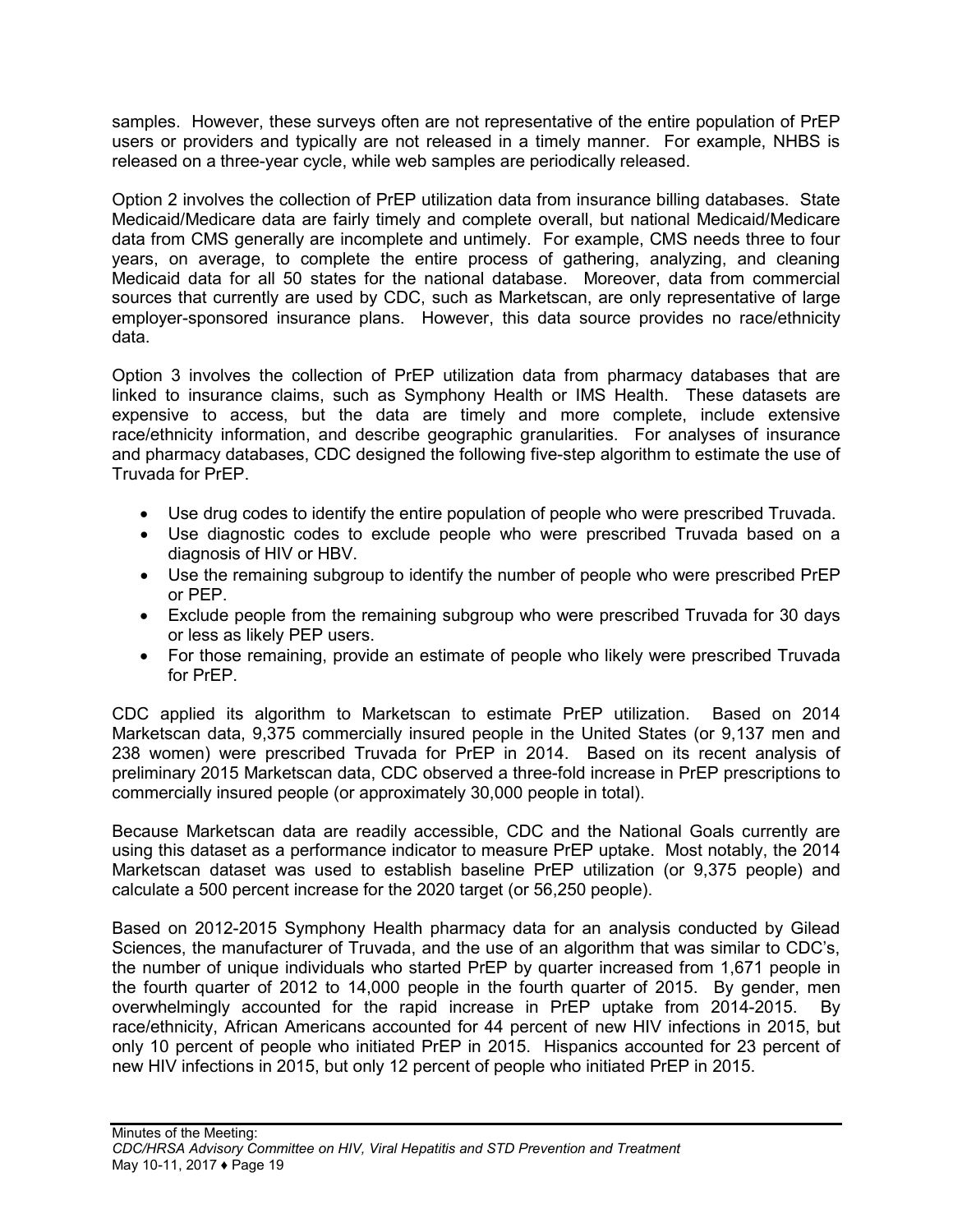samples. However, these surveys often are not representative of the entire population of PrEP users or providers and typically are not released in a timely manner. For example, NHBS is released on a three-year cycle, while web samples are periodically released.

Option 2 involves the collection of PrEP utilization data from insurance billing databases. State Medicaid/Medicare data are fairly timely and complete overall, but national Medicaid/Medicare data from CMS generally are incomplete and untimely. For example, CMS needs three to four years, on average, to complete the entire process of gathering, analyzing, and cleaning Medicaid data for all 50 states for the national database. Moreover, data from commercial sources that currently are used by CDC, such as Marketscan, are only representative of large employer-sponsored insurance plans. However, this data source provides no race/ethnicity data.

Option 3 involves the collection of PrEP utilization data from pharmacy databases that are linked to insurance claims, such as Symphony Health or IMS Health. These datasets are expensive to access, but the data are timely and more complete, include extensive race/ethnicity information, and describe geographic granularities. For analyses of insurance and pharmacy databases, CDC designed the following five-step algorithm to estimate the use of Truvada for PrEP.

- Use drug codes to identify the entire population of people who were prescribed Truvada.
- Use diagnostic codes to exclude people who were prescribed Truvada based on a diagnosis of HIV or HBV.
- Use the remaining subgroup to identify the number of people who were prescribed PrEP or PEP.
- Exclude people from the remaining subgroup who were prescribed Truvada for 30 days or less as likely PEP users.
- For those remaining, provide an estimate of people who likely were prescribed Truvada for PrEP.

CDC applied its algorithm to Marketscan to estimate PrEP utilization. Based on 2014 Marketscan data, 9,375 commercially insured people in the United States (or 9,137 men and 238 women) were prescribed Truvada for PrEP in 2014. Based on its recent analysis of preliminary 2015 Marketscan data, CDC observed a three-fold increase in PrEP prescriptions to commercially insured people (or approximately 30,000 people in total).

Because Marketscan data are readily accessible, CDC and the National Goals currently are using this dataset as a performance indicator to measure PrEP uptake. Most notably, the 2014 Marketscan dataset was used to establish baseline PrEP utilization (or 9,375 people) and calculate a 500 percent increase for the 2020 target (or 56,250 people).

Based on 2012-2015 Symphony Health pharmacy data for an analysis conducted by Gilead Sciences, the manufacturer of Truvada, and the use of an algorithm that was similar to CDC's, the number of unique individuals who started PrEP by quarter increased from 1,671 people in the fourth quarter of 2012 to 14,000 people in the fourth quarter of 2015. By gender, men overwhelmingly accounted for the rapid increase in PrEP uptake from 2014-2015. By race/ethnicity, African Americans accounted for 44 percent of new HIV infections in 2015, but only 10 percent of people who initiated PrEP in 2015. Hispanics accounted for 23 percent of new HIV infections in 2015, but only 12 percent of people who initiated PrEP in 2015.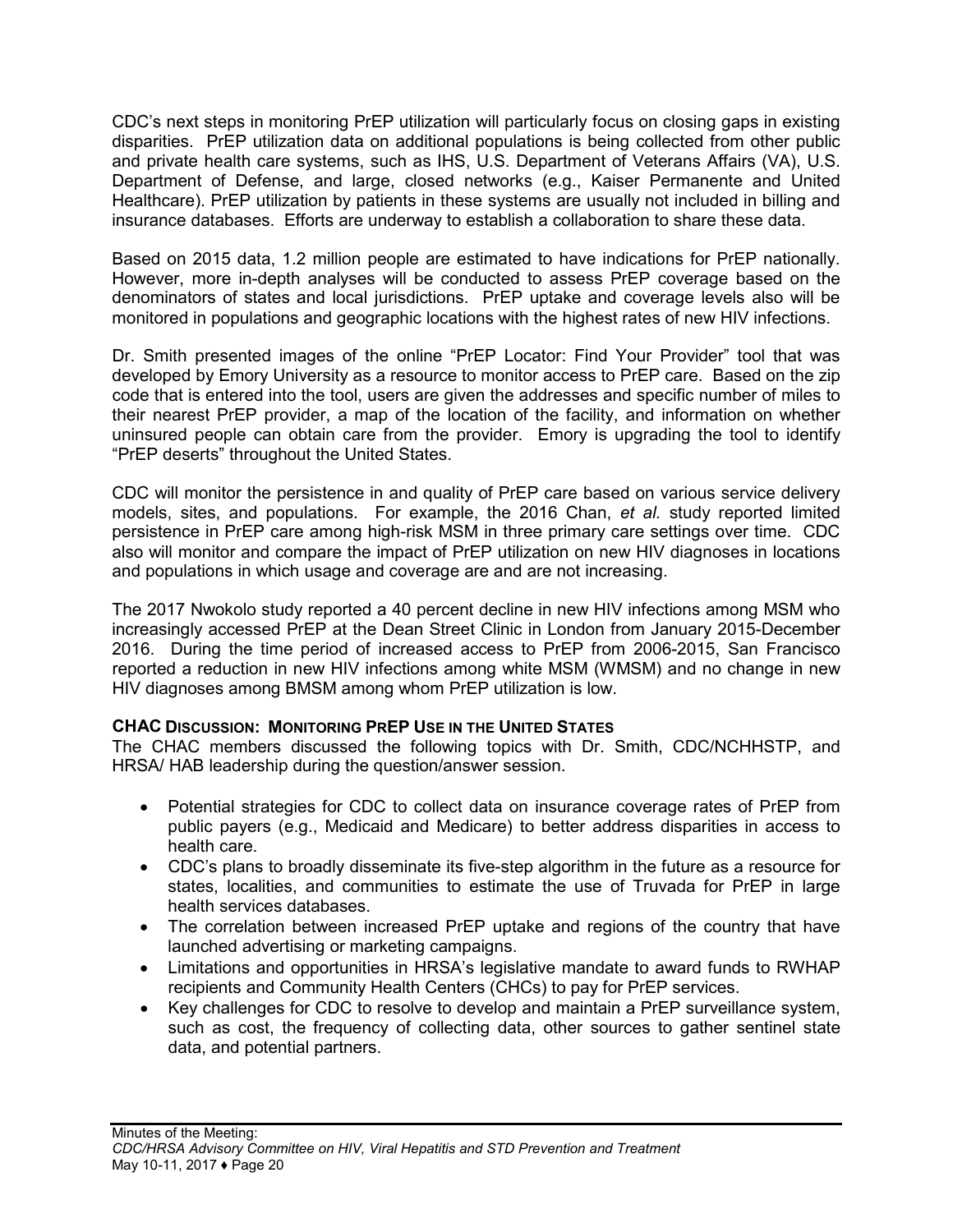CDC's next steps in monitoring PrEP utilization will particularly focus on closing gaps in existing disparities. PrEP utilization data on additional populations is being collected from other public and private health care systems, such as IHS, U.S. Department of Veterans Affairs (VA), U.S. Department of Defense, and large, closed networks (e.g., Kaiser Permanente and United Healthcare). PrEP utilization by patients in these systems are usually not included in billing and insurance databases. Efforts are underway to establish a collaboration to share these data.

Based on 2015 data, 1.2 million people are estimated to have indications for PrEP nationally. However, more in-depth analyses will be conducted to assess PrEP coverage based on the denominators of states and local jurisdictions. PrEP uptake and coverage levels also will be monitored in populations and geographic locations with the highest rates of new HIV infections.

Dr. Smith presented images of the online "PrEP Locator: Find Your Provider" tool that was developed by Emory University as a resource to monitor access to PrEP care. Based on the zip code that is entered into the tool, users are given the addresses and specific number of miles to their nearest PrEP provider, a map of the location of the facility, and information on whether uninsured people can obtain care from the provider. Emory is upgrading the tool to identify "PrEP deserts" throughout the United States.

CDC will monitor the persistence in and quality of PrEP care based on various service delivery models, sites, and populations. For example, the 2016 Chan, *et al.* study reported limited persistence in PrEP care among high-risk MSM in three primary care settings over time. CDC also will monitor and compare the impact of PrEP utilization on new HIV diagnoses in locations and populations in which usage and coverage are and are not increasing.

The 2017 Nwokolo study reported a 40 percent decline in new HIV infections among MSM who increasingly accessed PrEP at the Dean Street Clinic in London from January 2015-December 2016. During the time period of increased access to PrEP from 2006-2015, San Francisco reported a reduction in new HIV infections among white MSM (WMSM) and no change in new HIV diagnoses among BMSM among whom PrEP utilization is low.

## **CHAC DISCUSSION: MONITORING PREP USE IN THE UNITED STATES**

The CHAC members discussed the following topics with Dr. Smith, CDC/NCHHSTP, and HRSA/ HAB leadership during the question/answer session.

- Potential strategies for CDC to collect data on insurance coverage rates of PrEP from public payers (e.g., Medicaid and Medicare) to better address disparities in access to health care.
- CDC's plans to broadly disseminate its five-step algorithm in the future as a resource for states, localities, and communities to estimate the use of Truvada for PrEP in large health services databases.
- The correlation between increased PrEP uptake and regions of the country that have launched advertising or marketing campaigns.
- Limitations and opportunities in HRSA's legislative mandate to award funds to RWHAP recipients and Community Health Centers (CHCs) to pay for PrEP services.
- Key challenges for CDC to resolve to develop and maintain a PrEP surveillance system, such as cost, the frequency of collecting data, other sources to gather sentinel state data, and potential partners.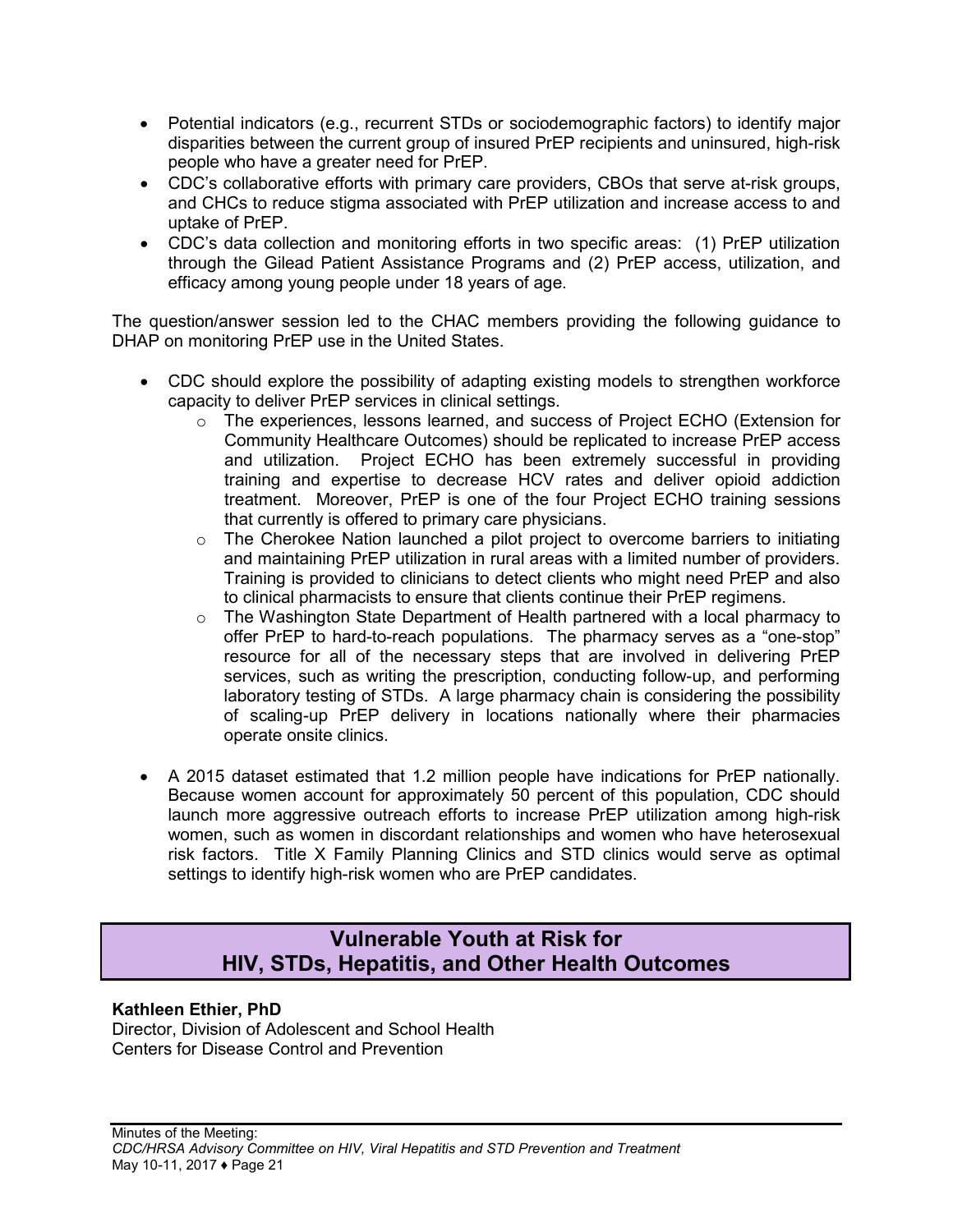- Potential indicators (e.g., recurrent STDs or sociodemographic factors) to identify major disparities between the current group of insured PrEP recipients and uninsured, high-risk people who have a greater need for PrEP.
- CDC's collaborative efforts with primary care providers, CBOs that serve at-risk groups, and CHCs to reduce stigma associated with PrEP utilization and increase access to and uptake of PrEP.
- CDC's data collection and monitoring efforts in two specific areas: (1) PrEP utilization through the Gilead Patient Assistance Programs and (2) PrEP access, utilization, and efficacy among young people under 18 years of age.

The question/answer session led to the CHAC members providing the following guidance to DHAP on monitoring PrEP use in the United States.

- CDC should explore the possibility of adapting existing models to strengthen workforce capacity to deliver PrEP services in clinical settings.
	- o The experiences, lessons learned, and success of Project ECHO (Extension for Community Healthcare Outcomes) should be replicated to increase PrEP access and utilization. Project ECHO has been extremely successful in providing training and expertise to decrease HCV rates and deliver opioid addiction treatment. Moreover, PrEP is one of the four Project ECHO training sessions that currently is offered to primary care physicians.
	- o The Cherokee Nation launched a pilot project to overcome barriers to initiating and maintaining PrEP utilization in rural areas with a limited number of providers. Training is provided to clinicians to detect clients who might need PrEP and also to clinical pharmacists to ensure that clients continue their PrEP regimens.
	- $\circ$  The Washington State Department of Health partnered with a local pharmacy to offer PrEP to hard-to-reach populations. The pharmacy serves as a "one-stop" resource for all of the necessary steps that are involved in delivering PrEP services, such as writing the prescription, conducting follow-up, and performing laboratory testing of STDs. A large pharmacy chain is considering the possibility of scaling-up PrEP delivery in locations nationally where their pharmacies operate onsite clinics.
- A 2015 dataset estimated that 1.2 million people have indications for PrEP nationally. Because women account for approximately 50 percent of this population, CDC should launch more aggressive outreach efforts to increase PrEP utilization among high-risk women, such as women in discordant relationships and women who have heterosexual risk factors. Title X Family Planning Clinics and STD clinics would serve as optimal settings to identify high-risk women who are PrEP candidates.

## **Vulnerable Youth at Risk for HIV, STDs, Hepatitis, and Other Health Outcomes**

## <span id="page-22-1"></span><span id="page-22-0"></span>**Kathleen Ethier, PhD**

Director, Division of Adolescent and School Health Centers for Disease Control and Prevention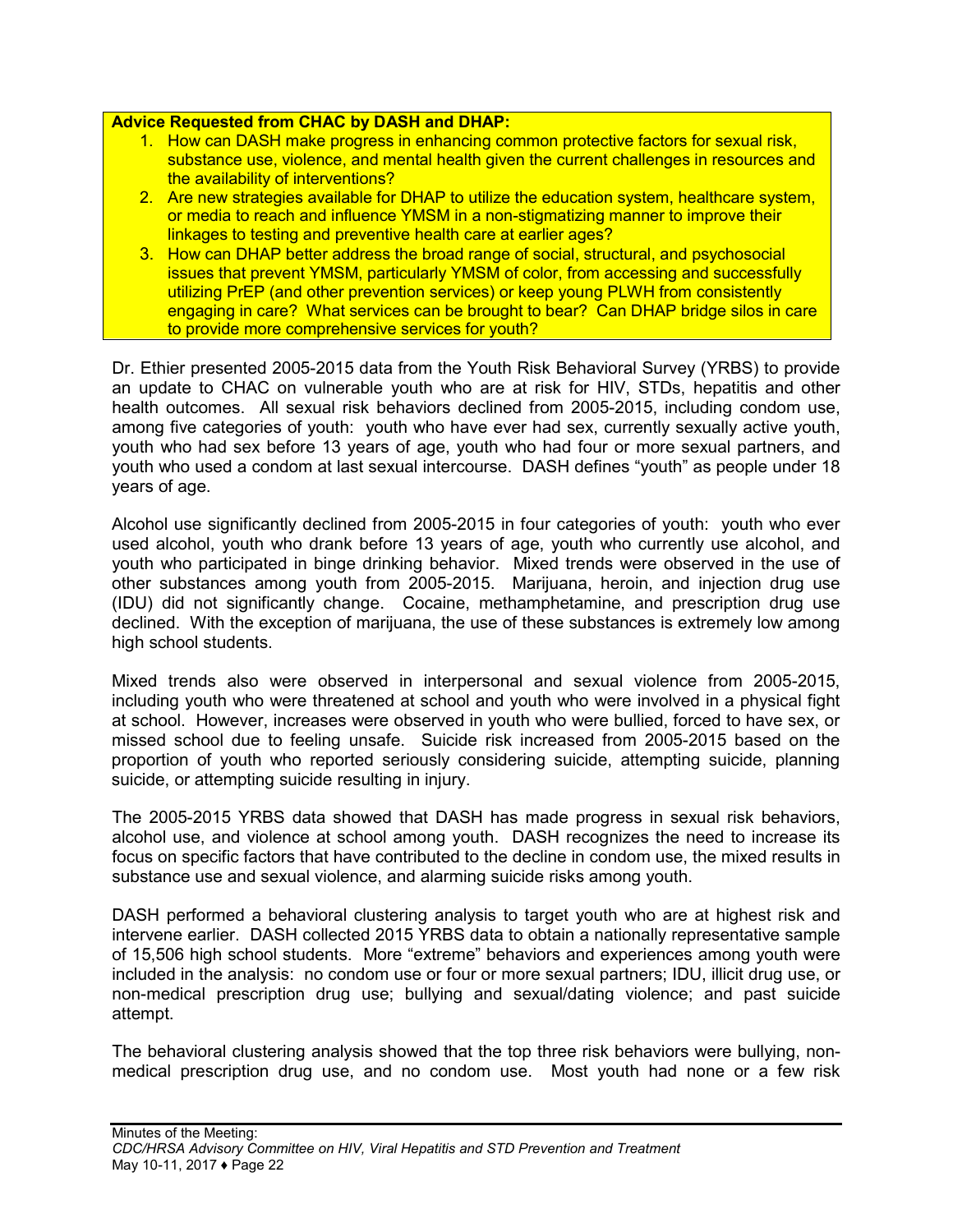#### **Advice Requested from CHAC by DASH and DHAP:**

- 1. How can DASH make progress in enhancing common protective factors for sexual risk, substance use, violence, and mental health given the current challenges in resources and the availability of interventions?
- 2. Are new strategies available for DHAP to utilize the education system, healthcare system, or media to reach and influence YMSM in a non-stigmatizing manner to improve their linkages to testing and preventive health care at earlier ages?
- 3. How can DHAP better address the broad range of social, structural, and psychosocial issues that prevent YMSM, particularly YMSM of color, from accessing and successfully utilizing PrEP (and other prevention services) or keep young PLWH from consistently engaging in care? What services can be brought to bear? Can DHAP bridge silos in care to provide more comprehensive services for youth?

Dr. Ethier presented 2005-2015 data from the Youth Risk Behavioral Survey (YRBS) to provide an update to CHAC on vulnerable youth who are at risk for HIV, STDs, hepatitis and other health outcomes. All sexual risk behaviors declined from 2005-2015, including condom use, among five categories of youth: youth who have ever had sex, currently sexually active youth, youth who had sex before 13 years of age, youth who had four or more sexual partners, and youth who used a condom at last sexual intercourse. DASH defines "youth" as people under 18 years of age.

Alcohol use significantly declined from 2005-2015 in four categories of youth: youth who ever used alcohol, youth who drank before 13 years of age, youth who currently use alcohol, and youth who participated in binge drinking behavior. Mixed trends were observed in the use of other substances among youth from 2005-2015. Marijuana, heroin, and injection drug use (IDU) did not significantly change. Cocaine, methamphetamine, and prescription drug use declined. With the exception of marijuana, the use of these substances is extremely low among high school students.

Mixed trends also were observed in interpersonal and sexual violence from 2005-2015, including youth who were threatened at school and youth who were involved in a physical fight at school. However, increases were observed in youth who were bullied, forced to have sex, or missed school due to feeling unsafe. Suicide risk increased from 2005-2015 based on the proportion of youth who reported seriously considering suicide, attempting suicide, planning suicide, or attempting suicide resulting in injury.

The 2005-2015 YRBS data showed that DASH has made progress in sexual risk behaviors, alcohol use, and violence at school among youth. DASH recognizes the need to increase its focus on specific factors that have contributed to the decline in condom use, the mixed results in substance use and sexual violence, and alarming suicide risks among youth.

DASH performed a behavioral clustering analysis to target youth who are at highest risk and intervene earlier. DASH collected 2015 YRBS data to obtain a nationally representative sample of 15,506 high school students. More "extreme" behaviors and experiences among youth were included in the analysis: no condom use or four or more sexual partners; IDU, illicit drug use, or non-medical prescription drug use; bullying and sexual/dating violence; and past suicide attempt.

The behavioral clustering analysis showed that the top three risk behaviors were bullying, nonmedical prescription drug use, and no condom use. Most youth had none or a few risk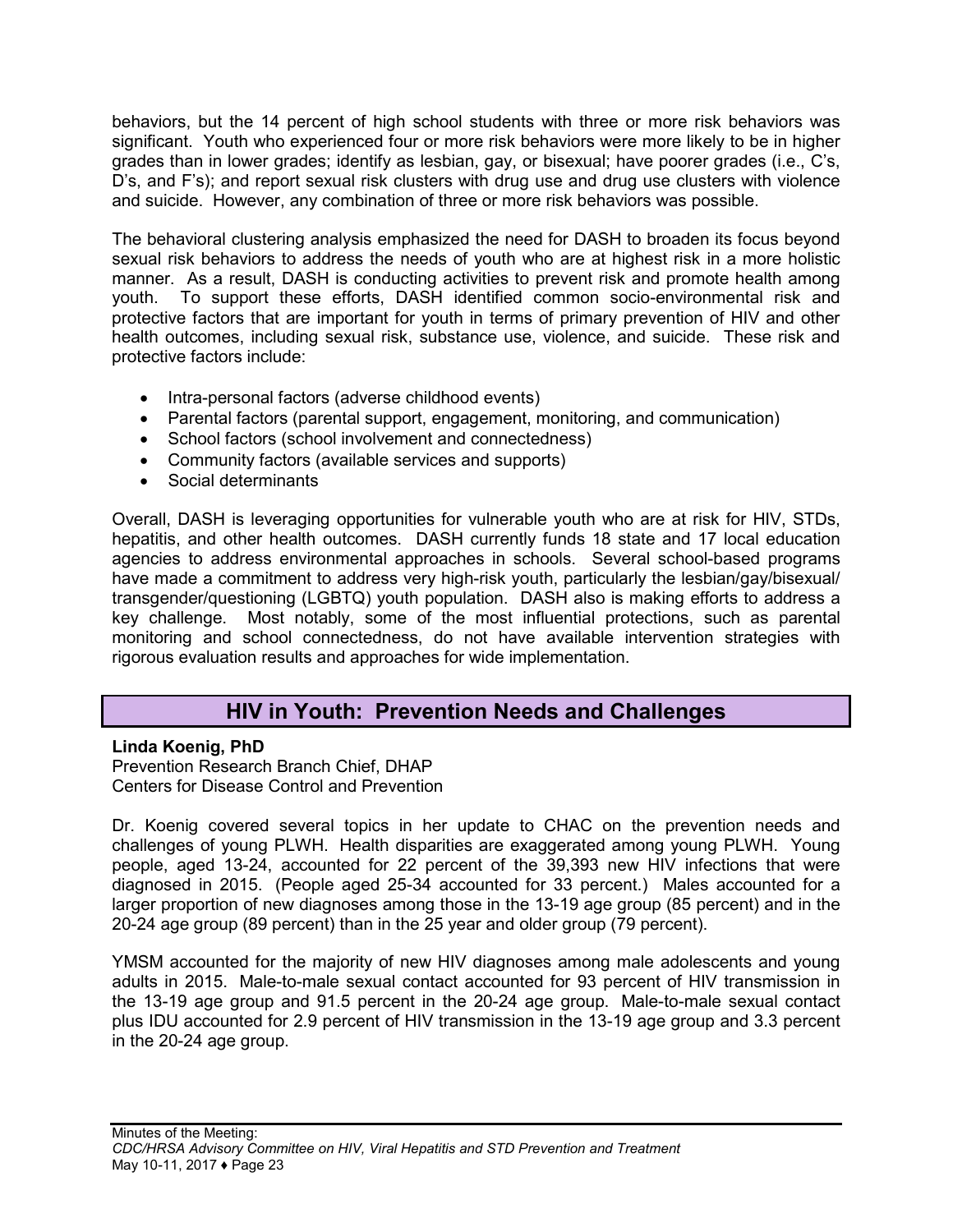behaviors, but the 14 percent of high school students with three or more risk behaviors was significant. Youth who experienced four or more risk behaviors were more likely to be in higher grades than in lower grades; identify as lesbian, gay, or bisexual; have poorer grades (i.e., C's, D's, and F's); and report sexual risk clusters with drug use and drug use clusters with violence and suicide. However, any combination of three or more risk behaviors was possible.

The behavioral clustering analysis emphasized the need for DASH to broaden its focus beyond sexual risk behaviors to address the needs of youth who are at highest risk in a more holistic manner. As a result, DASH is conducting activities to prevent risk and promote health among youth. To support these efforts, DASH identified common socio-environmental risk and protective factors that are important for youth in terms of primary prevention of HIV and other health outcomes, including sexual risk, substance use, violence, and suicide. These risk and protective factors include:

- Intra-personal factors (adverse childhood events)
- Parental factors (parental support, engagement, monitoring, and communication)
- School factors (school involvement and connectedness)
- Community factors (available services and supports)
- Social determinants

Overall, DASH is leveraging opportunities for vulnerable youth who are at risk for HIV, STDs, hepatitis, and other health outcomes. DASH currently funds 18 state and 17 local education agencies to address environmental approaches in schools. Several school-based programs have made a commitment to address very high-risk youth, particularly the lesbian/gay/bisexual/ transgender/questioning (LGBTQ) youth population. DASH also is making efforts to address a key challenge. Most notably, some of the most influential protections, such as parental monitoring and school connectedness, do not have available intervention strategies with rigorous evaluation results and approaches for wide implementation.

## **HIV in Youth: Prevention Needs and Challenges**

## <span id="page-24-0"></span>**Linda Koenig, PhD**

Prevention Research Branch Chief, DHAP Centers for Disease Control and Prevention

Dr. Koenig covered several topics in her update to CHAC on the prevention needs and challenges of young PLWH. Health disparities are exaggerated among young PLWH. Young people, aged 13-24, accounted for 22 percent of the 39,393 new HIV infections that were diagnosed in 2015. (People aged 25-34 accounted for 33 percent.) Males accounted for a larger proportion of new diagnoses among those in the 13-19 age group (85 percent) and in the 20-24 age group (89 percent) than in the 25 year and older group (79 percent).

YMSM accounted for the majority of new HIV diagnoses among male adolescents and young adults in 2015. Male-to-male sexual contact accounted for 93 percent of HIV transmission in the 13-19 age group and 91.5 percent in the 20-24 age group. Male-to-male sexual contact plus IDU accounted for 2.9 percent of HIV transmission in the 13-19 age group and 3.3 percent in the 20-24 age group.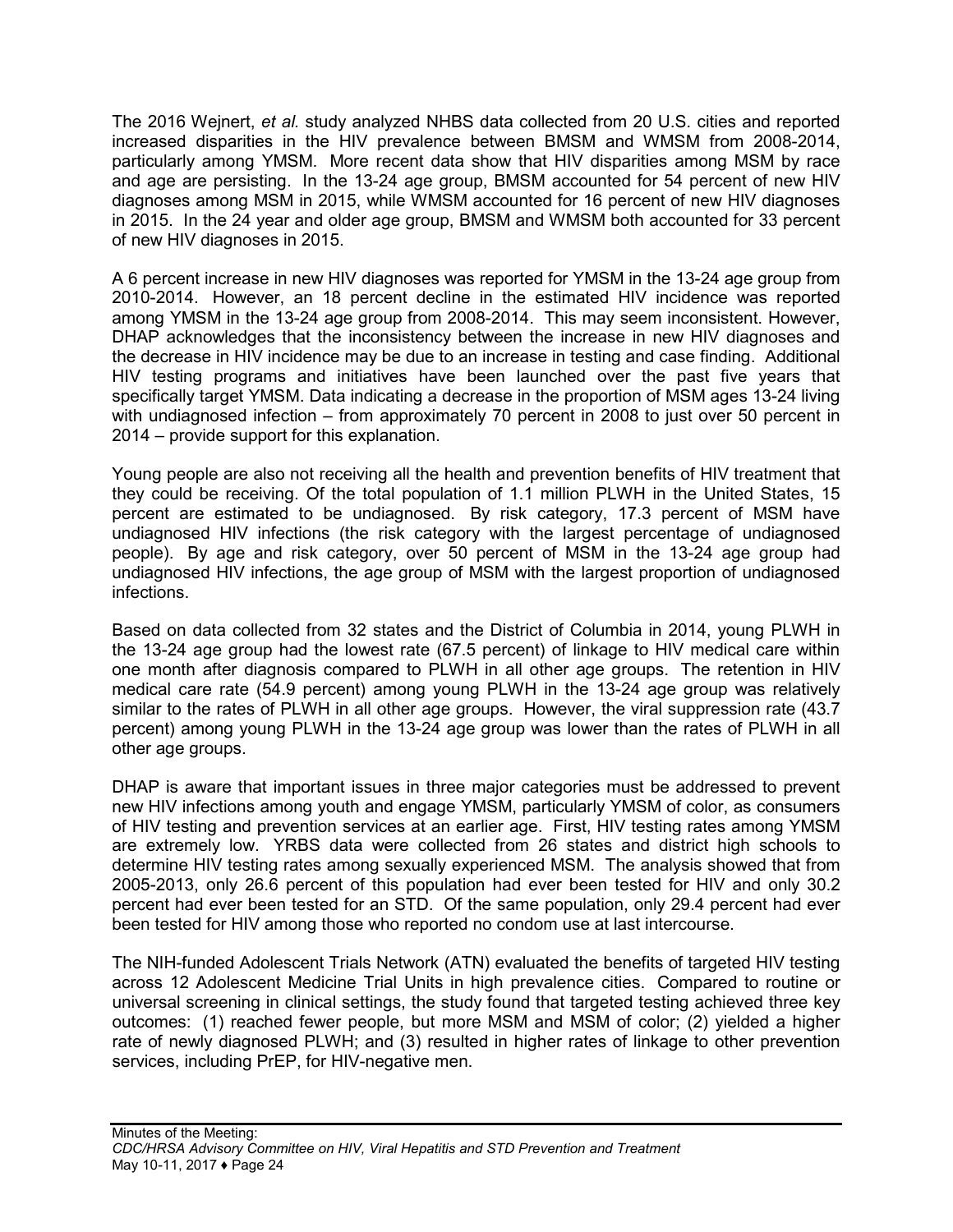The 2016 Wejnert, *et al.* study analyzed NHBS data collected from 20 U.S. cities and reported increased disparities in the HIV prevalence between BMSM and WMSM from 2008-2014, particularly among YMSM. More recent data show that HIV disparities among MSM by race and age are persisting. In the 13-24 age group, BMSM accounted for 54 percent of new HIV diagnoses among MSM in 2015, while WMSM accounted for 16 percent of new HIV diagnoses in 2015. In the 24 year and older age group, BMSM and WMSM both accounted for 33 percent of new HIV diagnoses in 2015.

A 6 percent increase in new HIV diagnoses was reported for YMSM in the 13-24 age group from 2010-2014. However, an 18 percent decline in the estimated HIV incidence was reported among YMSM in the 13-24 age group from 2008-2014. This may seem inconsistent. However, DHAP acknowledges that the inconsistency between the increase in new HIV diagnoses and the decrease in HIV incidence may be due to an increase in testing and case finding. Additional HIV testing programs and initiatives have been launched over the past five years that specifically target YMSM. Data indicating a decrease in the proportion of MSM ages 13-24 living with undiagnosed infection – from approximately 70 percent in 2008 to just over 50 percent in 2014 – provide support for this explanation.

Young people are also not receiving all the health and prevention benefits of HIV treatment that they could be receiving. Of the total population of 1.1 million PLWH in the United States, 15 percent are estimated to be undiagnosed. By risk category, 17.3 percent of MSM have undiagnosed HIV infections (the risk category with the largest percentage of undiagnosed people). By age and risk category, over 50 percent of MSM in the 13-24 age group had undiagnosed HIV infections, the age group of MSM with the largest proportion of undiagnosed infections.

Based on data collected from 32 states and the District of Columbia in 2014, young PLWH in the 13-24 age group had the lowest rate (67.5 percent) of linkage to HIV medical care within one month after diagnosis compared to PLWH in all other age groups. The retention in HIV medical care rate (54.9 percent) among young PLWH in the 13-24 age group was relatively similar to the rates of PLWH in all other age groups. However, the viral suppression rate (43.7 percent) among young PLWH in the 13-24 age group was lower than the rates of PLWH in all other age groups.

DHAP is aware that important issues in three major categories must be addressed to prevent new HIV infections among youth and engage YMSM, particularly YMSM of color, as consumers of HIV testing and prevention services at an earlier age. First, HIV testing rates among YMSM are extremely low. YRBS data were collected from 26 states and district high schools to determine HIV testing rates among sexually experienced MSM. The analysis showed that from 2005-2013, only 26.6 percent of this population had ever been tested for HIV and only 30.2 percent had ever been tested for an STD. Of the same population, only 29.4 percent had ever been tested for HIV among those who reported no condom use at last intercourse.

The NIH-funded Adolescent Trials Network (ATN) evaluated the benefits of targeted HIV testing across 12 Adolescent Medicine Trial Units in high prevalence cities. Compared to routine or universal screening in clinical settings, the study found that targeted testing achieved three key outcomes: (1) reached fewer people, but more MSM and MSM of color; (2) yielded a higher rate of newly diagnosed PLWH; and (3) resulted in higher rates of linkage to other prevention services, including PrEP, for HIV-negative men.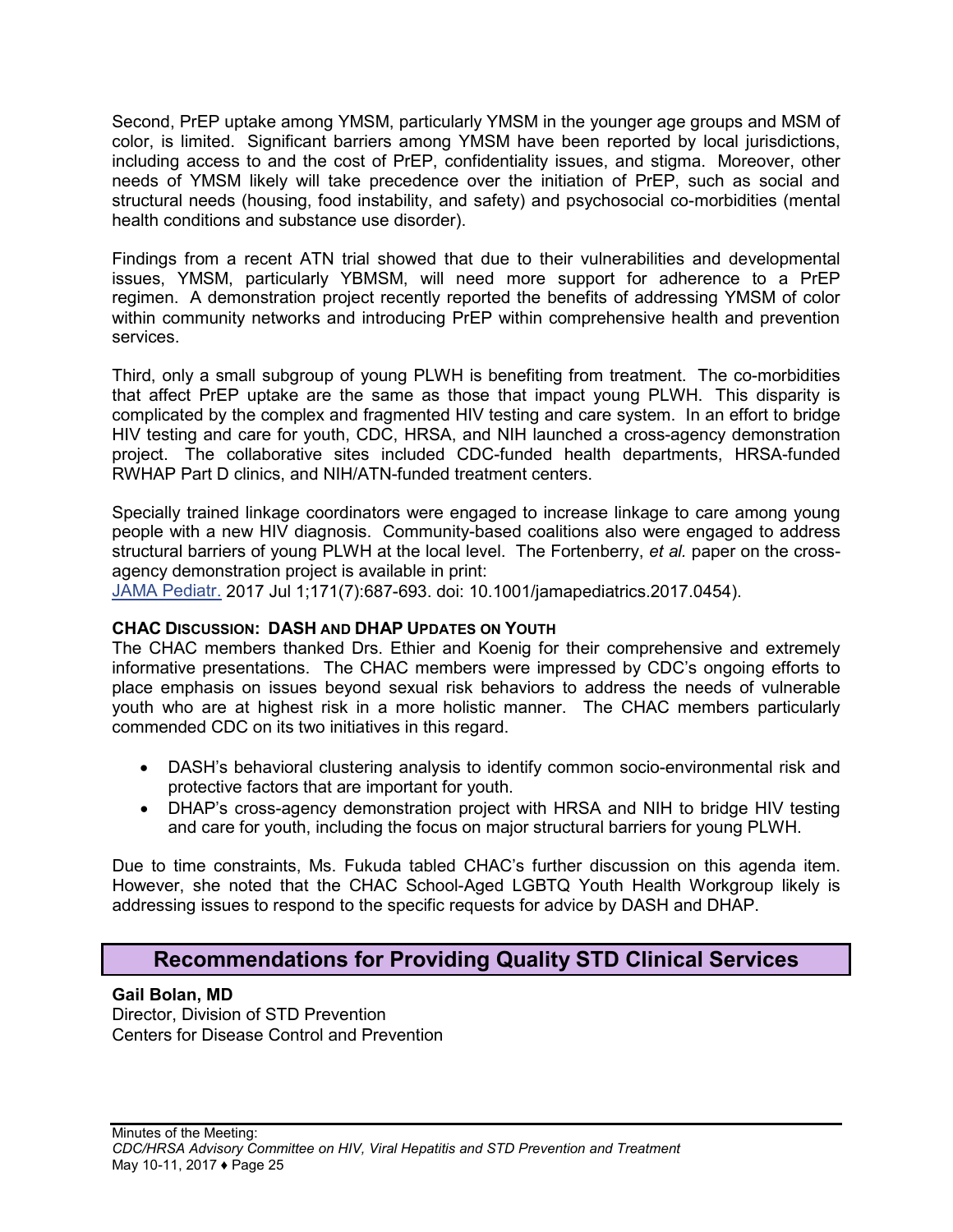Second, PrEP uptake among YMSM, particularly YMSM in the younger age groups and MSM of color, is limited. Significant barriers among YMSM have been reported by local jurisdictions, including access to and the cost of PrEP, confidentiality issues, and stigma. Moreover, other needs of YMSM likely will take precedence over the initiation of PrEP, such as social and structural needs (housing, food instability, and safety) and psychosocial co-morbidities (mental health conditions and substance use disorder).

Findings from a recent ATN trial showed that due to their vulnerabilities and developmental issues, YMSM, particularly YBMSM, will need more support for adherence to a PrEP regimen. A demonstration project recently reported the benefits of addressing YMSM of color within community networks and introducing PrEP within comprehensive health and prevention services.

Third, only a small subgroup of young PLWH is benefiting from treatment. The co-morbidities that affect PrEP uptake are the same as those that impact young PLWH. This disparity is complicated by the complex and fragmented HIV testing and care system. In an effort to bridge HIV testing and care for youth, CDC, HRSA, and NIH launched a cross-agency demonstration project. The collaborative sites included CDC-funded health departments, HRSA-funded RWHAP Part D clinics, and NIH/ATN-funded treatment centers.

Specially trained linkage coordinators were engaged to increase linkage to care among young people with a new HIV diagnosis. Community-based coalitions also were engaged to address structural barriers of young PLWH at the local level. The Fortenberry, *et al.* paper on the crossagency demonstration project is available in print:

[JAMA Pediatr.](https://www.ncbi.nlm.nih.gov/pubmed/28531268) 2017 Jul 1;171(7):687-693. doi: 10.1001/jamapediatrics.2017.0454).

## **CHAC DISCUSSION: DASH AND DHAP UPDATES ON YOUTH**

The CHAC members thanked Drs. Ethier and Koenig for their comprehensive and extremely informative presentations. The CHAC members were impressed by CDC's ongoing efforts to place emphasis on issues beyond sexual risk behaviors to address the needs of vulnerable youth who are at highest risk in a more holistic manner. The CHAC members particularly commended CDC on its two initiatives in this regard.

- DASH's behavioral clustering analysis to identify common socio-environmental risk and protective factors that are important for youth.
- DHAP's cross-agency demonstration project with HRSA and NIH to bridge HIV testing and care for youth, including the focus on major structural barriers for young PLWH.

Due to time constraints, Ms. Fukuda tabled CHAC's further discussion on this agenda item. However, she noted that the CHAC School-Aged LGBTQ Youth Health Workgroup likely is addressing issues to respond to the specific requests for advice by DASH and DHAP.

## <span id="page-26-0"></span>**Recommendations for Providing Quality STD Clinical Services**

#### **Gail Bolan, MD**

Director, Division of STD Prevention Centers for Disease Control and Prevention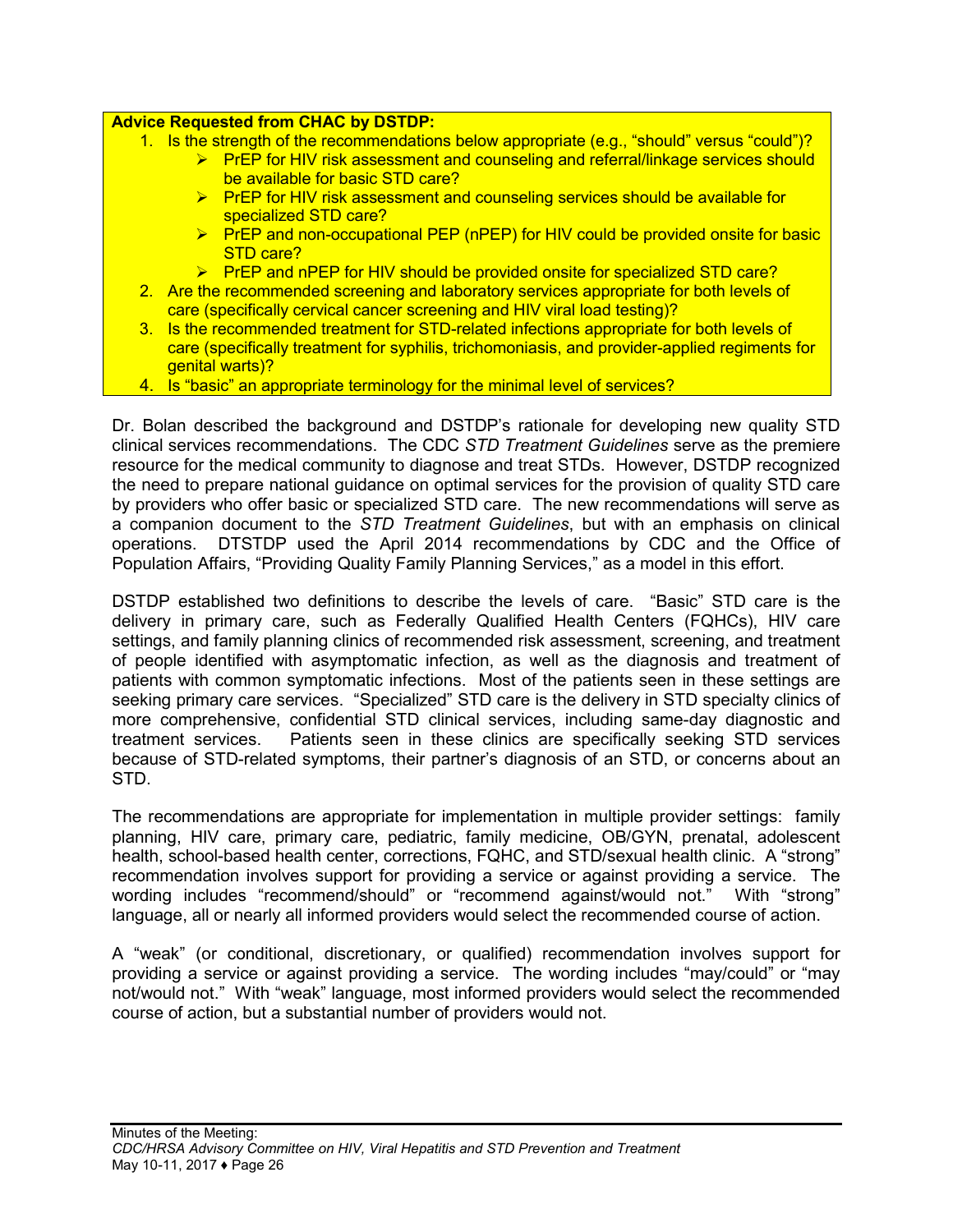#### **Advice Requested from CHAC by DSTDP:**

- 1. Is the strength of the recommendations below appropriate (e.g., "should" versus "could")?
	- $\triangleright$  PrEP for HIV risk assessment and counseling and referral/linkage services should be available for basic STD care?
	- $\triangleright$  PrEP for HIV risk assessment and counseling services should be available for specialized STD care?
	- ▶ PrEP and non-occupational PEP (nPEP) for HIV could be provided onsite for basic STD care?
	- $\triangleright$  PrEP and nPEP for HIV should be provided onsite for specialized STD care?
- 2. Are the recommended screening and laboratory services appropriate for both levels of care (specifically cervical cancer screening and HIV viral load testing)?
- 3. Is the recommended treatment for STD-related infections appropriate for both levels of care (specifically treatment for syphilis, trichomoniasis, and provider-applied regiments for genital warts)?
- 4. Is "basic" an appropriate terminology for the minimal level of services?

Dr. Bolan described the background and DSTDP's rationale for developing new quality STD clinical services recommendations. The CDC *STD Treatment Guidelines* serve as the premiere resource for the medical community to diagnose and treat STDs. However, DSTDP recognized the need to prepare national guidance on optimal services for the provision of quality STD care by providers who offer basic or specialized STD care. The new recommendations will serve as a companion document to the *STD Treatment Guidelines*, but with an emphasis on clinical operations. DTSTDP used the April 2014 recommendations by CDC and the Office of Population Affairs, "Providing Quality Family Planning Services," as a model in this effort.

DSTDP established two definitions to describe the levels of care. "Basic" STD care is the delivery in primary care, such as Federally Qualified Health Centers (FQHCs), HIV care settings, and family planning clinics of recommended risk assessment, screening, and treatment of people identified with asymptomatic infection, as well as the diagnosis and treatment of patients with common symptomatic infections. Most of the patients seen in these settings are seeking primary care services. "Specialized" STD care is the delivery in STD specialty clinics of more comprehensive, confidential STD clinical services, including same-day diagnostic and treatment services. Patients seen in these clinics are specifically seeking STD services because of STD-related symptoms, their partner's diagnosis of an STD, or concerns about an STD.

The recommendations are appropriate for implementation in multiple provider settings: family planning, HIV care, primary care, pediatric, family medicine, OB/GYN, prenatal, adolescent health, school-based health center, corrections, FQHC, and STD/sexual health clinic. A "strong" recommendation involves support for providing a service or against providing a service. The wording includes "recommend/should" or "recommend against/would not." With "strong" language, all or nearly all informed providers would select the recommended course of action.

A "weak" (or conditional, discretionary, or qualified) recommendation involves support for providing a service or against providing a service. The wording includes "may/could" or "may not/would not." With "weak" language, most informed providers would select the recommended course of action, but a substantial number of providers would not.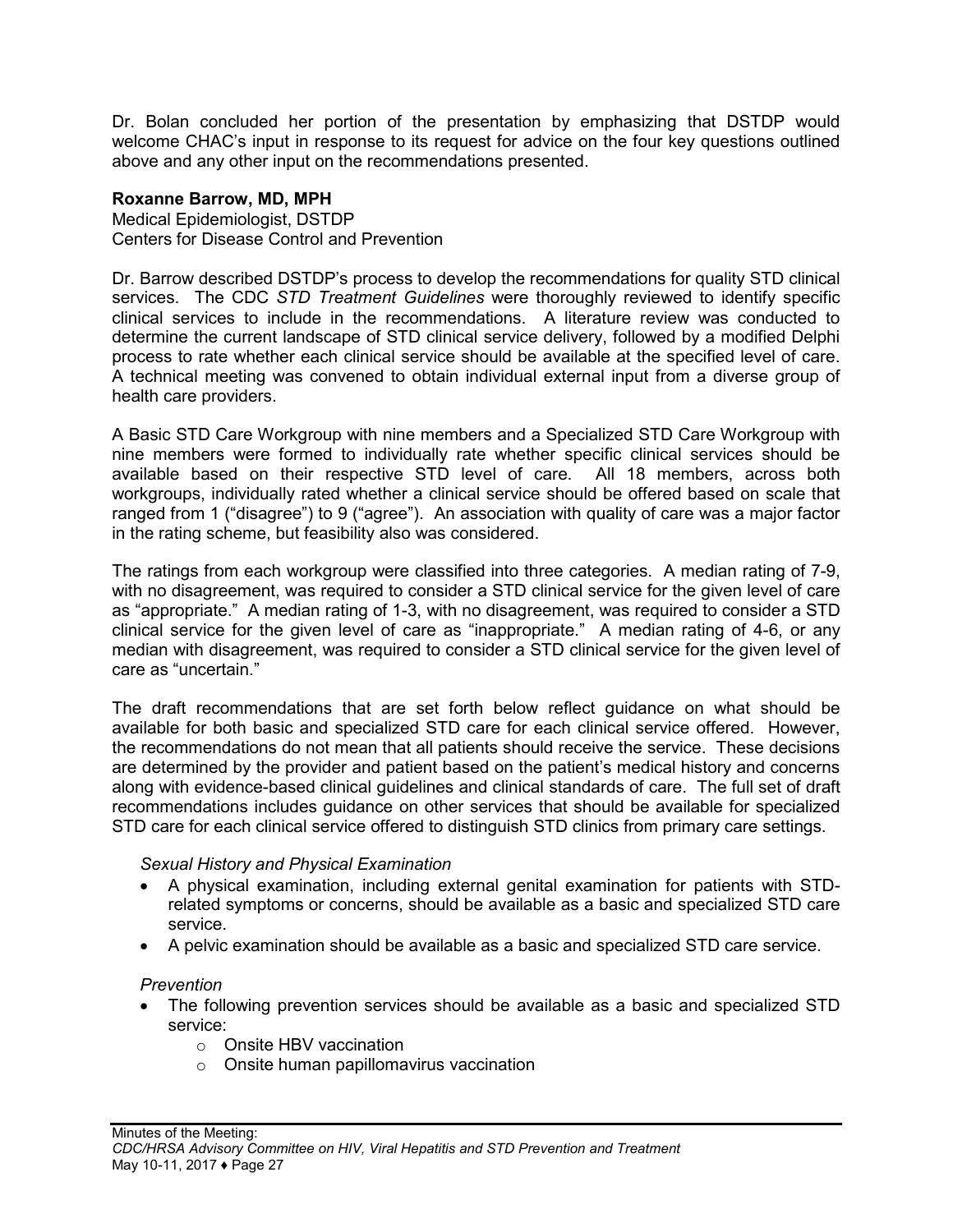Dr. Bolan concluded her portion of the presentation by emphasizing that DSTDP would welcome CHAC's input in response to its request for advice on the four key questions outlined above and any other input on the recommendations presented.

#### **Roxanne Barrow, MD, MPH**

Medical Epidemiologist, DSTDP Centers for Disease Control and Prevention

Dr. Barrow described DSTDP's process to develop the recommendations for quality STD clinical services. The CDC *STD Treatment Guidelines* were thoroughly reviewed to identify specific clinical services to include in the recommendations. A literature review was conducted to determine the current landscape of STD clinical service delivery, followed by a modified Delphi process to rate whether each clinical service should be available at the specified level of care. A technical meeting was convened to obtain individual external input from a diverse group of health care providers.

A Basic STD Care Workgroup with nine members and a Specialized STD Care Workgroup with nine members were formed to individually rate whether specific clinical services should be available based on their respective STD level of care. All 18 members, across both workgroups, individually rated whether a clinical service should be offered based on scale that ranged from 1 ("disagree") to 9 ("agree"). An association with quality of care was a major factor in the rating scheme, but feasibility also was considered.

The ratings from each workgroup were classified into three categories. A median rating of 7-9, with no disagreement, was required to consider a STD clinical service for the given level of care as "appropriate." A median rating of 1-3, with no disagreement, was required to consider a STD clinical service for the given level of care as "inappropriate." A median rating of 4-6, or any median with disagreement, was required to consider a STD clinical service for the given level of care as "uncertain."

The draft recommendations that are set forth below reflect guidance on what should be available for both basic and specialized STD care for each clinical service offered. However, the recommendations do not mean that all patients should receive the service. These decisions are determined by the provider and patient based on the patient's medical history and concerns along with evidence-based clinical guidelines and clinical standards of care. The full set of draft recommendations includes guidance on other services that should be available for specialized STD care for each clinical service offered to distinguish STD clinics from primary care settings.

#### *Sexual History and Physical Examination*

- A physical examination, including external genital examination for patients with STDrelated symptoms or concerns, should be available as a basic and specialized STD care service.
- A pelvic examination should be available as a basic and specialized STD care service.

#### *Prevention*

- The following prevention services should be available as a basic and specialized STD service:
	- o Onsite HBV vaccination
	- o Onsite human papillomavirus vaccination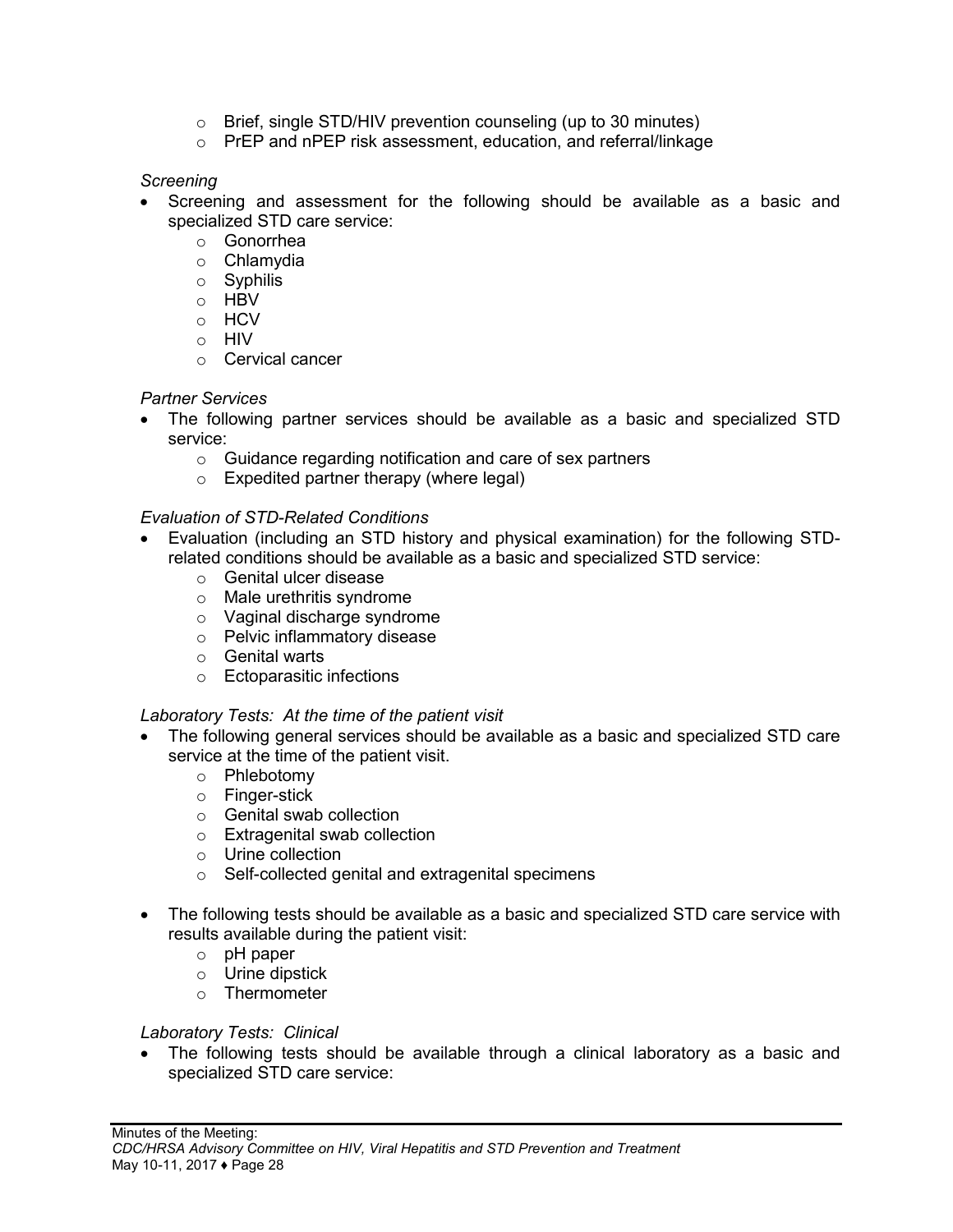- o Brief, single STD/HIV prevention counseling (up to 30 minutes)
- o PrEP and nPEP risk assessment, education, and referral/linkage

#### *Screening*

- Screening and assessment for the following should be available as a basic and specialized STD care service:
	- o Gonorrhea
	- o Chlamydia
	- o Syphilis
	- o HBV
	- o HCV
	- o HIV
	- o Cervical cancer

## *Partner Services*

- The following partner services should be available as a basic and specialized STD service:
	- o Guidance regarding notification and care of sex partners
	- o Expedited partner therapy (where legal)

## *Evaluation of STD-Related Conditions*

- Evaluation (including an STD history and physical examination) for the following STDrelated conditions should be available as a basic and specialized STD service: •
	- o Genital ulcer disease
	- o Male urethritis syndrome
	- o Vaginal discharge syndrome
	- o Pelvic inflammatory disease
	- o Genital warts
	- o Ectoparasitic infections

## *Laboratory Tests: At the time of the patient visit*

- The following general services should be available as a basic and specialized STD care service at the time of the patient visit.
	- o Phlebotomy
	- o Finger-stick
	- o Genital swab collection
	- o Extragenital swab collection
	- o Urine collection
	- o Self-collected genital and extragenital specimens
- The following tests should be available as a basic and specialized STD care service with results available during the patient visit:
	- o pH paper
	- o Urine dipstick
	- o Thermometer

## *Laboratory Tests: Clinical*

• The following tests should be available through a clinical laboratory as a basic and specialized STD care service: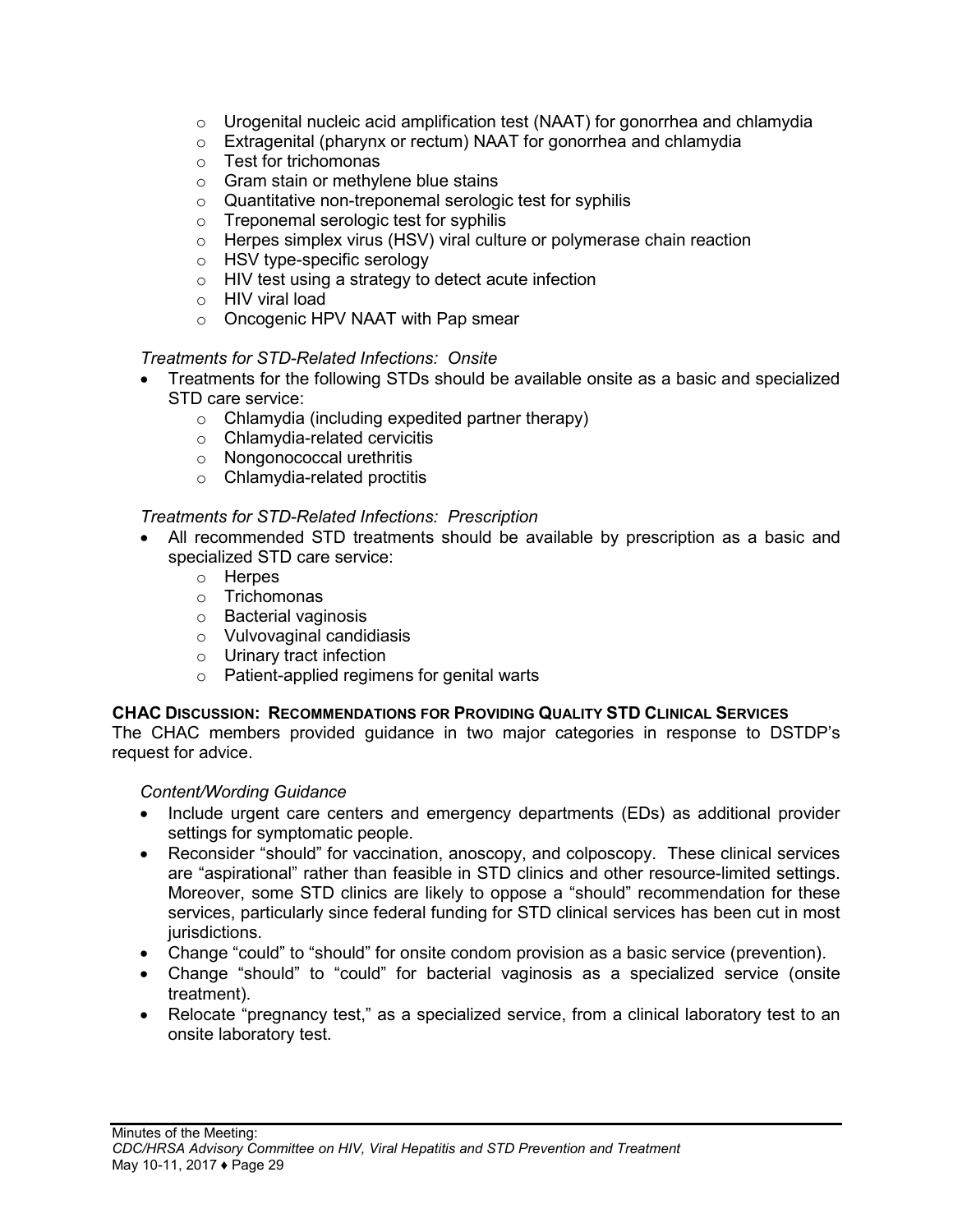- o Urogenital nucleic acid amplification test (NAAT) for gonorrhea and chlamydia
- o Extragenital (pharynx or rectum) NAAT for gonorrhea and chlamydia
- o Test for trichomonas
- o Gram stain or methylene blue stains
- o Quantitative non-treponemal serologic test for syphilis
- o Treponemal serologic test for syphilis
- o Herpes simplex virus (HSV) viral culture or polymerase chain reaction
- o HSV type-specific serology
- o HIV test using a strategy to detect acute infection
- o HIV viral load
- o Oncogenic HPV NAAT with Pap smear

### *Treatments for STD-Related Infections: Onsite*

- Treatments for the following STDs should be available onsite as a basic and specialized STD care service:
	- o Chlamydia (including expedited partner therapy)
	- o Chlamydia-related cervicitis
	- o Nongonococcal urethritis
	- o Chlamydia-related proctitis

### *Treatments for STD-Related Infections: Prescription*

- All recommended STD treatments should be available by prescription as a basic and specialized STD care service:
	- o Herpes
	- o Trichomonas
	- o Bacterial vaginosis
	- o Vulvovaginal candidiasis
	- o Urinary tract infection
	- o Patient-applied regimens for genital warts

#### **CHAC DISCUSSION: RECOMMENDATIONS FOR PROVIDING QUALITY STD CLINICAL SERVICES**

The CHAC members provided guidance in two major categories in response to DSTDP's request for advice.

#### *Content/Wording Guidance*

- Include urgent care centers and emergency departments (EDs) as additional provider settings for symptomatic people.
- Reconsider "should" for vaccination, anoscopy, and colposcopy. These clinical services are "aspirational" rather than feasible in STD clinics and other resource-limited settings. Moreover, some STD clinics are likely to oppose a "should" recommendation for these services, particularly since federal funding for STD clinical services has been cut in most jurisdictions.
- Change "could" to "should" for onsite condom provision as a basic service (prevention).
- Change "should" to "could" for bacterial vaginosis as a specialized service (onsite treatment).
- Relocate "pregnancy test," as a specialized service, from a clinical laboratory test to an onsite laboratory test.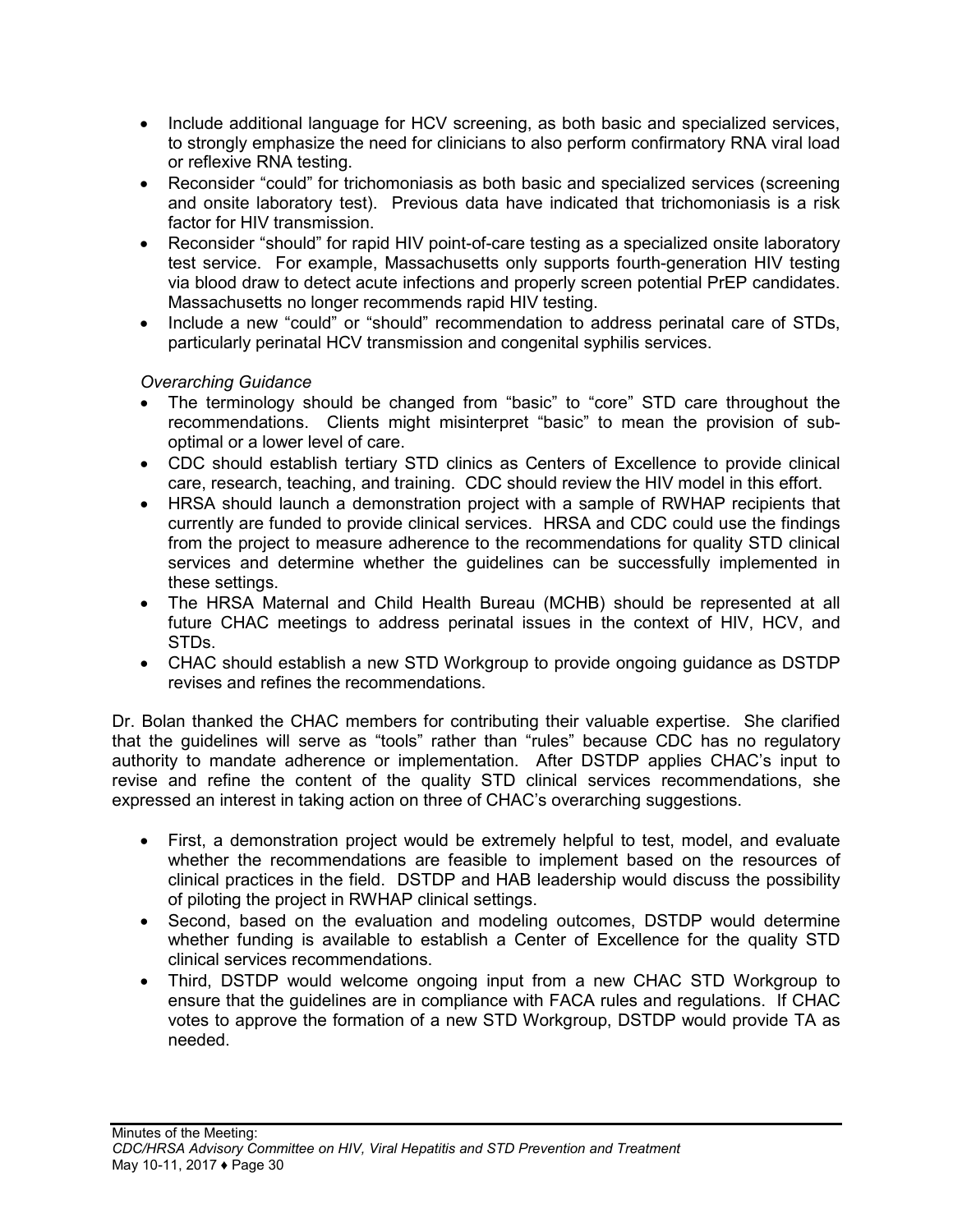- Include additional language for HCV screening, as both basic and specialized services, to strongly emphasize the need for clinicians to also perform confirmatory RNA viral load or reflexive RNA testing.
- Reconsider "could" for trichomoniasis as both basic and specialized services (screening and onsite laboratory test). Previous data have indicated that trichomoniasis is a risk factor for HIV transmission.
- Reconsider "should" for rapid HIV point-of-care testing as a specialized onsite laboratory test service. For example, Massachusetts only supports fourth-generation HIV testing via blood draw to detect acute infections and properly screen potential PrEP candidates. Massachusetts no longer recommends rapid HIV testing.
- Include a new "could" or "should" recommendation to address perinatal care of STDs, particularly perinatal HCV transmission and congenital syphilis services.

## *Overarching Guidance*

- The terminology should be changed from "basic" to "core" STD care throughout the recommendations. Clients might misinterpret "basic" to mean the provision of suboptimal or a lower level of care.
- CDC should establish tertiary STD clinics as Centers of Excellence to provide clinical care, research, teaching, and training. CDC should review the HIV model in this effort.
- HRSA should launch a demonstration project with a sample of RWHAP recipients that currently are funded to provide clinical services. HRSA and CDC could use the findings from the project to measure adherence to the recommendations for quality STD clinical services and determine whether the guidelines can be successfully implemented in these settings.
- The HRSA Maternal and Child Health Bureau (MCHB) should be represented at all future CHAC meetings to address perinatal issues in the context of HIV, HCV, and STDs.
- CHAC should establish a new STD Workgroup to provide ongoing guidance as DSTDP revises and refines the recommendations.

Dr. Bolan thanked the CHAC members for contributing their valuable expertise. She clarified that the guidelines will serve as "tools" rather than "rules" because CDC has no regulatory authority to mandate adherence or implementation. After DSTDP applies CHAC's input to revise and refine the content of the quality STD clinical services recommendations, she expressed an interest in taking action on three of CHAC's overarching suggestions.

- First, a demonstration project would be extremely helpful to test, model, and evaluate whether the recommendations are feasible to implement based on the resources of clinical practices in the field. DSTDP and HAB leadership would discuss the possibility of piloting the project in RWHAP clinical settings.
- Second, based on the evaluation and modeling outcomes, DSTDP would determine whether funding is available to establish a Center of Excellence for the quality STD clinical services recommendations.
- Third, DSTDP would welcome ongoing input from a new CHAC STD Workgroup to ensure that the guidelines are in compliance with FACA rules and regulations. If CHAC votes to approve the formation of a new STD Workgroup, DSTDP would provide TA as needed.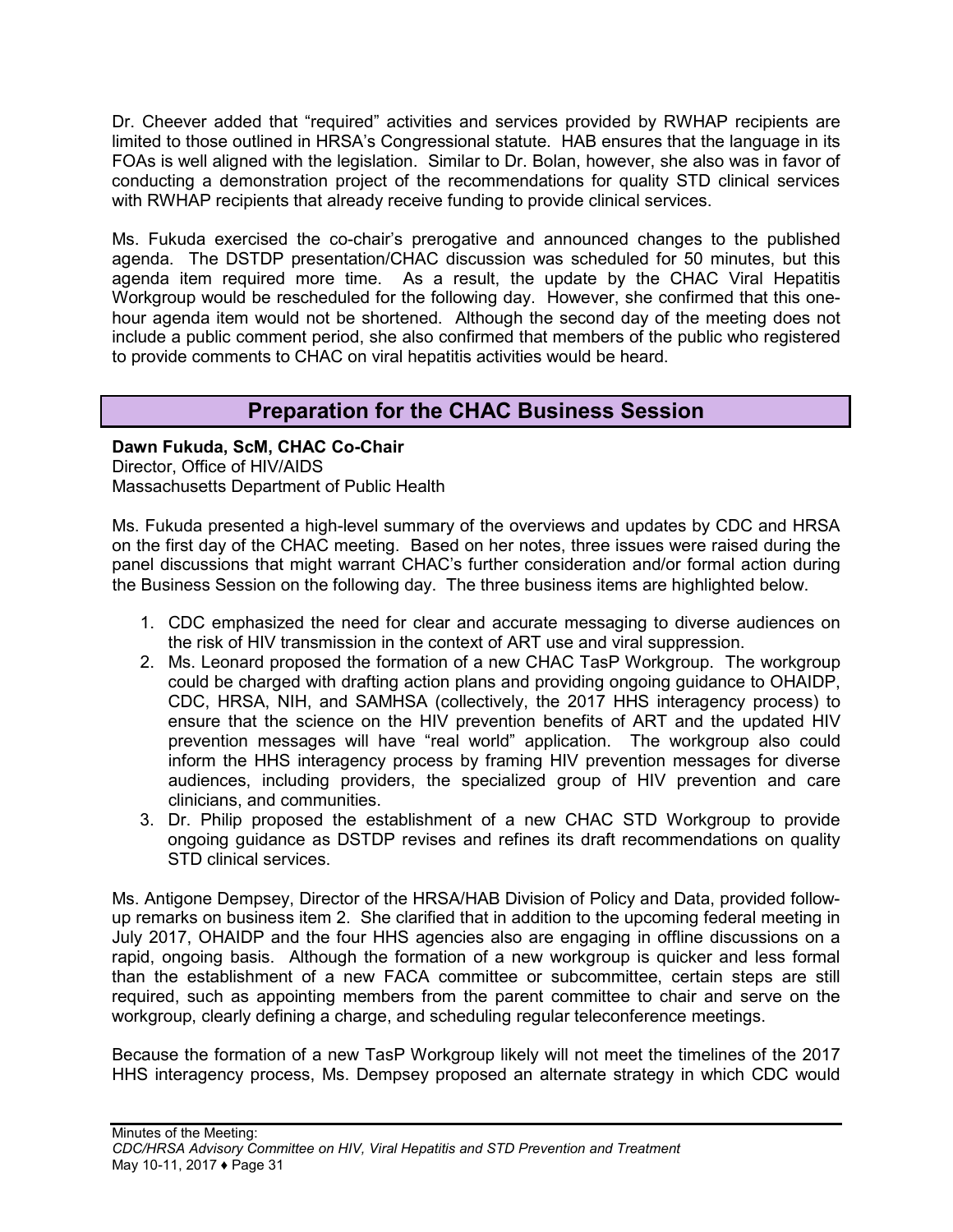Dr. Cheever added that "required" activities and services provided by RWHAP recipients are limited to those outlined in HRSA's Congressional statute. HAB ensures that the language in its FOAs is well aligned with the legislation. Similar to Dr. Bolan, however, she also was in favor of conducting a demonstration project of the recommendations for quality STD clinical services with RWHAP recipients that already receive funding to provide clinical services.

Ms. Fukuda exercised the co-chair's prerogative and announced changes to the published agenda. The DSTDP presentation/CHAC discussion was scheduled for 50 minutes, but this agenda item required more time. As a result, the update by the CHAC Viral Hepatitis Workgroup would be rescheduled for the following day. However, she confirmed that this onehour agenda item would not be shortened. Although the second day of the meeting does not include a public comment period, she also confirmed that members of the public who registered to provide comments to CHAC on viral hepatitis activities would be heard.

## **Preparation for the CHAC Business Session**

<span id="page-32-0"></span>**Dawn Fukuda, ScM, CHAC Co-Chair** Director, Office of HIV/AIDS Massachusetts Department of Public Health

Ms. Fukuda presented a high-level summary of the overviews and updates by CDC and HRSA on the first day of the CHAC meeting. Based on her notes, three issues were raised during the panel discussions that might warrant CHAC's further consideration and/or formal action during the Business Session on the following day. The three business items are highlighted below.

- 1. CDC emphasized the need for clear and accurate messaging to diverse audiences on the risk of HIV transmission in the context of ART use and viral suppression.
- 2. Ms. Leonard proposed the formation of a new CHAC TasP Workgroup. The workgroup could be charged with drafting action plans and providing ongoing guidance to OHAIDP, CDC, HRSA, NIH, and SAMHSA (collectively, the 2017 HHS interagency process) to ensure that the science on the HIV prevention benefits of ART and the updated HIV prevention messages will have "real world" application. The workgroup also could inform the HHS interagency process by framing HIV prevention messages for diverse audiences, including providers, the specialized group of HIV prevention and care clinicians, and communities.
- 3. Dr. Philip proposed the establishment of a new CHAC STD Workgroup to provide ongoing guidance as DSTDP revises and refines its draft recommendations on quality STD clinical services.

Ms. Antigone Dempsey, Director of the HRSA/HAB Division of Policy and Data, provided followup remarks on business item 2. She clarified that in addition to the upcoming federal meeting in July 2017, OHAIDP and the four HHS agencies also are engaging in offline discussions on a rapid, ongoing basis. Although the formation of a new workgroup is quicker and less formal than the establishment of a new FACA committee or subcommittee, certain steps are still required, such as appointing members from the parent committee to chair and serve on the workgroup, clearly defining a charge, and scheduling regular teleconference meetings.

Because the formation of a new TasP Workgroup likely will not meet the timelines of the 2017 HHS interagency process, Ms. Dempsey proposed an alternate strategy in which CDC would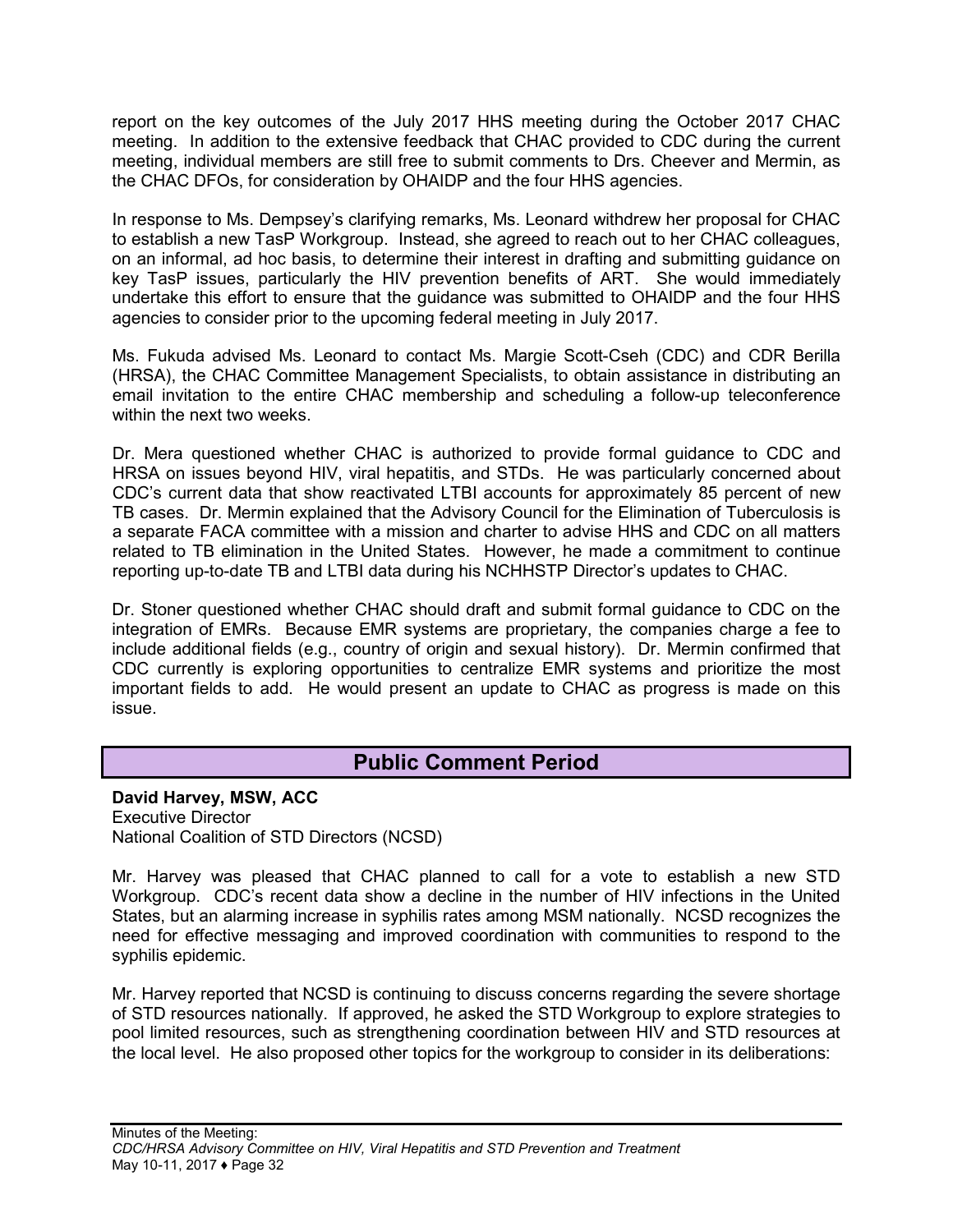report on the key outcomes of the July 2017 HHS meeting during the October 2017 CHAC meeting. In addition to the extensive feedback that CHAC provided to CDC during the current meeting, individual members are still free to submit comments to Drs. Cheever and Mermin, as the CHAC DFOs, for consideration by OHAIDP and the four HHS agencies.

In response to Ms. Dempsey's clarifying remarks, Ms. Leonard withdrew her proposal for CHAC to establish a new TasP Workgroup. Instead, she agreed to reach out to her CHAC colleagues, on an informal, ad hoc basis, to determine their interest in drafting and submitting guidance on key TasP issues, particularly the HIV prevention benefits of ART. She would immediately undertake this effort to ensure that the guidance was submitted to OHAIDP and the four HHS agencies to consider prior to the upcoming federal meeting in July 2017.

Ms. Fukuda advised Ms. Leonard to contact Ms. Margie Scott-Cseh (CDC) and CDR Berilla (HRSA), the CHAC Committee Management Specialists, to obtain assistance in distributing an email invitation to the entire CHAC membership and scheduling a follow-up teleconference within the next two weeks.

Dr. Mera questioned whether CHAC is authorized to provide formal guidance to CDC and HRSA on issues beyond HIV, viral hepatitis, and STDs. He was particularly concerned about CDC's current data that show reactivated LTBI accounts for approximately 85 percent of new TB cases. Dr. Mermin explained that the Advisory Council for the Elimination of Tuberculosis is a separate FACA committee with a mission and charter to advise HHS and CDC on all matters related to TB elimination in the United States. However, he made a commitment to continue reporting up-to-date TB and LTBI data during his NCHHSTP Director's updates to CHAC.

Dr. Stoner questioned whether CHAC should draft and submit formal guidance to CDC on the integration of EMRs. Because EMR systems are proprietary, the companies charge a fee to include additional fields (e.g., country of origin and sexual history). Dr. Mermin confirmed that CDC currently is exploring opportunities to centralize EMR systems and prioritize the most important fields to add. He would present an update to CHAC as progress is made on this issue.

## **Public Comment Period**

<span id="page-33-0"></span>**David Harvey, MSW, ACC** Executive Director National Coalition of STD Directors (NCSD)

Mr. Harvey was pleased that CHAC planned to call for a vote to establish a new STD Workgroup. CDC's recent data show a decline in the number of HIV infections in the United States, but an alarming increase in syphilis rates among MSM nationally. NCSD recognizes the need for effective messaging and improved coordination with communities to respond to the syphilis epidemic.

Mr. Harvey reported that NCSD is continuing to discuss concerns regarding the severe shortage of STD resources nationally. If approved, he asked the STD Workgroup to explore strategies to pool limited resources, such as strengthening coordination between HIV and STD resources at the local level. He also proposed other topics for the workgroup to consider in its deliberations: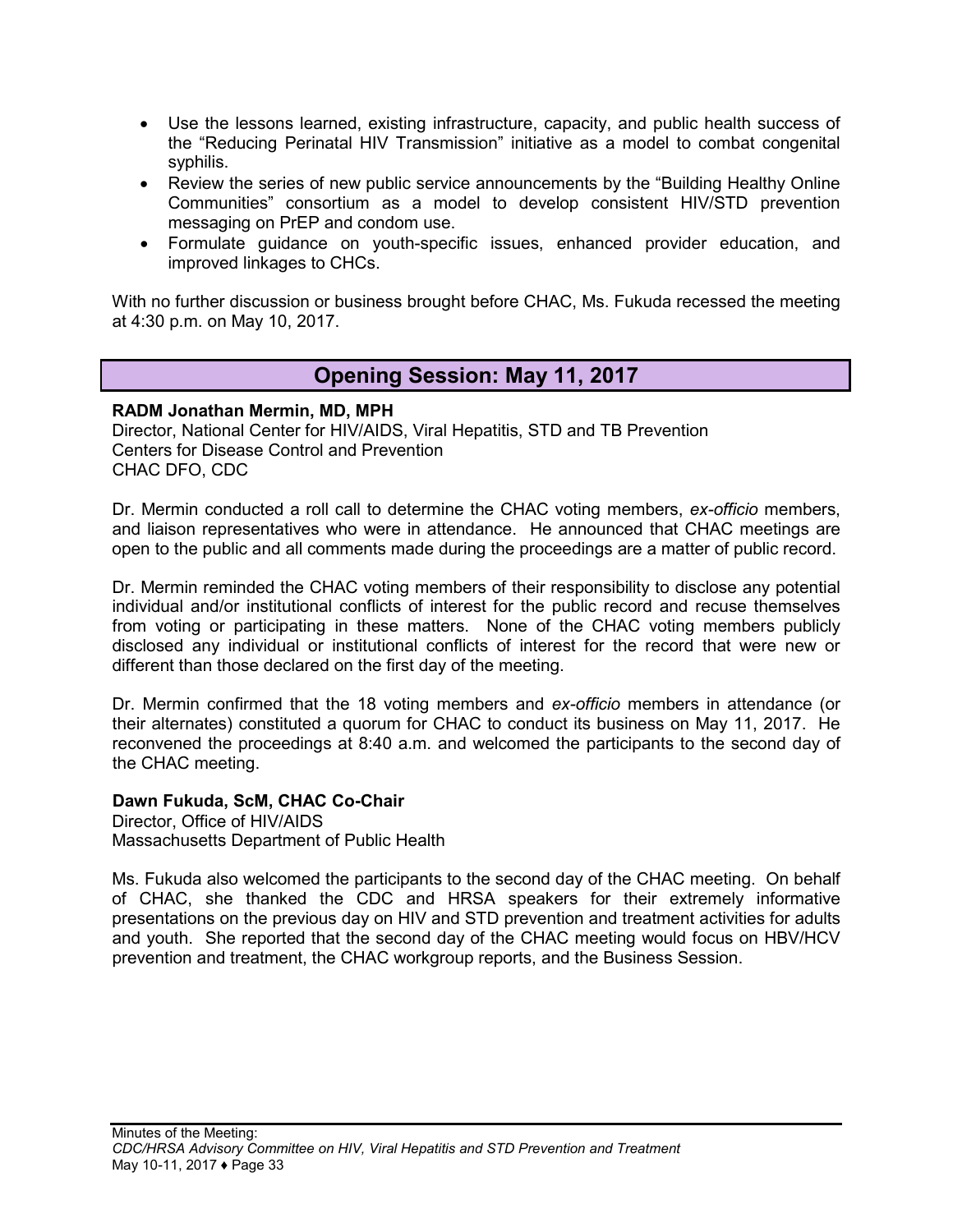- Use the lessons learned, existing infrastructure, capacity, and public health success of the "Reducing Perinatal HIV Transmission" initiative as a model to combat congenital syphilis.
- Review the series of new public service announcements by the "Building Healthy Online" Communities" consortium as a model to develop consistent HIV/STD prevention messaging on PrEP and condom use.
- Formulate guidance on youth-specific issues, enhanced provider education, and improved linkages to CHCs.

<span id="page-34-0"></span>With no further discussion or business brought before CHAC, Ms. Fukuda recessed the meeting at 4:30 p.m. on May 10, 2017.

## **Opening Session: May 11, 2017**

**RADM Jonathan Mermin, MD, MPH** Director, National Center for HIV/AIDS, Viral Hepatitis, STD and TB Prevention Centers for Disease Control and Prevention CHAC DFO, CDC

Dr. Mermin conducted a roll call to determine the CHAC voting members, *ex-officio* members, and liaison representatives who were in attendance. He announced that CHAC meetings are open to the public and all comments made during the proceedings are a matter of public record.

Dr. Mermin reminded the CHAC voting members of their responsibility to disclose any potential individual and/or institutional conflicts of interest for the public record and recuse themselves from voting or participating in these matters. None of the CHAC voting members publicly disclosed any individual or institutional conflicts of interest for the record that were new or different than those declared on the first day of the meeting.

Dr. Mermin confirmed that the 18 voting members and *ex-officio* members in attendance (or their alternates) constituted a quorum for CHAC to conduct its business on May 11, 2017. He reconvened the proceedings at 8:40 a.m. and welcomed the participants to the second day of the CHAC meeting.

#### **Dawn Fukuda, ScM, CHAC Co-Chair**

Director, Office of HIV/AIDS Massachusetts Department of Public Health

<span id="page-34-1"></span>Ms. Fukuda also welcomed the participants to the second day of the CHAC meeting. On behalf of CHAC, she thanked the CDC and HRSA speakers for their extremely informative presentations on the previous day on HIV and STD prevention and treatment activities for adults and youth. She reported that the second day of the CHAC meeting would focus on HBV/HCV prevention and treatment, the CHAC workgroup reports, and the Business Session.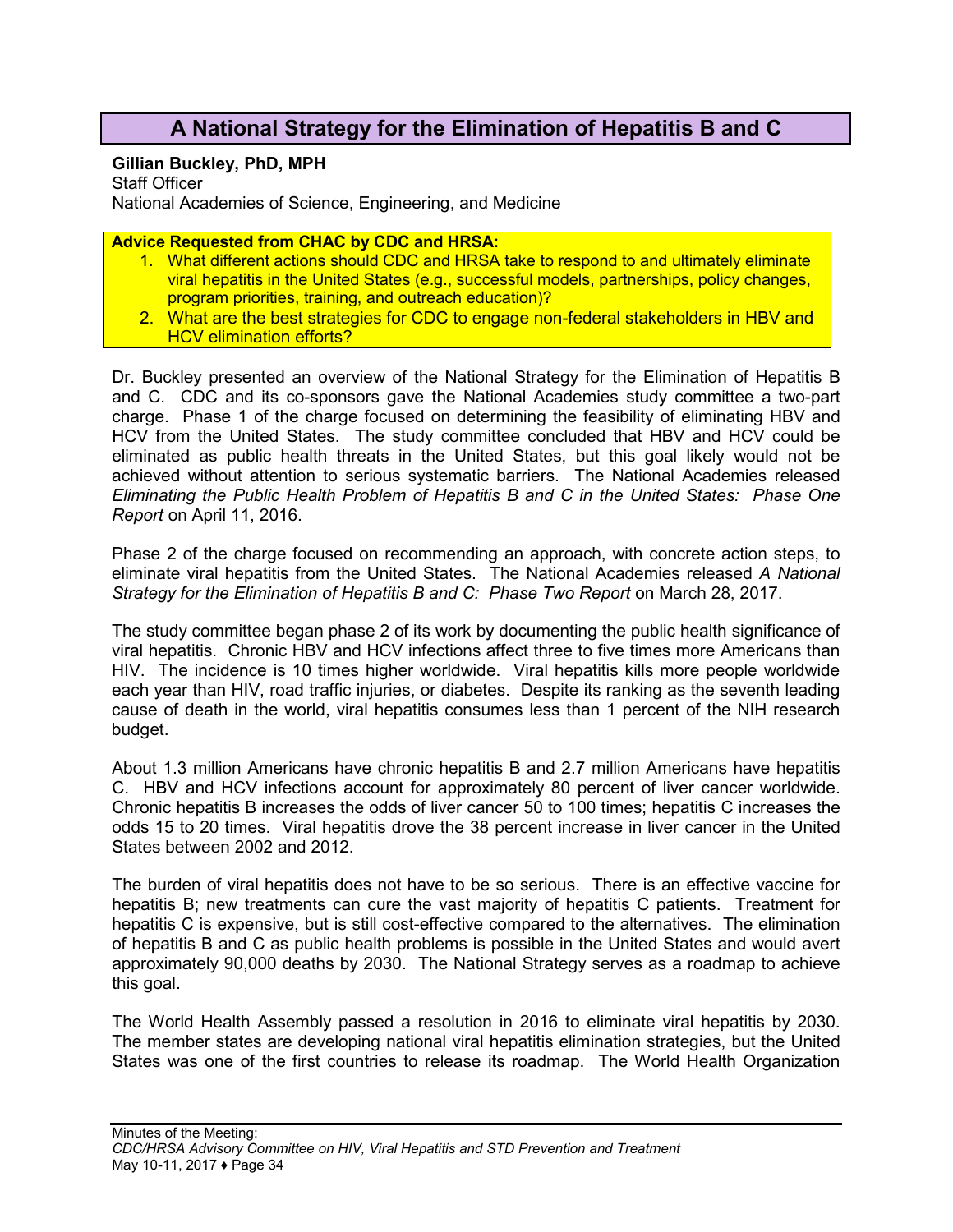## **A National Strategy for the Elimination of Hepatitis B and C**

#### **Gillian Buckley, PhD, MPH**

Staff Officer National Academies of Science, Engineering, and Medicine

**Advice Requested from CHAC by CDC and HRSA:**

- 1. What different actions should CDC and HRSA take to respond to and ultimately eliminate viral hepatitis in the United States (e.g., successful models, partnerships, policy changes, program priorities, training, and outreach education)?
- 2. What are the best strategies for CDC to engage non-federal stakeholders in HBV and HCV elimination efforts?

Dr. Buckley presented an overview of the National Strategy for the Elimination of Hepatitis B and C. CDC and its co-sponsors gave the National Academies study committee a two-part charge. Phase 1 of the charge focused on determining the feasibility of eliminating HBV and HCV from the United States. The study committee concluded that HBV and HCV could be eliminated as public health threats in the United States, but this goal likely would not be achieved without attention to serious systematic barriers. The National Academies released *Eliminating the Public Health Problem of Hepatitis B and C in the United States: Phase One Report* on April 11, 2016.

Phase 2 of the charge focused on recommending an approach, with concrete action steps, to eliminate viral hepatitis from the United States. The National Academies released *A National Strategy for the Elimination of Hepatitis B and C: Phase Two Report* on March 28, 2017.

The study committee began phase 2 of its work by documenting the public health significance of viral hepatitis. Chronic HBV and HCV infections affect three to five times more Americans than HIV. The incidence is 10 times higher worldwide. Viral hepatitis kills more people worldwide each year than HIV, road traffic injuries, or diabetes. Despite its ranking as the seventh leading cause of death in the world, viral hepatitis consumes less than 1 percent of the NIH research budget.

About 1.3 million Americans have chronic hepatitis B and 2.7 million Americans have hepatitis C. HBV and HCV infections account for approximately 80 percent of liver cancer worldwide. Chronic hepatitis B increases the odds of liver cancer 50 to 100 times; hepatitis C increases the odds 15 to 20 times. Viral hepatitis drove the 38 percent increase in liver cancer in the United States between 2002 and 2012.

The burden of viral hepatitis does not have to be so serious. There is an effective vaccine for hepatitis B; new treatments can cure the vast majority of hepatitis C patients. Treatment for hepatitis C is expensive, but is still cost-effective compared to the alternatives. The elimination of hepatitis B and C as public health problems is possible in the United States and would avert approximately 90,000 deaths by 2030. The National Strategy serves as a roadmap to achieve this goal.

The World Health Assembly passed a resolution in 2016 to eliminate viral hepatitis by 2030. The member states are developing national viral hepatitis elimination strategies, but the United States was one of the first countries to release its roadmap. The World Health Organization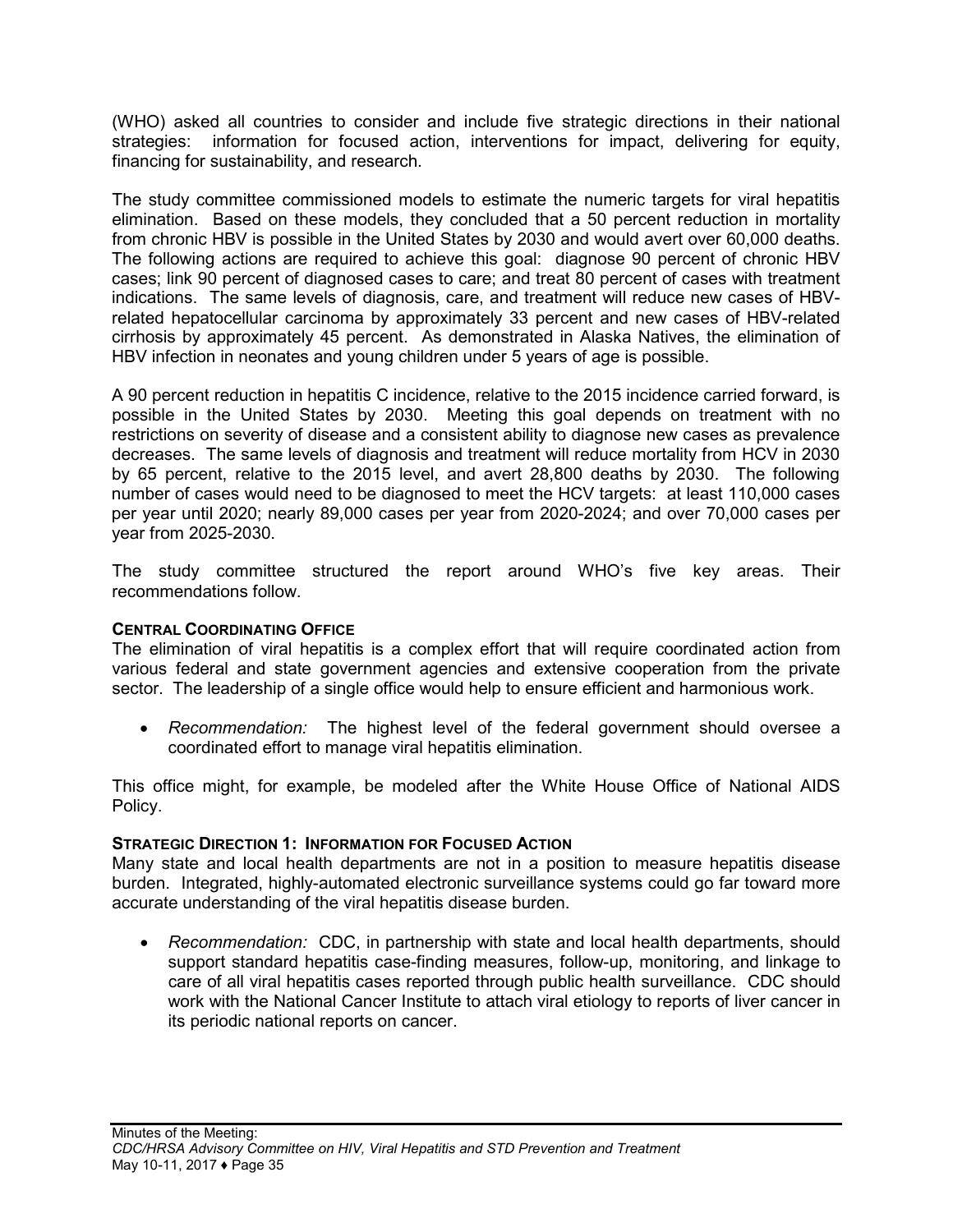(WHO) asked all countries to consider and include five strategic directions in their national strategies: information for focused action, interventions for impact, delivering for equity, financing for sustainability, and research.

The study committee commissioned models to estimate the numeric targets for viral hepatitis elimination. Based on these models, they concluded that a 50 percent reduction in mortality from chronic HBV is possible in the United States by 2030 and would avert over 60,000 deaths. The following actions are required to achieve this goal: diagnose 90 percent of chronic HBV cases; link 90 percent of diagnosed cases to care; and treat 80 percent of cases with treatment indications. The same levels of diagnosis, care, and treatment will reduce new cases of HBVrelated hepatocellular carcinoma by approximately 33 percent and new cases of HBV-related cirrhosis by approximately 45 percent. As demonstrated in Alaska Natives, the elimination of HBV infection in neonates and young children under 5 years of age is possible.

A 90 percent reduction in hepatitis C incidence, relative to the 2015 incidence carried forward, is possible in the United States by 2030. Meeting this goal depends on treatment with no restrictions on severity of disease and a consistent ability to diagnose new cases as prevalence decreases. The same levels of diagnosis and treatment will reduce mortality from HCV in 2030 by 65 percent, relative to the 2015 level, and avert 28,800 deaths by 2030. The following number of cases would need to be diagnosed to meet the HCV targets: at least 110,000 cases per year until 2020; nearly 89,000 cases per year from 2020-2024; and over 70,000 cases per year from 2025-2030.

The study committee structured the report around WHO's five key areas. Their recommendations follow.

#### **CENTRAL COORDINATING OFFICE**

The elimination of viral hepatitis is a complex effort that will require coordinated action from various federal and state government agencies and extensive cooperation from the private sector. The leadership of a single office would help to ensure efficient and harmonious work.

• *Recommendation:* The highest level of the federal government should oversee a coordinated effort to manage viral hepatitis elimination.

This office might, for example, be modeled after the White House Office of National AIDS Policy.

#### **STRATEGIC DIRECTION 1: INFORMATION FOR FOCUSED ACTION**

Many state and local health departments are not in a position to measure hepatitis disease burden. Integrated, highly-automated electronic surveillance systems could go far toward more accurate understanding of the viral hepatitis disease burden.

• *Recommendation:* CDC, in partnership with state and local health departments, should support standard hepatitis case-finding measures, follow-up, monitoring, and linkage to care of all viral hepatitis cases reported through public health surveillance. CDC should work with the National Cancer Institute to attach viral etiology to reports of liver cancer in its periodic national reports on cancer.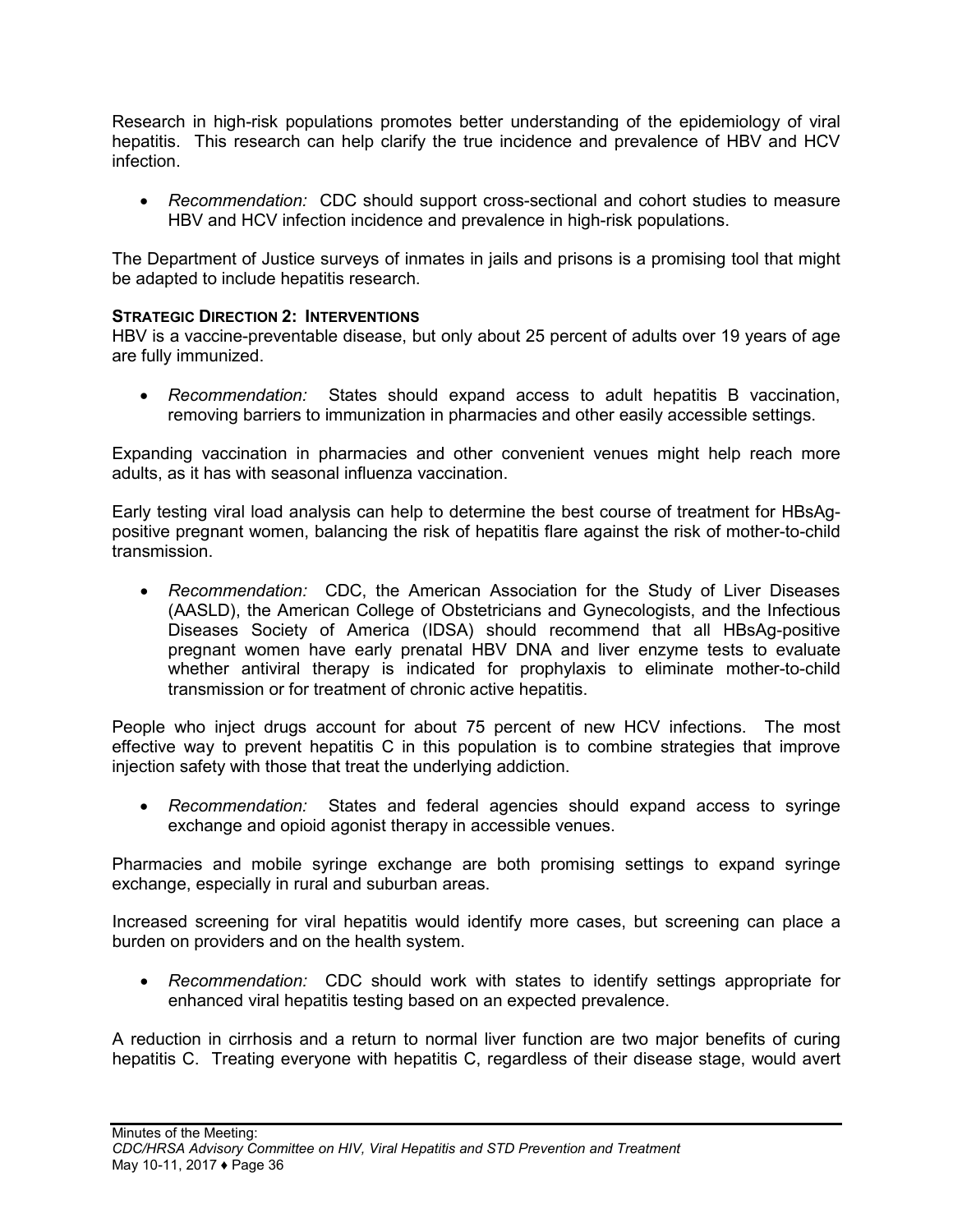Research in high-risk populations promotes better understanding of the epidemiology of viral hepatitis. This research can help clarify the true incidence and prevalence of HBV and HCV infection.

• *Recommendation:* CDC should support cross-sectional and cohort studies to measure HBV and HCV infection incidence and prevalence in high-risk populations.

The Department of Justice surveys of inmates in jails and prisons is a promising tool that might be adapted to include hepatitis research.

#### **STRATEGIC DIRECTION 2: INTERVENTIONS**

HBV is a vaccine-preventable disease, but only about 25 percent of adults over 19 years of age are fully immunized.

• *Recommendation:* States should expand access to adult hepatitis B vaccination, removing barriers to immunization in pharmacies and other easily accessible settings.

Expanding vaccination in pharmacies and other convenient venues might help reach more adults, as it has with seasonal influenza vaccination.

Early testing viral load analysis can help to determine the best course of treatment for HBsAgpositive pregnant women, balancing the risk of hepatitis flare against the risk of mother-to-child transmission.

• *Recommendation:* CDC, the American Association for the Study of Liver Diseases (AASLD), the American College of Obstetricians and Gynecologists, and the Infectious Diseases Society of America (IDSA) should recommend that all HBsAg-positive pregnant women have early prenatal HBV DNA and liver enzyme tests to evaluate whether antiviral therapy is indicated for prophylaxis to eliminate mother-to-child transmission or for treatment of chronic active hepatitis.

People who inject drugs account for about 75 percent of new HCV infections. The most effective way to prevent hepatitis C in this population is to combine strategies that improve injection safety with those that treat the underlying addiction.

• *Recommendation:* States and federal agencies should expand access to syringe exchange and opioid agonist therapy in accessible venues.

Pharmacies and mobile syringe exchange are both promising settings to expand syringe exchange, especially in rural and suburban areas.

Increased screening for viral hepatitis would identify more cases, but screening can place a burden on providers and on the health system.

• *Recommendation:* CDC should work with states to identify settings appropriate for enhanced viral hepatitis testing based on an expected prevalence.

A reduction in cirrhosis and a return to normal liver function are two major benefits of curing hepatitis C. Treating everyone with hepatitis C, regardless of their disease stage, would avert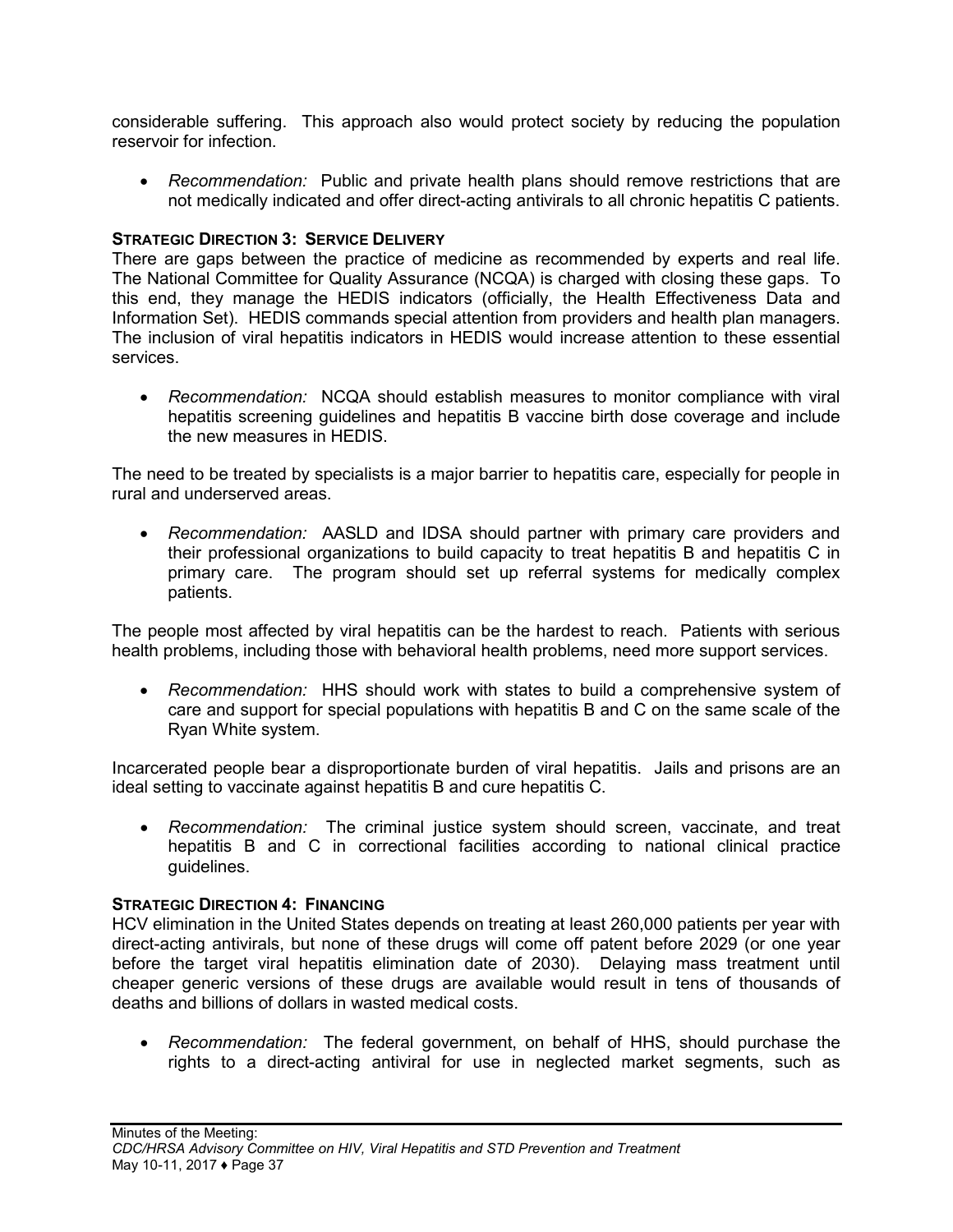considerable suffering. This approach also would protect society by reducing the population reservoir for infection.

• *Recommendation:* Public and private health plans should remove restrictions that are not medically indicated and offer direct-acting antivirals to all chronic hepatitis C patients.

#### **STRATEGIC DIRECTION 3: SERVICE DELIVERY**

There are gaps between the practice of medicine as recommended by experts and real life. The National Committee for Quality Assurance (NCQA) is charged with closing these gaps. To this end, they manage the HEDIS indicators (officially, the Health Effectiveness Data and Information Set). HEDIS commands special attention from providers and health plan managers. The inclusion of viral hepatitis indicators in HEDIS would increase attention to these essential services.

• *Recommendation:* NCQA should establish measures to monitor compliance with viral hepatitis screening guidelines and hepatitis B vaccine birth dose coverage and include the new measures in HEDIS.

The need to be treated by specialists is a major barrier to hepatitis care, especially for people in rural and underserved areas.

• *Recommendation:* AASLD and IDSA should partner with primary care providers and their professional organizations to build capacity to treat hepatitis B and hepatitis C in primary care. The program should set up referral systems for medically complex patients.

The people most affected by viral hepatitis can be the hardest to reach. Patients with serious health problems, including those with behavioral health problems, need more support services.

• *Recommendation:* HHS should work with states to build a comprehensive system of care and support for special populations with hepatitis B and C on the same scale of the Ryan White system.

Incarcerated people bear a disproportionate burden of viral hepatitis. Jails and prisons are an ideal setting to vaccinate against hepatitis B and cure hepatitis C.

• *Recommendation:* The criminal justice system should screen, vaccinate, and treat hepatitis B and C in correctional facilities according to national clinical practice guidelines.

#### **STRATEGIC DIRECTION 4: FINANCING**

HCV elimination in the United States depends on treating at least 260,000 patients per year with direct-acting antivirals, but none of these drugs will come off patent before 2029 (or one year before the target viral hepatitis elimination date of 2030). Delaying mass treatment until cheaper generic versions of these drugs are available would result in tens of thousands of deaths and billions of dollars in wasted medical costs.

• *Recommendation:* The federal government, on behalf of HHS, should purchase the rights to a direct-acting antiviral for use in neglected market segments, such as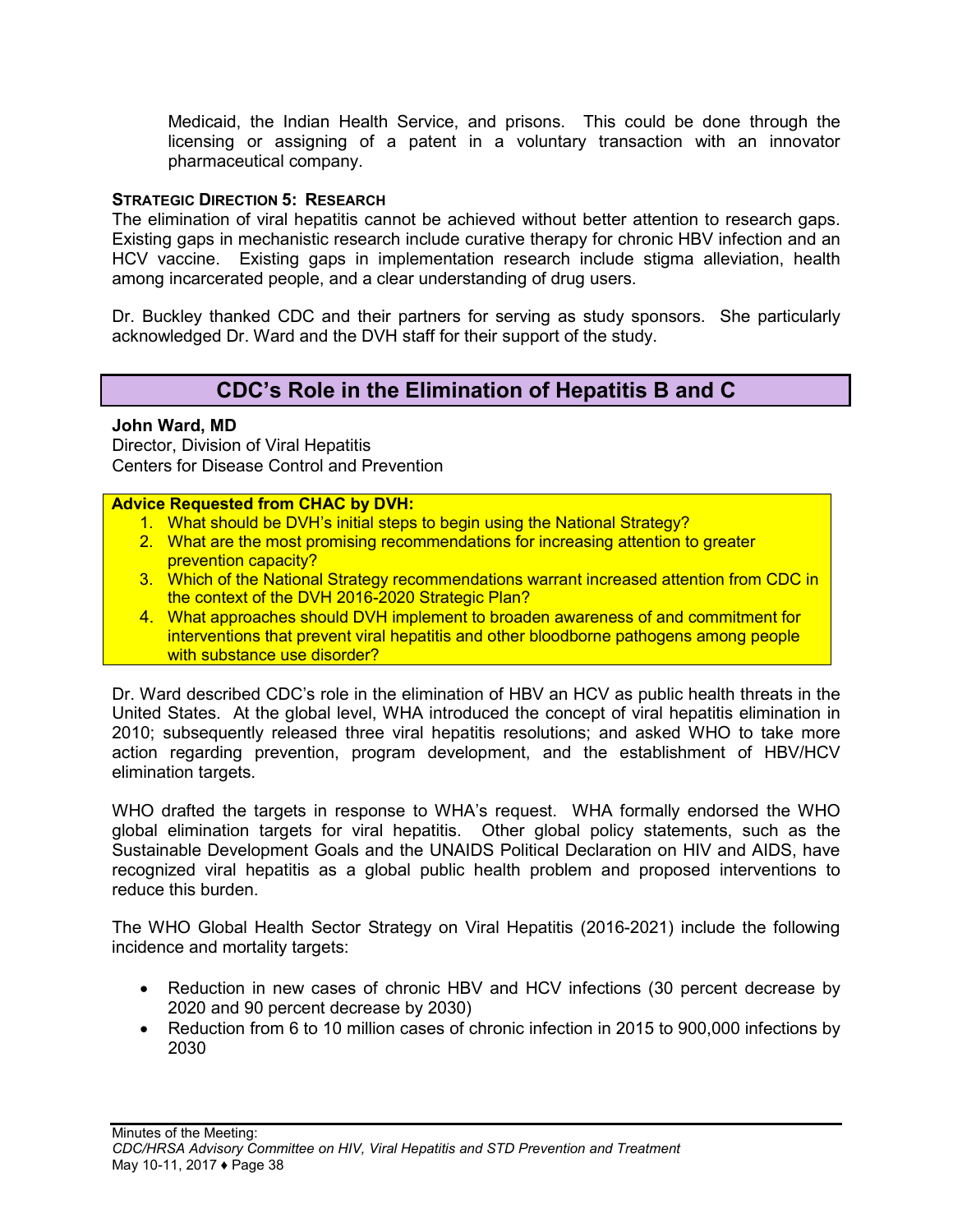Medicaid, the Indian Health Service, and prisons. This could be done through the licensing or assigning of a patent in a voluntary transaction with an innovator pharmaceutical company.

### **STRATEGIC DIRECTION 5: RESEARCH**

The elimination of viral hepatitis cannot be achieved without better attention to research gaps. Existing gaps in mechanistic research include curative therapy for chronic HBV infection and an HCV vaccine. Existing gaps in implementation research include stigma alleviation, health among incarcerated people, and a clear understanding of drug users.

Dr. Buckley thanked CDC and their partners for serving as study sponsors. She particularly acknowledged Dr. Ward and the DVH staff for their support of the study.

## **CDC's Role in the Elimination of Hepatitis B and C**

#### <span id="page-39-0"></span>**John Ward, MD**

Director, Division of Viral Hepatitis Centers for Disease Control and Prevention

#### **Advice Requested from CHAC by DVH:**

- 1. What should be DVH's initial steps to begin using the National Strategy?
- 2. What are the most promising recommendations for increasing attention to greater prevention capacity?
- 3. Which of the National Strategy recommendations warrant increased attention from CDC in the context of the DVH 2016-2020 Strategic Plan?
- 4. What approaches should DVH implement to broaden awareness of and commitment for interventions that prevent viral hepatitis and other bloodborne pathogens among people with substance use disorder?

Dr. Ward described CDC's role in the elimination of HBV an HCV as public health threats in the United States. At the global level, WHA introduced the concept of viral hepatitis elimination in 2010; subsequently released three viral hepatitis resolutions; and asked WHO to take more action regarding prevention, program development, and the establishment of HBV/HCV elimination targets.

WHO drafted the targets in response to WHA's request. WHA formally endorsed the WHO global elimination targets for viral hepatitis. Other global policy statements, such as the Sustainable Development Goals and the UNAIDS Political Declaration on HIV and AIDS, have recognized viral hepatitis as a global public health problem and proposed interventions to reduce this burden.

The WHO Global Health Sector Strategy on Viral Hepatitis (2016-2021) include the following incidence and mortality targets:

- Reduction in new cases of chronic HBV and HCV infections (30 percent decrease by 2020 and 90 percent decrease by 2030)
- Reduction from 6 to 10 million cases of chronic infection in 2015 to 900,000 infections by 2030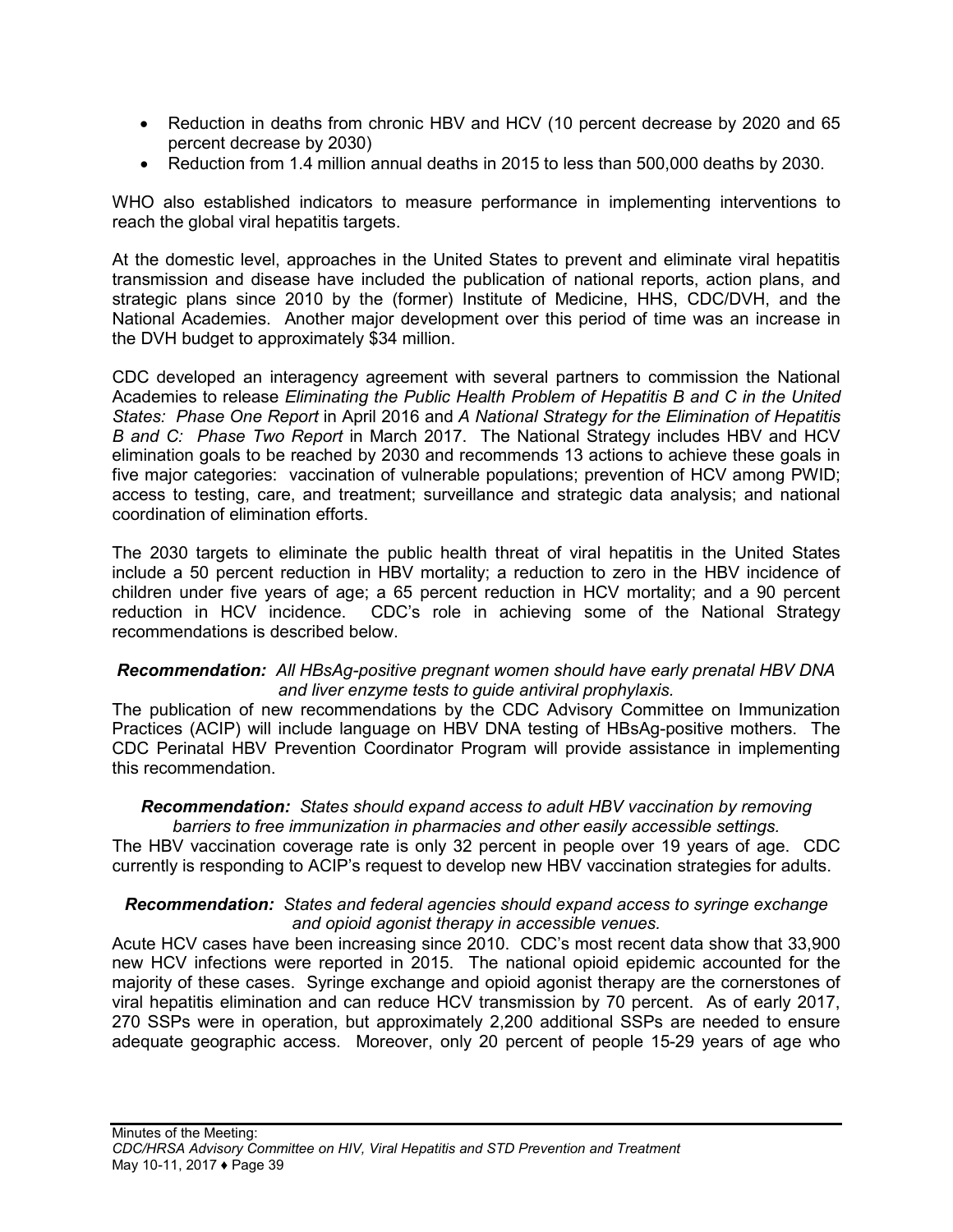- Reduction in deaths from chronic HBV and HCV (10 percent decrease by 2020 and 65 percent decrease by 2030)
- Reduction from 1.4 million annual deaths in 2015 to less than 500,000 deaths by 2030.

WHO also established indicators to measure performance in implementing interventions to reach the global viral hepatitis targets.

At the domestic level, approaches in the United States to prevent and eliminate viral hepatitis transmission and disease have included the publication of national reports, action plans, and strategic plans since 2010 by the (former) Institute of Medicine, HHS, CDC/DVH, and the National Academies. Another major development over this period of time was an increase in the DVH budget to approximately \$34 million.

CDC developed an interagency agreement with several partners to commission the National Academies to release *Eliminating the Public Health Problem of Hepatitis B and C in the United States: Phase One Report* in April 2016 and *A National Strategy for the Elimination of Hepatitis B and C: Phase Two Report* in March 2017. The National Strategy includes HBV and HCV elimination goals to be reached by 2030 and recommends 13 actions to achieve these goals in five major categories: vaccination of vulnerable populations; prevention of HCV among PWID; access to testing, care, and treatment; surveillance and strategic data analysis; and national coordination of elimination efforts.

The 2030 targets to eliminate the public health threat of viral hepatitis in the United States include a 50 percent reduction in HBV mortality; a reduction to zero in the HBV incidence of children under five years of age; a 65 percent reduction in HCV mortality; and a 90 percent reduction in HCV incidence. CDC's role in achieving some of the National Strategy recommendations is described below.

### *Recommendation: All HBsAg-positive pregnant women should have early prenatal HBV DNA and liver enzyme tests to guide antiviral prophylaxis.*

The publication of new recommendations by the CDC Advisory Committee on Immunization Practices (ACIP) will include language on HBV DNA testing of HBsAg-positive mothers. The CDC Perinatal HBV Prevention Coordinator Program will provide assistance in implementing this recommendation.

#### *Recommendation: States should expand access to adult HBV vaccination by removing barriers to free immunization in pharmacies and other easily accessible settings.*

The HBV vaccination coverage rate is only 32 percent in people over 19 years of age. CDC currently is responding to ACIP's request to develop new HBV vaccination strategies for adults.

#### *Recommendation: States and federal agencies should expand access to syringe exchange and opioid agonist therapy in accessible venues.*

Acute HCV cases have been increasing since 2010. CDC's most recent data show that 33,900 new HCV infections were reported in 2015. The national opioid epidemic accounted for the majority of these cases. Syringe exchange and opioid agonist therapy are the cornerstones of viral hepatitis elimination and can reduce HCV transmission by 70 percent. As of early 2017, 270 SSPs were in operation, but approximately 2,200 additional SSPs are needed to ensure adequate geographic access. Moreover, only 20 percent of people 15-29 years of age who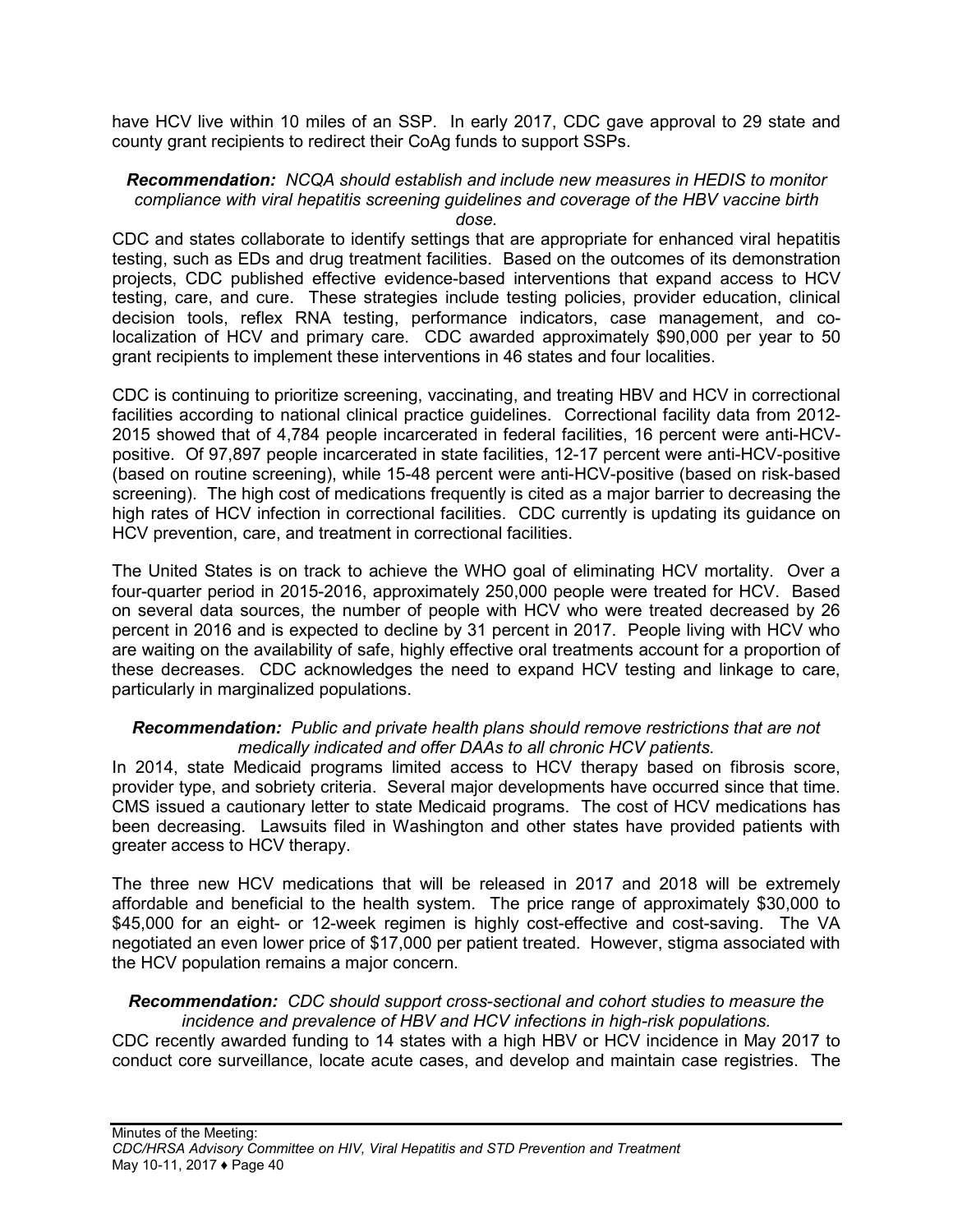have HCV live within 10 miles of an SSP. In early 2017, CDC gave approval to 29 state and county grant recipients to redirect their CoAg funds to support SSPs.

#### *Recommendation: NCQA should establish and include new measures in HEDIS to monitor compliance with viral hepatitis screening guidelines and coverage of the HBV vaccine birth dose.*

CDC and states collaborate to identify settings that are appropriate for enhanced viral hepatitis testing, such as EDs and drug treatment facilities. Based on the outcomes of its demonstration projects, CDC published effective evidence-based interventions that expand access to HCV testing, care, and cure. These strategies include testing policies, provider education, clinical decision tools, reflex RNA testing, performance indicators, case management, and colocalization of HCV and primary care. CDC awarded approximately \$90,000 per year to 50 grant recipients to implement these interventions in 46 states and four localities.

CDC is continuing to prioritize screening, vaccinating, and treating HBV and HCV in correctional facilities according to national clinical practice guidelines. Correctional facility data from 2012- 2015 showed that of 4,784 people incarcerated in federal facilities, 16 percent were anti-HCVpositive. Of 97,897 people incarcerated in state facilities, 12-17 percent were anti-HCV-positive (based on routine screening), while 15-48 percent were anti-HCV-positive (based on risk-based screening). The high cost of medications frequently is cited as a major barrier to decreasing the high rates of HCV infection in correctional facilities. CDC currently is updating its guidance on HCV prevention, care, and treatment in correctional facilities.

The United States is on track to achieve the WHO goal of eliminating HCV mortality. Over a four-quarter period in 2015-2016, approximately 250,000 people were treated for HCV. Based on several data sources, the number of people with HCV who were treated decreased by 26 percent in 2016 and is expected to decline by 31 percent in 2017. People living with HCV who are waiting on the availability of safe, highly effective oral treatments account for a proportion of these decreases. CDC acknowledges the need to expand HCV testing and linkage to care, particularly in marginalized populations.

#### *Recommendation: Public and private health plans should remove restrictions that are not medically indicated and offer DAAs to all chronic HCV patients.*

In 2014, state Medicaid programs limited access to HCV therapy based on fibrosis score, provider type, and sobriety criteria. Several major developments have occurred since that time. CMS issued a cautionary letter to state Medicaid programs. The cost of HCV medications has been decreasing. Lawsuits filed in Washington and other states have provided patients with greater access to HCV therapy.

The three new HCV medications that will be released in 2017 and 2018 will be extremely affordable and beneficial to the health system. The price range of approximately \$30,000 to \$45,000 for an eight- or 12-week regimen is highly cost-effective and cost-saving. The VA negotiated an even lower price of \$17,000 per patient treated. However, stigma associated with the HCV population remains a major concern.

#### *Recommendation: CDC should support cross-sectional and cohort studies to measure the incidence and prevalence of HBV and HCV infections in high-risk populations.*

CDC recently awarded funding to 14 states with a high HBV or HCV incidence in May 2017 to conduct core surveillance, locate acute cases, and develop and maintain case registries. The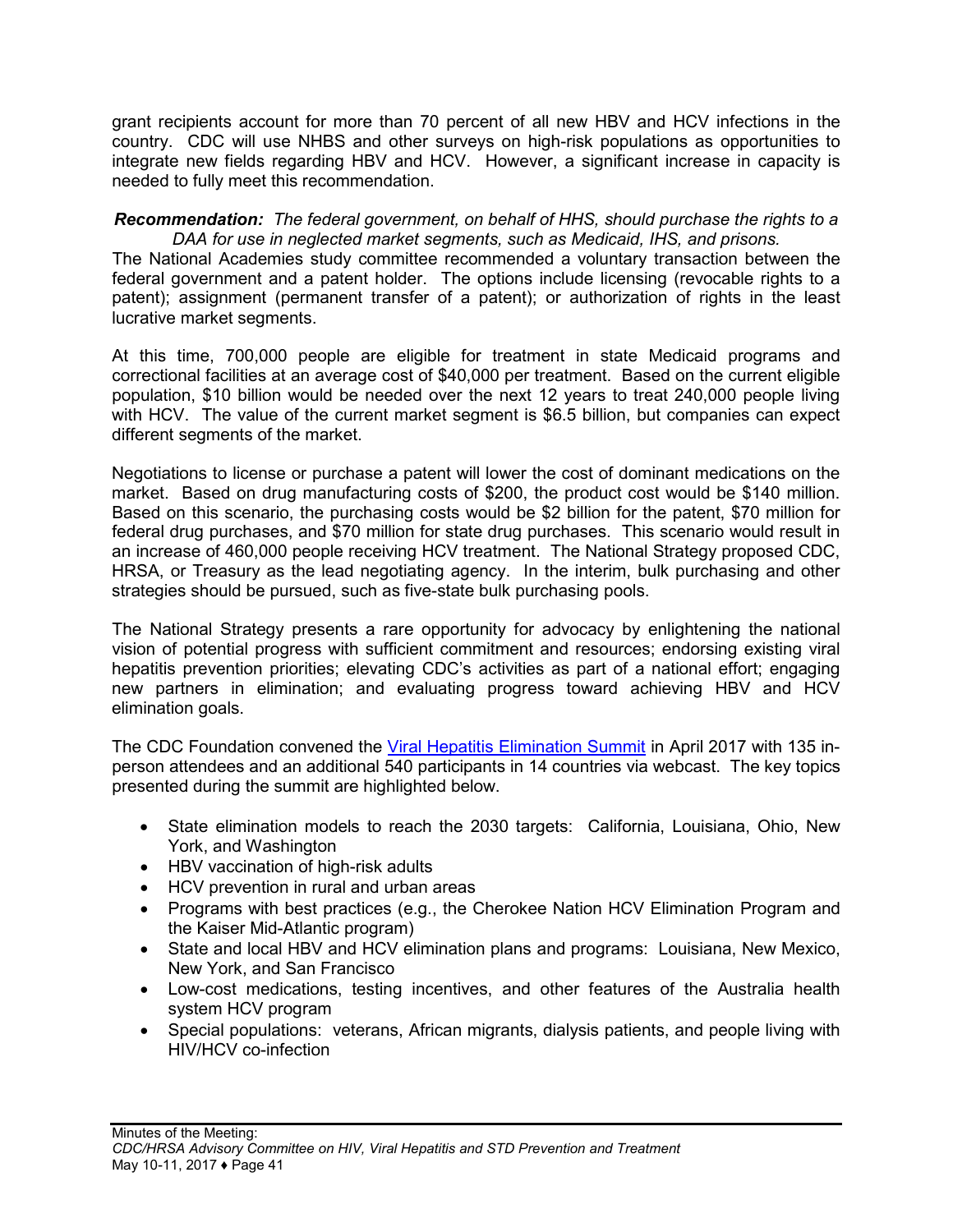grant recipients account for more than 70 percent of all new HBV and HCV infections in the country. CDC will use NHBS and other surveys on high-risk populations as opportunities to integrate new fields regarding HBV and HCV. However, a significant increase in capacity is needed to fully meet this recommendation.

#### *Recommendation: The federal government, on behalf of HHS, should purchase the rights to a DAA for use in neglected market segments, such as Medicaid, IHS, and prisons.*

The National Academies study committee recommended a voluntary transaction between the federal government and a patent holder. The options include licensing (revocable rights to a patent); assignment (permanent transfer of a patent); or authorization of rights in the least lucrative market segments.

At this time, 700,000 people are eligible for treatment in state Medicaid programs and correctional facilities at an average cost of \$40,000 per treatment. Based on the current eligible population, \$10 billion would be needed over the next 12 years to treat 240,000 people living with HCV. The value of the current market segment is \$6.5 billion, but companies can expect different segments of the market.

Negotiations to license or purchase a patent will lower the cost of dominant medications on the market. Based on drug manufacturing costs of \$200, the product cost would be \$140 million. Based on this scenario, the purchasing costs would be \$2 billion for the patent, \$70 million for federal drug purchases, and \$70 million for state drug purchases. This scenario would result in an increase of 460,000 people receiving HCV treatment. The National Strategy proposed CDC, HRSA, or Treasury as the lead negotiating agency. In the interim, bulk purchasing and other strategies should be pursued, such as five-state bulk purchasing pools.

The National Strategy presents a rare opportunity for advocacy by enlightening the national vision of potential progress with sufficient commitment and resources; endorsing existing viral hepatitis prevention priorities; elevating CDC's activities as part of a national effort; engaging new partners in elimination; and evaluating progress toward achieving HBV and HCV elimination goals.

The CDC Foundation convened the Viral Hepatitis [Elimination](http://viralhepatitisaction.org/Hepatitis-B-and-C-Elimination-Summit) Summit in April 2017 with 135 inperson attendees and an additional 540 participants in 14 countries via webcast. The key topics presented during the summit are highlighted below.

- State elimination models to reach the 2030 targets: California, Louisiana, Ohio, New York, and Washington
- HBV vaccination of high-risk adults
- HCV prevention in rural and urban areas
- Programs with best practices (e.g., the Cherokee Nation HCV Elimination Program and the Kaiser Mid-Atlantic program)
- State and local HBV and HCV elimination plans and programs: Louisiana, New Mexico, New York, and San Francisco
- Low-cost medications, testing incentives, and other features of the Australia health system HCV program
- Special populations: veterans, African migrants, dialysis patients, and people living with HIV/HCV co-infection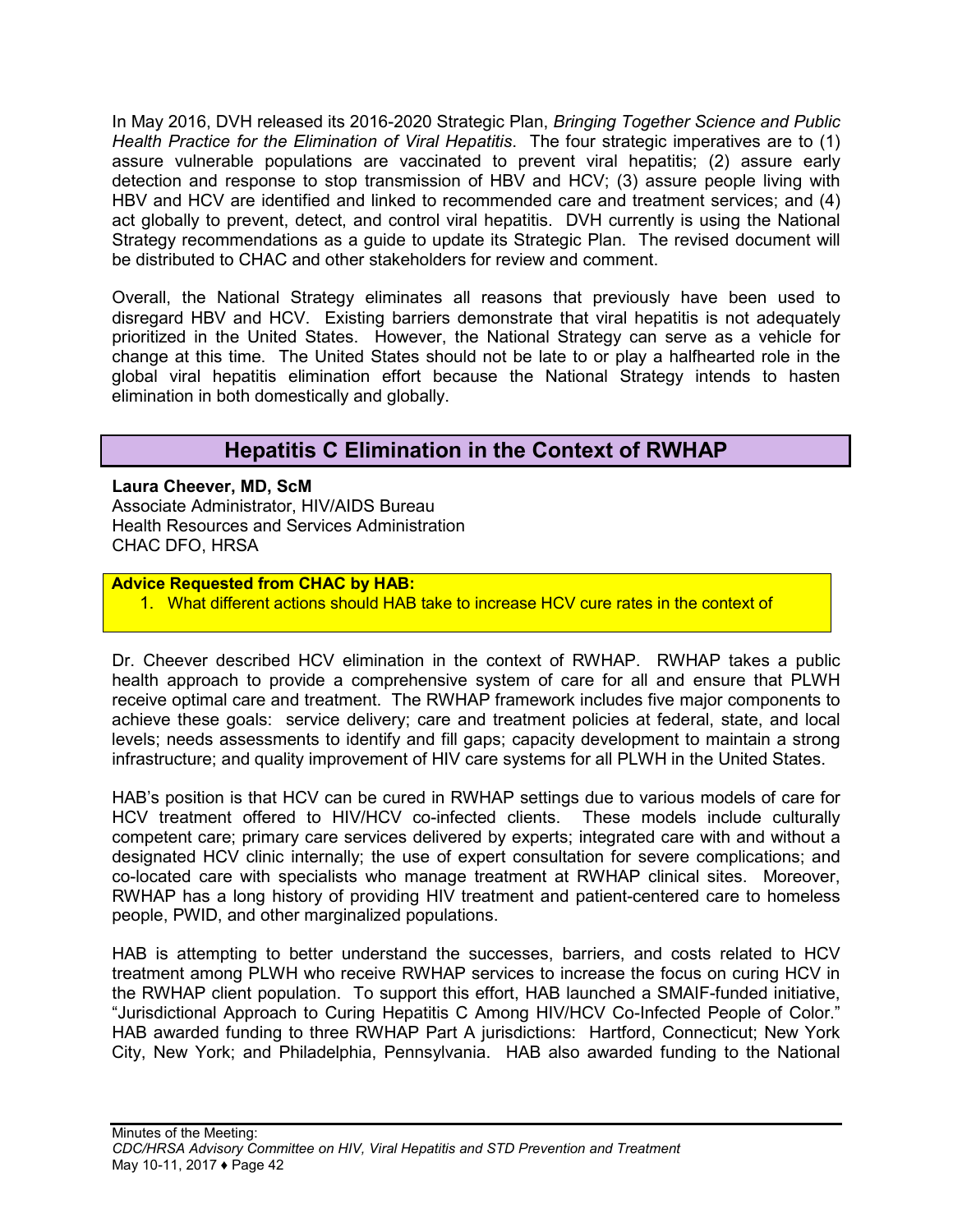In May 2016, DVH released its 2016-2020 Strategic Plan, *Bringing Together Science and Public Health Practice for the Elimination of Viral Hepatitis*. The four strategic imperatives are to (1) assure vulnerable populations are vaccinated to prevent viral hepatitis; (2) assure early detection and response to stop transmission of HBV and HCV; (3) assure people living with HBV and HCV are identified and linked to recommended care and treatment services; and (4) act globally to prevent, detect, and control viral hepatitis. DVH currently is using the National Strategy recommendations as a guide to update its Strategic Plan. The revised document will be distributed to CHAC and other stakeholders for review and comment.

Overall, the National Strategy eliminates all reasons that previously have been used to disregard HBV and HCV. Existing barriers demonstrate that viral hepatitis is not adequately prioritized in the United States. However, the National Strategy can serve as a vehicle for change at this time. The United States should not be late to or play a halfhearted role in the global viral hepatitis elimination effort because the National Strategy intends to hasten elimination in both domestically and globally.

## **Hepatitis C Elimination in the Context of RWHAP**

<span id="page-43-0"></span>**Laura Cheever, MD, ScM** Associate Administrator, HIV/AIDS Bureau Health Resources and Services Administration CHAC DFO, HRSA

### **Advice Requested from CHAC by HAB:**

1. What different actions should HAB take to increase HCV cure rates in the context of

Dr. Cheever described HCV elimination in the context of RWHAP. RWHAP takes a public health approach to provide a comprehensive system of care for all and ensure that PLWH receive optimal care and treatment. The RWHAP framework includes five major components to achieve these goals: service delivery; care and treatment policies at federal, state, and local levels; needs assessments to identify and fill gaps; capacity development to maintain a strong infrastructure; and quality improvement of HIV care systems for all PLWH in the United States.

HAB's position is that HCV can be cured in RWHAP settings due to various models of care for HCV treatment offered to HIV/HCV co-infected clients. These models include culturally competent care; primary care services delivered by experts; integrated care with and without a designated HCV clinic internally; the use of expert consultation for severe complications; and co-located care with specialists who manage treatment at RWHAP clinical sites. Moreover, RWHAP has a long history of providing HIV treatment and patient-centered care to homeless people, PWID, and other marginalized populations.

HAB is attempting to better understand the successes, barriers, and costs related to HCV treatment among PLWH who receive RWHAP services to increase the focus on curing HCV in the RWHAP client population. To support this effort, HAB launched a SMAIF-funded initiative, "Jurisdictional Approach to Curing Hepatitis C Among HIV/HCV Co-Infected People of Color." HAB awarded funding to three RWHAP Part A jurisdictions: Hartford, Connecticut; New York City, New York; and Philadelphia, Pennsylvania. HAB also awarded funding to the National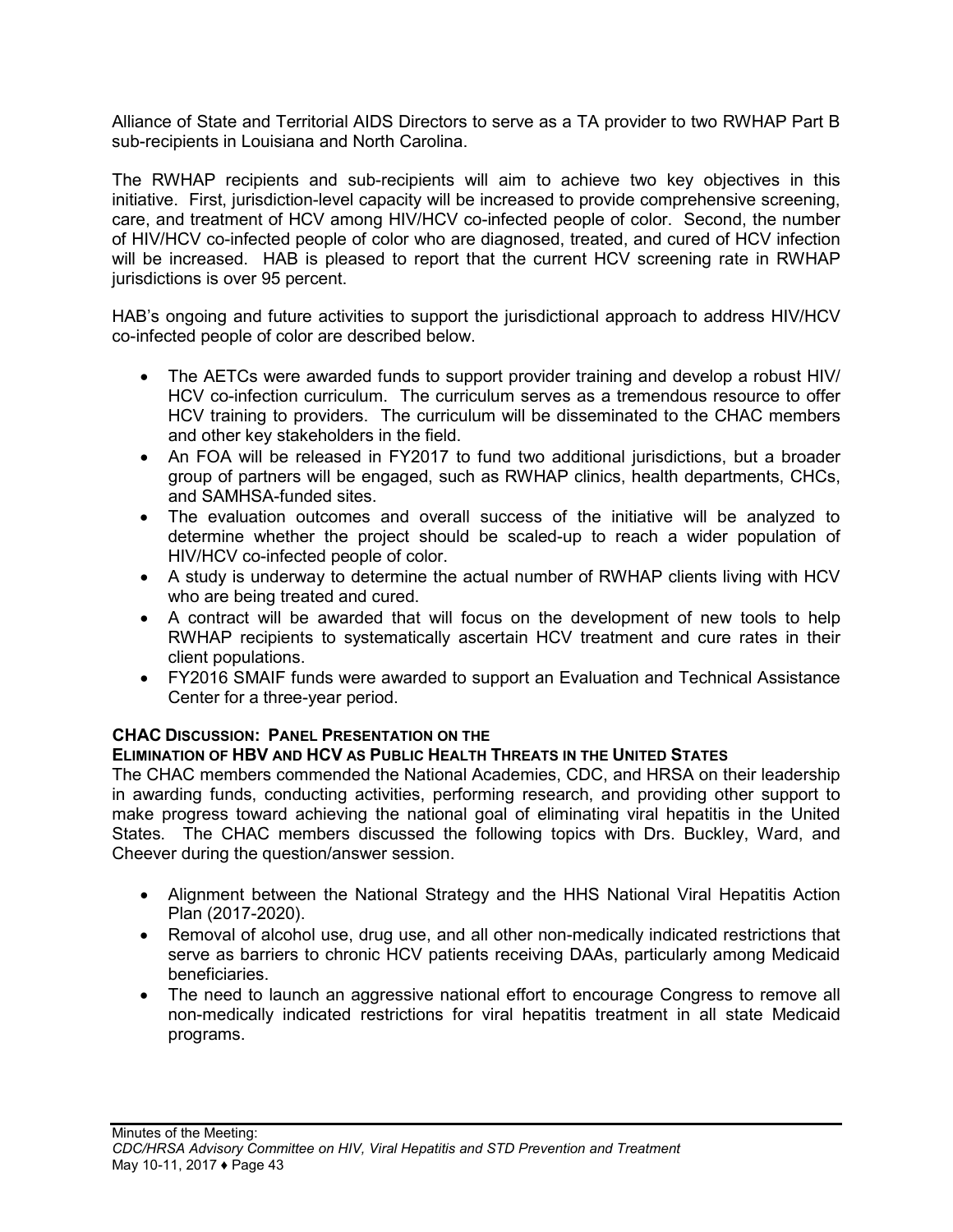Alliance of State and Territorial AIDS Directors to serve as a TA provider to two RWHAP Part B sub-recipients in Louisiana and North Carolina.

The RWHAP recipients and sub-recipients will aim to achieve two key objectives in this initiative. First, jurisdiction-level capacity will be increased to provide comprehensive screening, care, and treatment of HCV among HIV/HCV co-infected people of color. Second, the number of HIV/HCV co-infected people of color who are diagnosed, treated, and cured of HCV infection will be increased. HAB is pleased to report that the current HCV screening rate in RWHAP jurisdictions is over 95 percent.

HAB's ongoing and future activities to support the jurisdictional approach to address HIV/HCV co-infected people of color are described below.

- The AETCs were awarded funds to support provider training and develop a robust HIV/ HCV co-infection curriculum. The curriculum serves as a tremendous resource to offer HCV training to providers. The curriculum will be disseminated to the CHAC members and other key stakeholders in the field.
- An FOA will be released in FY2017 to fund two additional jurisdictions, but a broader group of partners will be engaged, such as RWHAP clinics, health departments, CHCs, and SAMHSA-funded sites.
- The evaluation outcomes and overall success of the initiative will be analyzed to determine whether the project should be scaled-up to reach a wider population of HIV/HCV co-infected people of color.
- A study is underway to determine the actual number of RWHAP clients living with HCV who are being treated and cured.
- A contract will be awarded that will focus on the development of new tools to help RWHAP recipients to systematically ascertain HCV treatment and cure rates in their client populations.
- FY2016 SMAIF funds were awarded to support an Evaluation and Technical Assistance Center for a three-year period.

## **CHAC DISCUSSION: PANEL PRESENTATION ON THE**

## **ELIMINATION OF HBV AND HCV AS PUBLIC HEALTH THREATS IN THE UNITED STATES**

The CHAC members commended the National Academies, CDC, and HRSA on their leadership in awarding funds, conducting activities, performing research, and providing other support to make progress toward achieving the national goal of eliminating viral hepatitis in the United States. The CHAC members discussed the following topics with Drs. Buckley, Ward, and Cheever during the question/answer session.

- Alignment between the National Strategy and the HHS National Viral Hepatitis Action Plan (2017-2020).
- Removal of alcohol use, drug use, and all other non-medically indicated restrictions that serve as barriers to chronic HCV patients receiving DAAs, particularly among Medicaid beneficiaries.
- The need to launch an aggressive national effort to encourage Congress to remove all non-medically indicated restrictions for viral hepatitis treatment in all state Medicaid programs.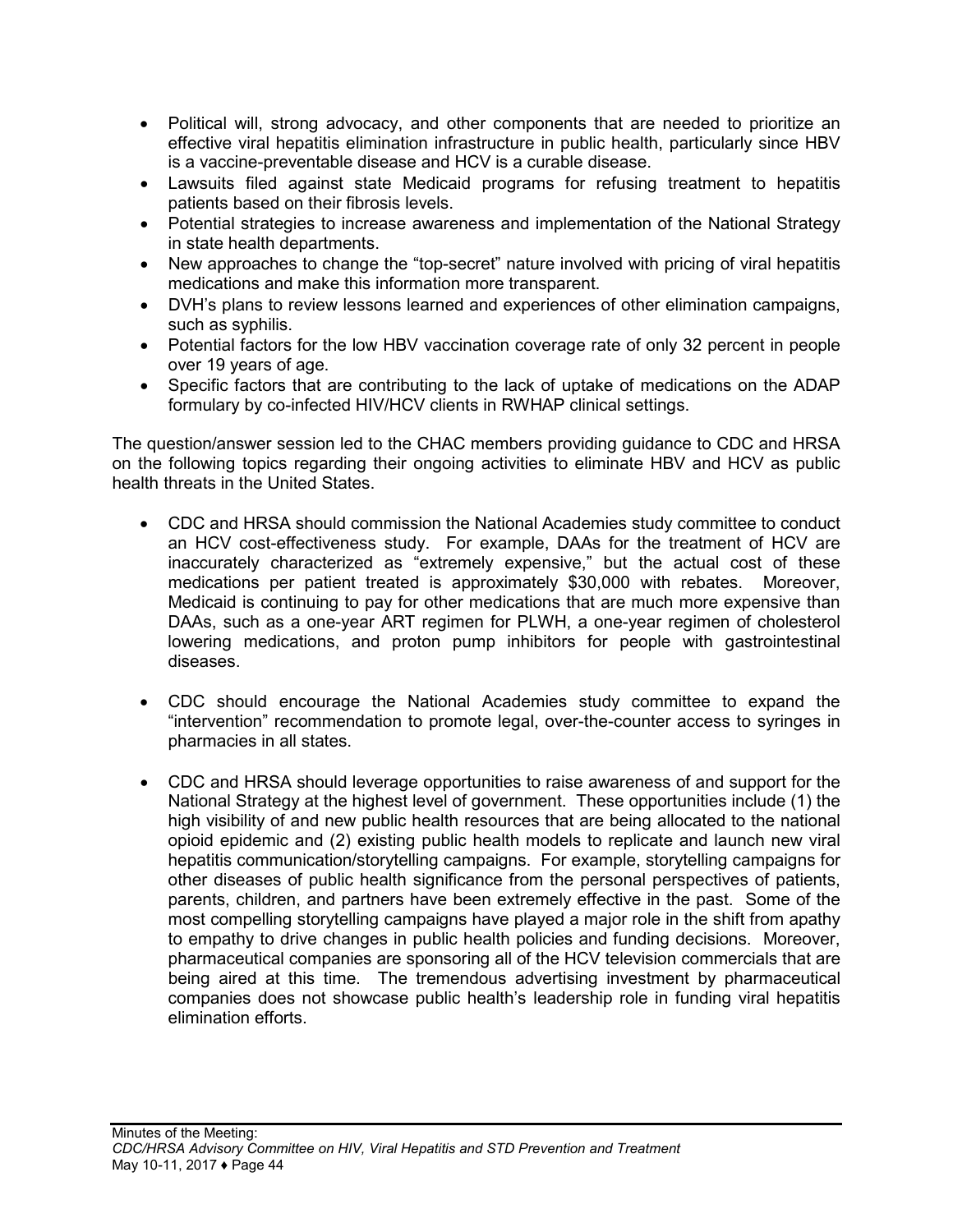- Political will, strong advocacy, and other components that are needed to prioritize an effective viral hepatitis elimination infrastructure in public health, particularly since HBV is a vaccine-preventable disease and HCV is a curable disease.
- Lawsuits filed against state Medicaid programs for refusing treatment to hepatitis patients based on their fibrosis levels.
- Potential strategies to increase awareness and implementation of the National Strategy in state health departments.
- New approaches to change the "top-secret" nature involved with pricing of viral hepatitis medications and make this information more transparent.
- DVH's plans to review lessons learned and experiences of other elimination campaigns, such as syphilis.
- Potential factors for the low HBV vaccination coverage rate of only 32 percent in people over 19 years of age.
- Specific factors that are contributing to the lack of uptake of medications on the ADAP formulary by co-infected HIV/HCV clients in RWHAP clinical settings.

The question/answer session led to the CHAC members providing guidance to CDC and HRSA on the following topics regarding their ongoing activities to eliminate HBV and HCV as public health threats in the United States.

- CDC and HRSA should commission the National Academies study committee to conduct an HCV cost-effectiveness study. For example, DAAs for the treatment of HCV are inaccurately characterized as "extremely expensive," but the actual cost of these medications per patient treated is approximately \$30,000 with rebates. Moreover, Medicaid is continuing to pay for other medications that are much more expensive than DAAs, such as a one-year ART regimen for PLWH, a one-year regimen of cholesterol lowering medications, and proton pump inhibitors for people with gastrointestinal diseases.
- CDC should encourage the National Academies study committee to expand the "intervention" recommendation to promote legal, over-the-counter access to syringes in pharmacies in all states.
- CDC and HRSA should leverage opportunities to raise awareness of and support for the National Strategy at the highest level of government. These opportunities include (1) the high visibility of and new public health resources that are being allocated to the national opioid epidemic and (2) existing public health models to replicate and launch new viral hepatitis communication/storytelling campaigns. For example, storytelling campaigns for other diseases of public health significance from the personal perspectives of patients, parents, children, and partners have been extremely effective in the past. Some of the most compelling storytelling campaigns have played a major role in the shift from apathy to empathy to drive changes in public health policies and funding decisions. Moreover, pharmaceutical companies are sponsoring all of the HCV television commercials that are being aired at this time. The tremendous advertising investment by pharmaceutical companies does not showcase public health's leadership role in funding viral hepatitis elimination efforts.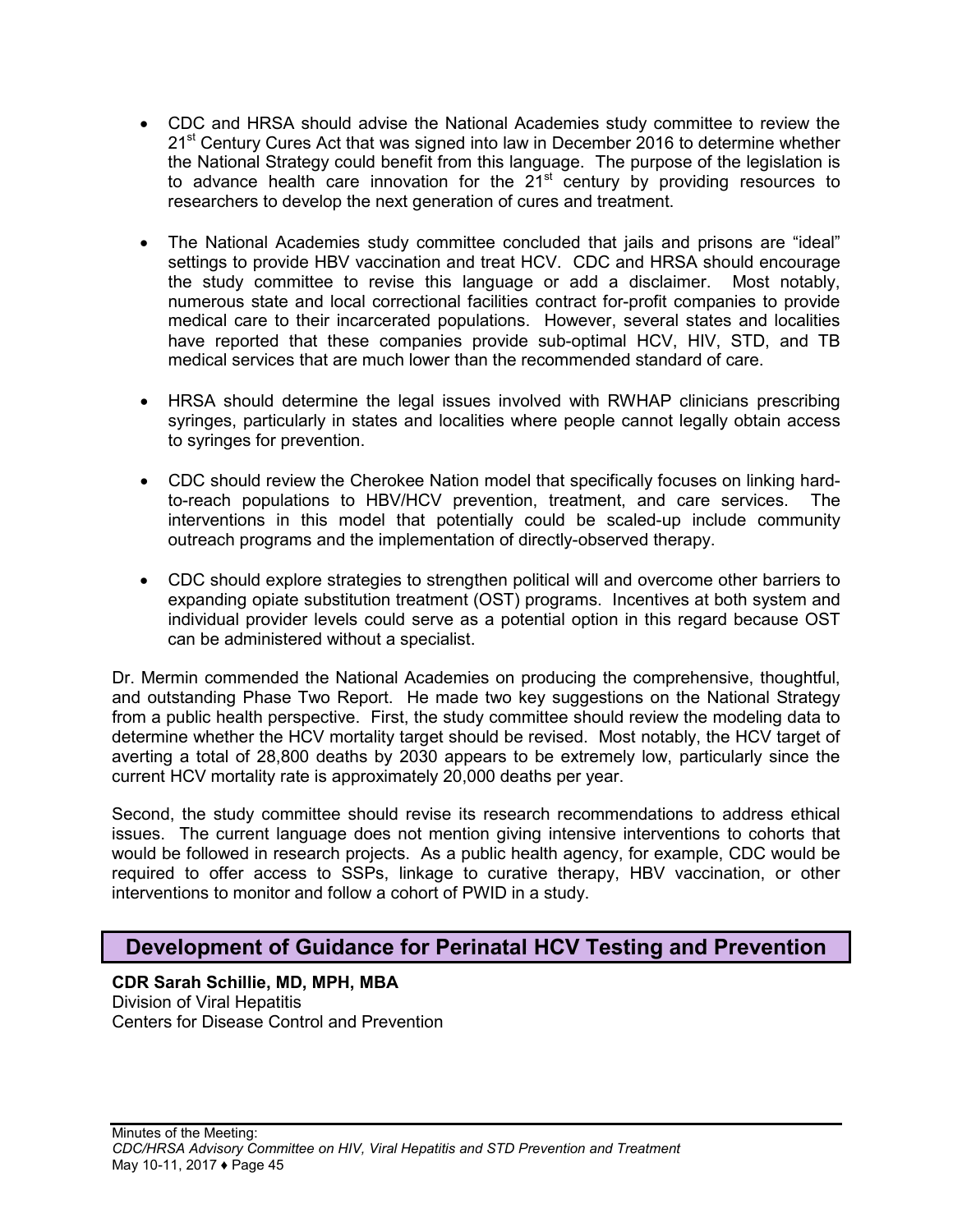- CDC and HRSA should advise the National Academies study committee to review the 21<sup>st</sup> Century Cures Act that was signed into law in December 2016 to determine whether the National Strategy could benefit from this language. The purpose of the legislation is to advance health care innovation for the  $21<sup>st</sup>$  century by providing resources to researchers to develop the next generation of cures and treatment.
- The National Academies study committee concluded that jails and prisons are "ideal" settings to provide HBV vaccination and treat HCV. CDC and HRSA should encourage the study committee to revise this language or add a disclaimer. Most notably, numerous state and local correctional facilities contract for-profit companies to provide medical care to their incarcerated populations. However, several states and localities have reported that these companies provide sub-optimal HCV, HIV, STD, and TB medical services that are much lower than the recommended standard of care.
- HRSA should determine the legal issues involved with RWHAP clinicians prescribing syringes, particularly in states and localities where people cannot legally obtain access to syringes for prevention.
- CDC should review the Cherokee Nation model that specifically focuses on linking hardto-reach populations to HBV/HCV prevention, treatment, and care services. The interventions in this model that potentially could be scaled-up include community outreach programs and the implementation of directly-observed therapy.
- CDC should explore strategies to strengthen political will and overcome other barriers to expanding opiate substitution treatment (OST) programs. Incentives at both system and individual provider levels could serve as a potential option in this regard because OST can be administered without a specialist.

Dr. Mermin commended the National Academies on producing the comprehensive, thoughtful, and outstanding Phase Two Report. He made two key suggestions on the National Strategy from a public health perspective. First, the study committee should review the modeling data to determine whether the HCV mortality target should be revised. Most notably, the HCV target of averting a total of 28,800 deaths by 2030 appears to be extremely low, particularly since the current HCV mortality rate is approximately 20,000 deaths per year.

Second, the study committee should revise its research recommendations to address ethical issues. The current language does not mention giving intensive interventions to cohorts that would be followed in research projects. As a public health agency, for example, CDC would be required to offer access to SSPs, linkage to curative therapy, HBV vaccination, or other interventions to monitor and follow a cohort of PWID in a study.

## <span id="page-46-0"></span>**Development of Guidance for Perinatal HCV Testing and Prevention**

**CDR Sarah Schillie, MD, MPH, MBA** Division of Viral Hepatitis Centers for Disease Control and Prevention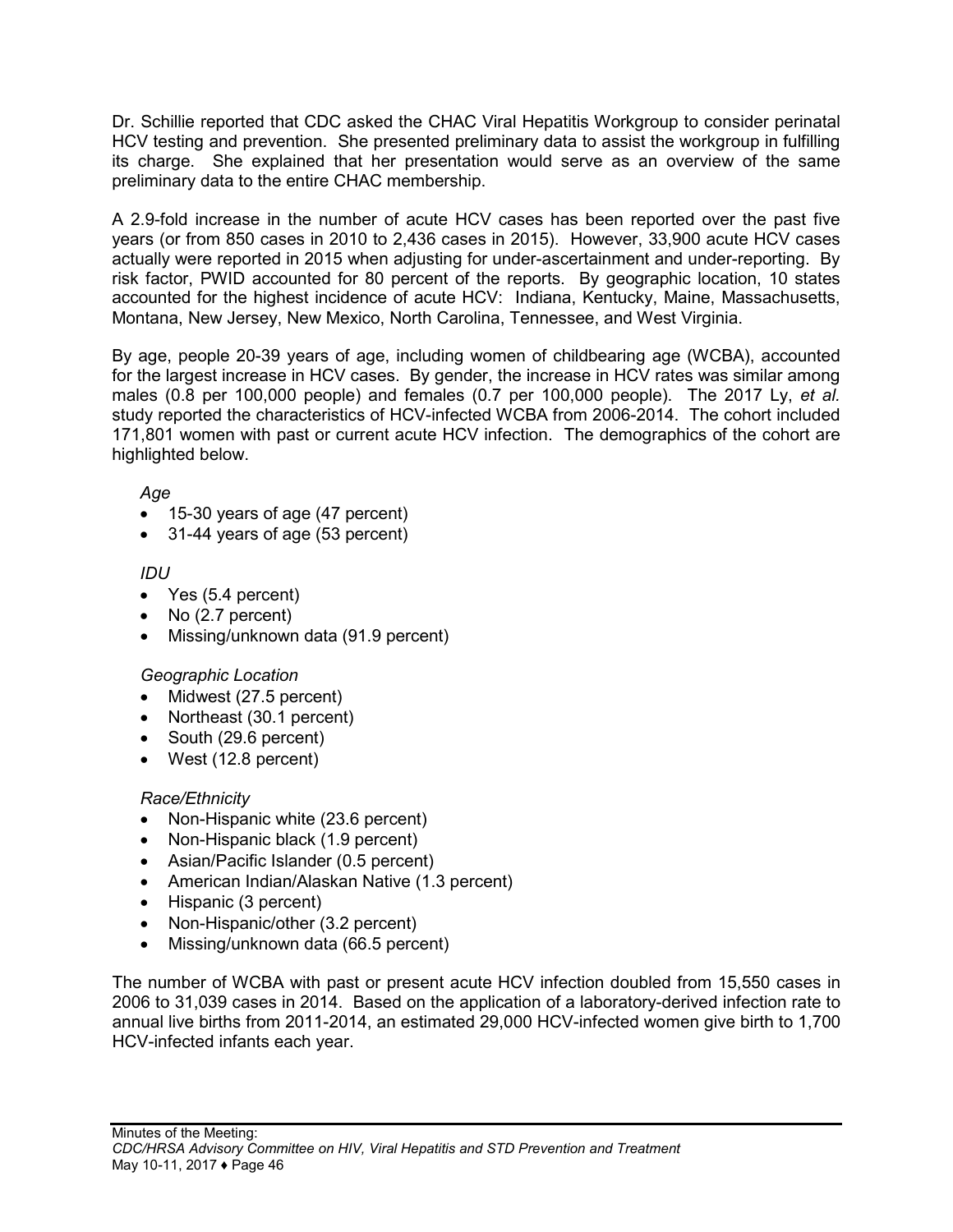Dr. Schillie reported that CDC asked the CHAC Viral Hepatitis Workgroup to consider perinatal HCV testing and prevention. She presented preliminary data to assist the workgroup in fulfilling its charge. She explained that her presentation would serve as an overview of the same preliminary data to the entire CHAC membership.

A 2.9-fold increase in the number of acute HCV cases has been reported over the past five years (or from 850 cases in 2010 to 2,436 cases in 2015). However, 33,900 acute HCV cases actually were reported in 2015 when adjusting for under-ascertainment and under-reporting. By risk factor, PWID accounted for 80 percent of the reports. By geographic location, 10 states accounted for the highest incidence of acute HCV: Indiana, Kentucky, Maine, Massachusetts, Montana, New Jersey, New Mexico, North Carolina, Tennessee, and West Virginia.

By age, people 20-39 years of age, including women of childbearing age (WCBA), accounted for the largest increase in HCV cases. By gender, the increase in HCV rates was similar among males (0.8 per 100,000 people) and females (0.7 per 100,000 people). The 2017 Ly, *et al.* study reported the characteristics of HCV-infected WCBA from 2006-2014. The cohort included 171,801 women with past or current acute HCV infection. The demographics of the cohort are highlighted below.

*Age*

- 15-30 years of age (47 percent)
- 31-44 years of age (53 percent)

*IDU*

- Yes (5.4 percent)
- No (2.7 percent)
- Missing/unknown data (91.9 percent)

## *Geographic Location*

- Midwest (27.5 percent)
- Northeast (30.1 percent)
- South (29.6 percent)
- West (12.8 percent)

## *Race/Ethnicity*

- Non-Hispanic white (23.6 percent)
- Non-Hispanic black (1.9 percent)
- Asian/Pacific Islander (0.5 percent)
- American Indian/Alaskan Native (1.3 percent)
- Hispanic (3 percent)
- Non-Hispanic/other (3.2 percent)
- Missing/unknown data (66.5 percent)

The number of WCBA with past or present acute HCV infection doubled from 15,550 cases in 2006 to 31,039 cases in 2014. Based on the application of a laboratory-derived infection rate to annual live births from 2011-2014, an estimated 29,000 HCV-infected women give birth to 1,700 HCV-infected infants each year.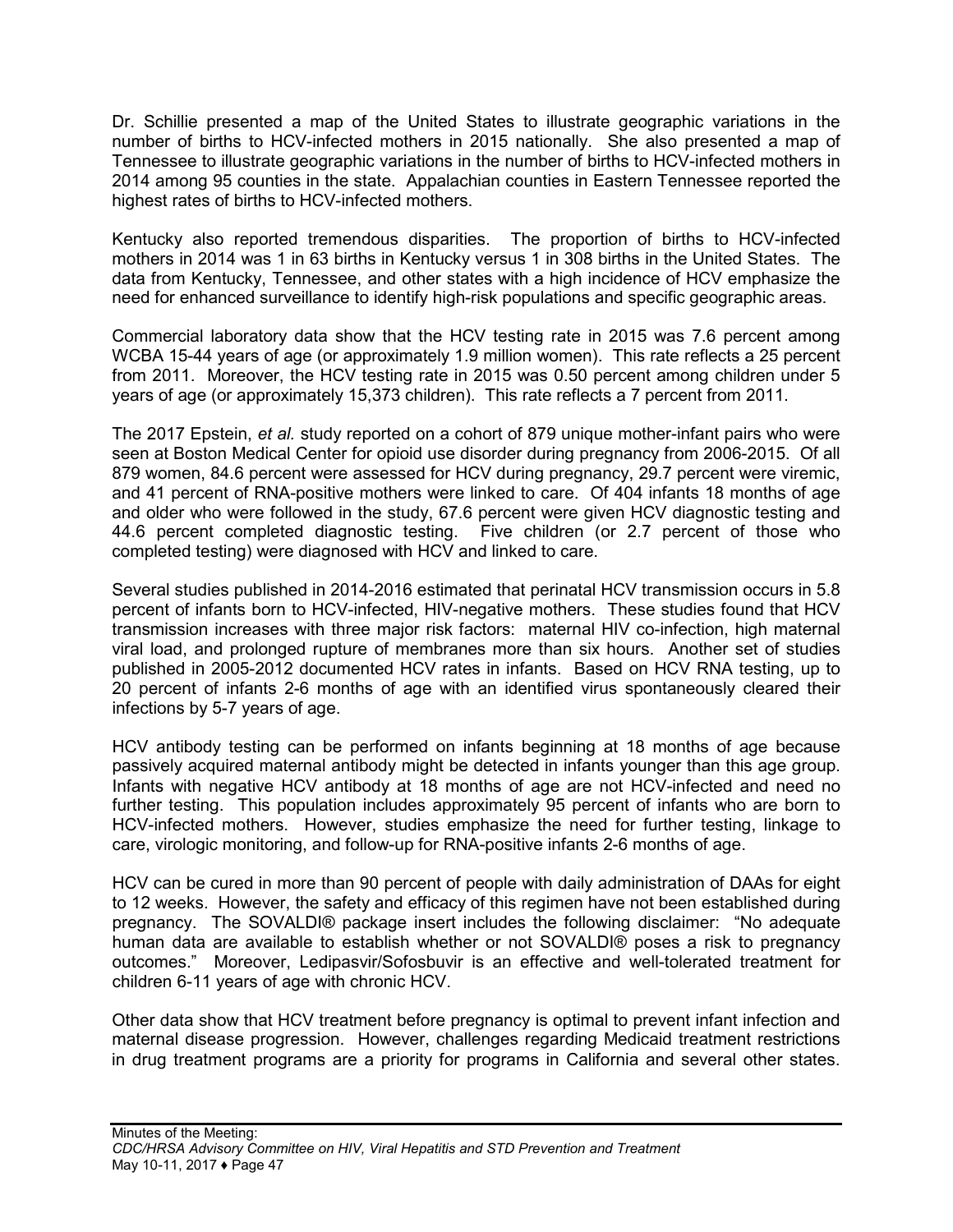Dr. Schillie presented a map of the United States to illustrate geographic variations in the number of births to HCV-infected mothers in 2015 nationally. She also presented a map of Tennessee to illustrate geographic variations in the number of births to HCV-infected mothers in 2014 among 95 counties in the state. Appalachian counties in Eastern Tennessee reported the highest rates of births to HCV-infected mothers.

Kentucky also reported tremendous disparities. The proportion of births to HCV-infected mothers in 2014 was 1 in 63 births in Kentucky versus 1 in 308 births in the United States. The data from Kentucky, Tennessee, and other states with a high incidence of HCV emphasize the need for enhanced surveillance to identify high-risk populations and specific geographic areas.

Commercial laboratory data show that the HCV testing rate in 2015 was 7.6 percent among WCBA 15-44 years of age (or approximately 1.9 million women). This rate reflects a 25 percent from 2011. Moreover, the HCV testing rate in 2015 was 0.50 percent among children under 5 years of age (or approximately 15,373 children). This rate reflects a 7 percent from 2011.

The 2017 Epstein, *et al.* study reported on a cohort of 879 unique mother-infant pairs who were seen at Boston Medical Center for opioid use disorder during pregnancy from 2006-2015. Of all 879 women, 84.6 percent were assessed for HCV during pregnancy, 29.7 percent were viremic, and 41 percent of RNA-positive mothers were linked to care. Of 404 infants 18 months of age and older who were followed in the study, 67.6 percent were given HCV diagnostic testing and 44.6 percent completed diagnostic testing. Five children (or 2.7 percent of those who completed testing) were diagnosed with HCV and linked to care.

Several studies published in 2014-2016 estimated that perinatal HCV transmission occurs in 5.8 percent of infants born to HCV-infected, HIV-negative mothers. These studies found that HCV transmission increases with three major risk factors: maternal HIV co-infection, high maternal viral load, and prolonged rupture of membranes more than six hours. Another set of studies published in 2005-2012 documented HCV rates in infants. Based on HCV RNA testing, up to 20 percent of infants 2-6 months of age with an identified virus spontaneously cleared their infections by 5-7 years of age.

HCV antibody testing can be performed on infants beginning at 18 months of age because passively acquired maternal antibody might be detected in infants younger than this age group. Infants with negative HCV antibody at 18 months of age are not HCV-infected and need no further testing. This population includes approximately 95 percent of infants who are born to HCV-infected mothers. However, studies emphasize the need for further testing, linkage to care, virologic monitoring, and follow-up for RNA-positive infants 2-6 months of age.

HCV can be cured in more than 90 percent of people with daily administration of DAAs for eight to 12 weeks. However, the safety and efficacy of this regimen have not been established during pregnancy. The SOVALDI® package insert includes the following disclaimer: "No adequate human data are available to establish whether or not SOVALDI® poses a risk to pregnancy outcomes." Moreover, Ledipasvir/Sofosbuvir is an effective and well-tolerated treatment for children 6-11 years of age with chronic HCV.

Other data show that HCV treatment before pregnancy is optimal to prevent infant infection and maternal disease progression. However, challenges regarding Medicaid treatment restrictions in drug treatment programs are a priority for programs in California and several other states.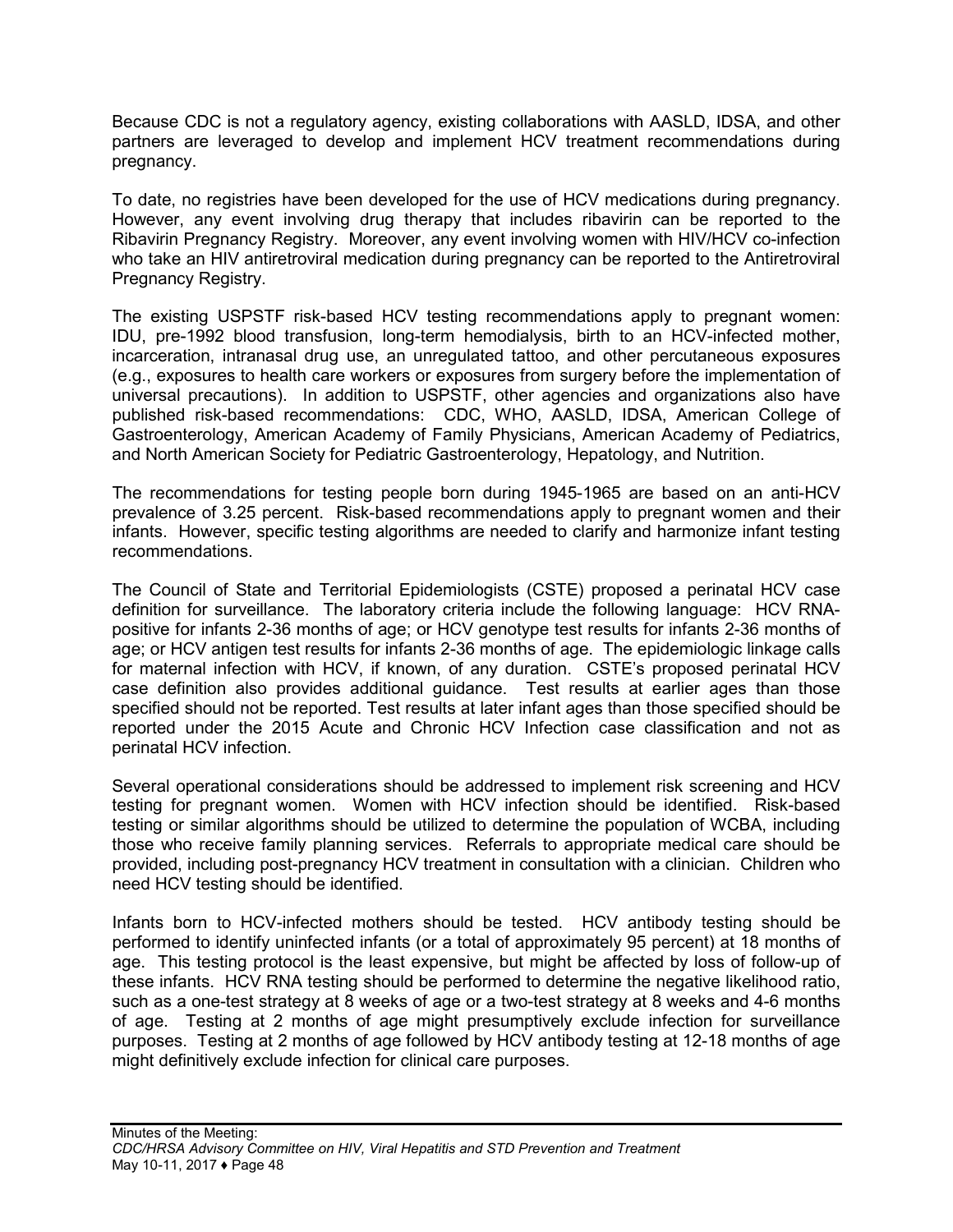Because CDC is not a regulatory agency, existing collaborations with AASLD, IDSA, and other partners are leveraged to develop and implement HCV treatment recommendations during pregnancy.

To date, no registries have been developed for the use of HCV medications during pregnancy. However, any event involving drug therapy that includes ribavirin can be reported to the Ribavirin Pregnancy Registry. Moreover, any event involving women with HIV/HCV co-infection who take an HIV antiretroviral medication during pregnancy can be reported to the Antiretroviral Pregnancy Registry.

The existing USPSTF risk-based HCV testing recommendations apply to pregnant women: IDU, pre-1992 blood transfusion, long-term hemodialysis, birth to an HCV-infected mother, incarceration, intranasal drug use, an unregulated tattoo, and other percutaneous exposures (e.g., exposures to health care workers or exposures from surgery before the implementation of universal precautions). In addition to USPSTF, other agencies and organizations also have published risk-based recommendations: CDC, WHO, AASLD, IDSA, American College of Gastroenterology, American Academy of Family Physicians, American Academy of Pediatrics, and North American Society for Pediatric Gastroenterology, Hepatology, and Nutrition.

The recommendations for testing people born during 1945-1965 are based on an anti-HCV prevalence of 3.25 percent. Risk-based recommendations apply to pregnant women and their infants. However, specific testing algorithms are needed to clarify and harmonize infant testing recommendations.

The Council of State and Territorial Epidemiologists (CSTE) proposed a perinatal HCV case definition for surveillance. The laboratory criteria include the following language: HCV RNApositive for infants 2-36 months of age; or HCV genotype test results for infants 2-36 months of age; or HCV antigen test results for infants 2-36 months of age. The epidemiologic linkage calls for maternal infection with HCV, if known, of any duration. CSTE's proposed perinatal HCV case definition also provides additional guidance. Test results at earlier ages than those specified should not be reported. Test results at later infant ages than those specified should be reported under the 2015 Acute and Chronic HCV Infection case classification and not as perinatal HCV infection.

Several operational considerations should be addressed to implement risk screening and HCV testing for pregnant women. Women with HCV infection should be identified. Risk-based testing or similar algorithms should be utilized to determine the population of WCBA, including those who receive family planning services. Referrals to appropriate medical care should be provided, including post-pregnancy HCV treatment in consultation with a clinician. Children who need HCV testing should be identified.

Infants born to HCV-infected mothers should be tested. HCV antibody testing should be performed to identify uninfected infants (or a total of approximately 95 percent) at 18 months of age. This testing protocol is the least expensive, but might be affected by loss of follow-up of these infants. HCV RNA testing should be performed to determine the negative likelihood ratio, such as a one-test strategy at 8 weeks of age or a two-test strategy at 8 weeks and 4-6 months of age. Testing at 2 months of age might presumptively exclude infection for surveillance purposes. Testing at 2 months of age followed by HCV antibody testing at 12-18 months of age might definitively exclude infection for clinical care purposes.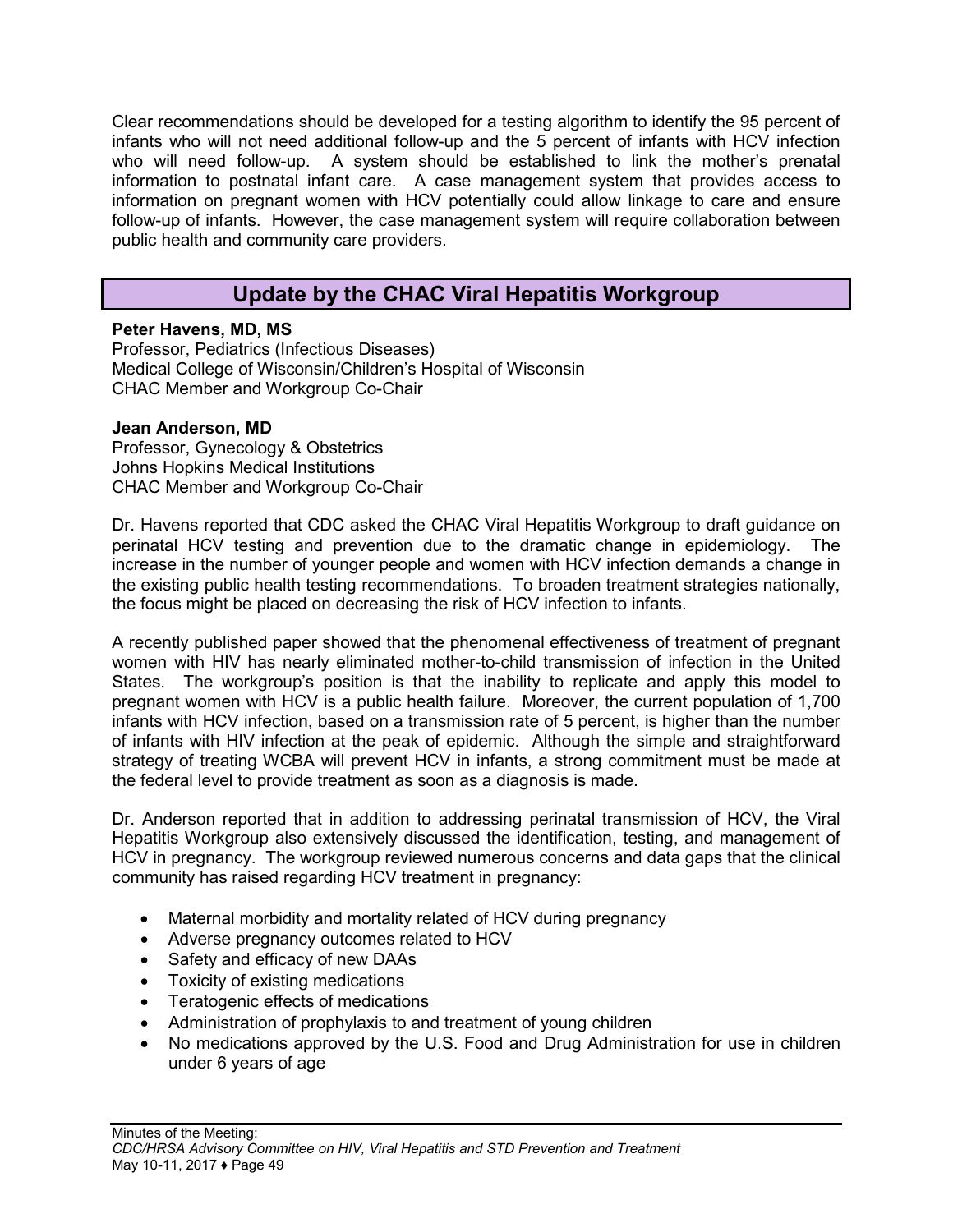Clear recommendations should be developed for a testing algorithm to identify the 95 percent of infants who will not need additional follow-up and the 5 percent of infants with HCV infection who will need follow-up. A system should be established to link the mother's prenatal information to postnatal infant care. A case management system that provides access to information on pregnant women with HCV potentially could allow linkage to care and ensure follow-up of infants. However, the case management system will require collaboration between public health and community care providers.

## **Update by the CHAC Viral Hepatitis Workgroup**

## <span id="page-50-0"></span>**Peter Havens, MD, MS**

Professor, Pediatrics (Infectious Diseases) Medical College of Wisconsin/Children's Hospital of Wisconsin CHAC Member and Workgroup Co-Chair

### **Jean Anderson, MD**

Professor, Gynecology & Obstetrics Johns Hopkins Medical Institutions CHAC Member and Workgroup Co-Chair

Dr. Havens reported that CDC asked the CHAC Viral Hepatitis Workgroup to draft guidance on perinatal HCV testing and prevention due to the dramatic change in epidemiology. The increase in the number of younger people and women with HCV infection demands a change in the existing public health testing recommendations. To broaden treatment strategies nationally, the focus might be placed on decreasing the risk of HCV infection to infants.

A recently published paper showed that the phenomenal effectiveness of treatment of pregnant women with HIV has nearly eliminated mother-to-child transmission of infection in the United States. The workgroup's position is that the inability to replicate and apply this model to pregnant women with HCV is a public health failure. Moreover, the current population of 1,700 infants with HCV infection, based on a transmission rate of 5 percent, is higher than the number of infants with HIV infection at the peak of epidemic. Although the simple and straightforward strategy of treating WCBA will prevent HCV in infants, a strong commitment must be made at the federal level to provide treatment as soon as a diagnosis is made.

Dr. Anderson reported that in addition to addressing perinatal transmission of HCV, the Viral Hepatitis Workgroup also extensively discussed the identification, testing, and management of HCV in pregnancy. The workgroup reviewed numerous concerns and data gaps that the clinical community has raised regarding HCV treatment in pregnancy:

- Maternal morbidity and mortality related of HCV during pregnancy
- Adverse pregnancy outcomes related to HCV
- Safety and efficacy of new DAAs
- Toxicity of existing medications
- Teratogenic effects of medications
- Administration of prophylaxis to and treatment of young children
- No medications approved by the U.S. Food and Drug Administration for use in children under 6 years of age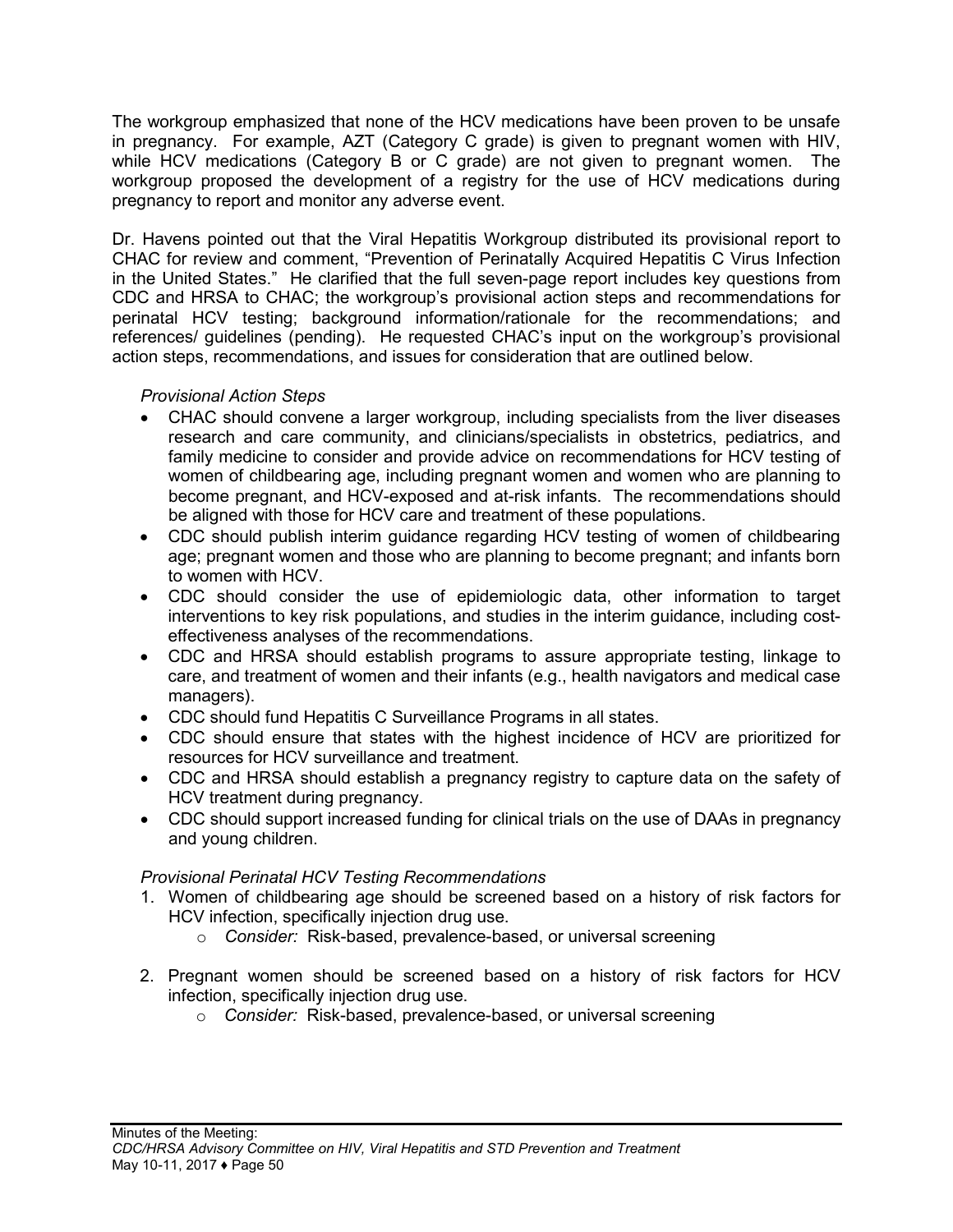The workgroup emphasized that none of the HCV medications have been proven to be unsafe in pregnancy. For example, AZT (Category C grade) is given to pregnant women with HIV, while HCV medications (Category B or C grade) are not given to pregnant women. The workgroup proposed the development of a registry for the use of HCV medications during pregnancy to report and monitor any adverse event.

Dr. Havens pointed out that the Viral Hepatitis Workgroup distributed its provisional report to CHAC for review and comment, "Prevention of Perinatally Acquired Hepatitis C Virus Infection in the United States." He clarified that the full seven-page report includes key questions from CDC and HRSA to CHAC; the workgroup's provisional action steps and recommendations for perinatal HCV testing; background information/rationale for the recommendations; and references/ guidelines (pending). He requested CHAC's input on the workgroup's provisional action steps, recommendations, and issues for consideration that are outlined below.

## *Provisional Action Steps*

- CHAC should convene a larger workgroup, including specialists from the liver diseases research and care community, and clinicians/specialists in obstetrics, pediatrics, and family medicine to consider and provide advice on recommendations for HCV testing of women of childbearing age, including pregnant women and women who are planning to become pregnant, and HCV-exposed and at-risk infants. The recommendations should be aligned with those for HCV care and treatment of these populations.
- CDC should publish interim guidance regarding HCV testing of women of childbearing age; pregnant women and those who are planning to become pregnant; and infants born to women with HCV.
- CDC should consider the use of epidemiologic data, other information to target interventions to key risk populations, and studies in the interim guidance, including costeffectiveness analyses of the recommendations.
- CDC and HRSA should establish programs to assure appropriate testing, linkage to care, and treatment of women and their infants (e.g., health navigators and medical case managers).
- CDC should fund Hepatitis C Surveillance Programs in all states.
- CDC should ensure that states with the highest incidence of HCV are prioritized for resources for HCV surveillance and treatment.
- CDC and HRSA should establish a pregnancy registry to capture data on the safety of HCV treatment during pregnancy.
- CDC should support increased funding for clinical trials on the use of DAAs in pregnancy and young children.

## *Provisional Perinatal HCV Testing Recommendations*

- 1. Women of childbearing age should be screened based on a history of risk factors for HCV infection, specifically injection drug use.
	- o *Consider:* Risk-based, prevalence-based, or universal screening
- 2. Pregnant women should be screened based on a history of risk factors for HCV infection, specifically injection drug use.
	- o *Consider:* Risk-based, prevalence-based, or universal screening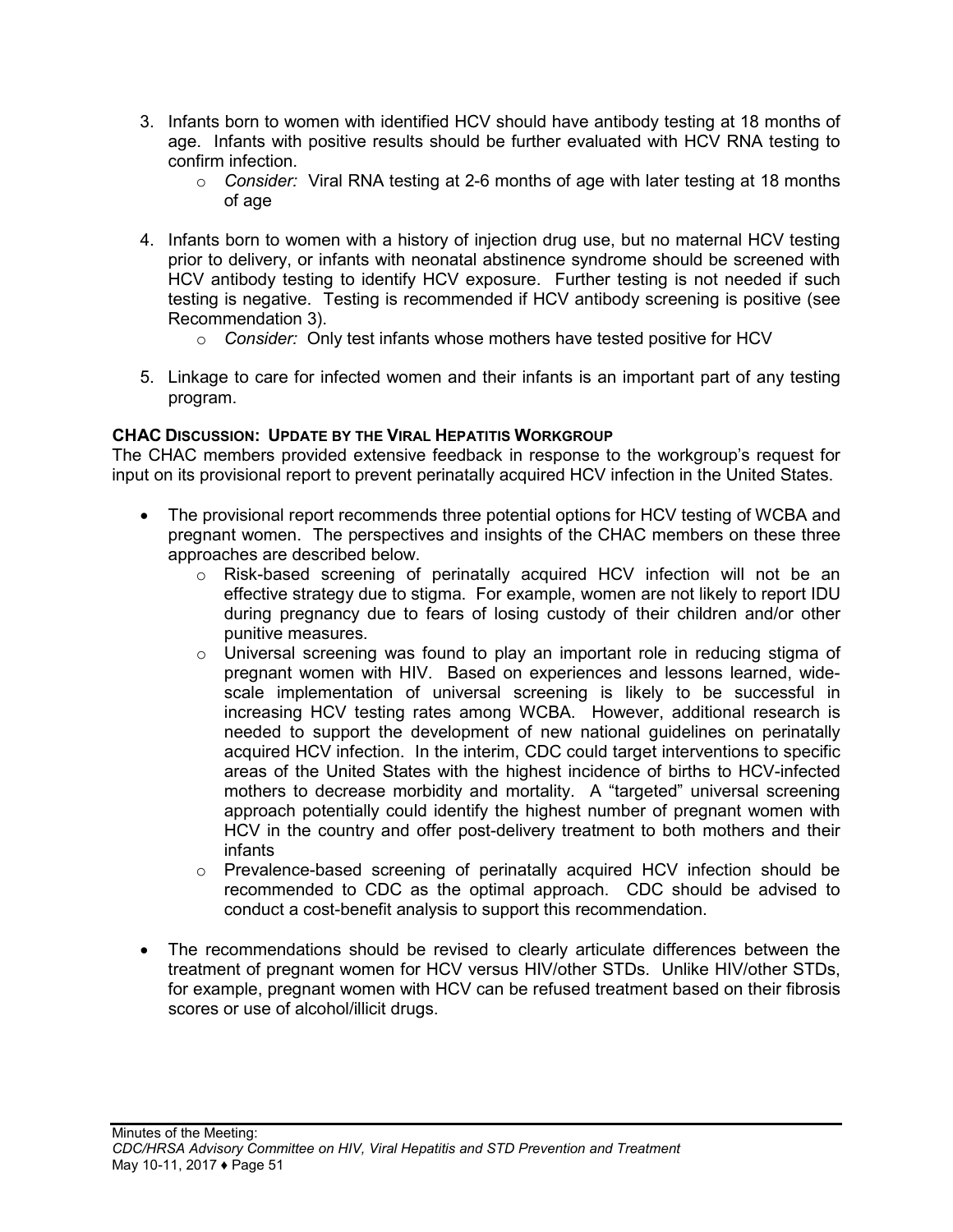- 3. Infants born to women with identified HCV should have antibody testing at 18 months of age. Infants with positive results should be further evaluated with HCV RNA testing to confirm infection.
	- o *Consider:* Viral RNA testing at 2-6 months of age with later testing at 18 months of age
- 4. Infants born to women with a history of injection drug use, but no maternal HCV testing prior to delivery, or infants with neonatal abstinence syndrome should be screened with HCV antibody testing to identify HCV exposure. Further testing is not needed if such testing is negative. Testing is recommended if HCV antibody screening is positive (see Recommendation 3).
	- o *Consider:* Only test infants whose mothers have tested positive for HCV
- 5. Linkage to care for infected women and their infants is an important part of any testing program.

### **CHAC DISCUSSION: UPDATE BY THE VIRAL HEPATITIS WORKGROUP**

The CHAC members provided extensive feedback in response to the workgroup's request for input on its provisional report to prevent perinatally acquired HCV infection in the United States.

- The provisional report recommends three potential options for HCV testing of WCBA and pregnant women. The perspectives and insights of the CHAC members on these three approaches are described below.
	- o Risk-based screening of perinatally acquired HCV infection will not be an effective strategy due to stigma. For example, women are not likely to report IDU during pregnancy due to fears of losing custody of their children and/or other punitive measures.
	- $\circ$  Universal screening was found to play an important role in reducing stigma of pregnant women with HIV. Based on experiences and lessons learned, widescale implementation of universal screening is likely to be successful in increasing HCV testing rates among WCBA. However, additional research is needed to support the development of new national guidelines on perinatally acquired HCV infection. In the interim, CDC could target interventions to specific areas of the United States with the highest incidence of births to HCV-infected mothers to decrease morbidity and mortality. A "targeted" universal screening approach potentially could identify the highest number of pregnant women with HCV in the country and offer post-delivery treatment to both mothers and their infants
	- o Prevalence-based screening of perinatally acquired HCV infection should be recommended to CDC as the optimal approach. CDC should be advised to conduct a cost-benefit analysis to support this recommendation.
- The recommendations should be revised to clearly articulate differences between the treatment of pregnant women for HCV versus HIV/other STDs. Unlike HIV/other STDs, for example, pregnant women with HCV can be refused treatment based on their fibrosis scores or use of alcohol/illicit drugs.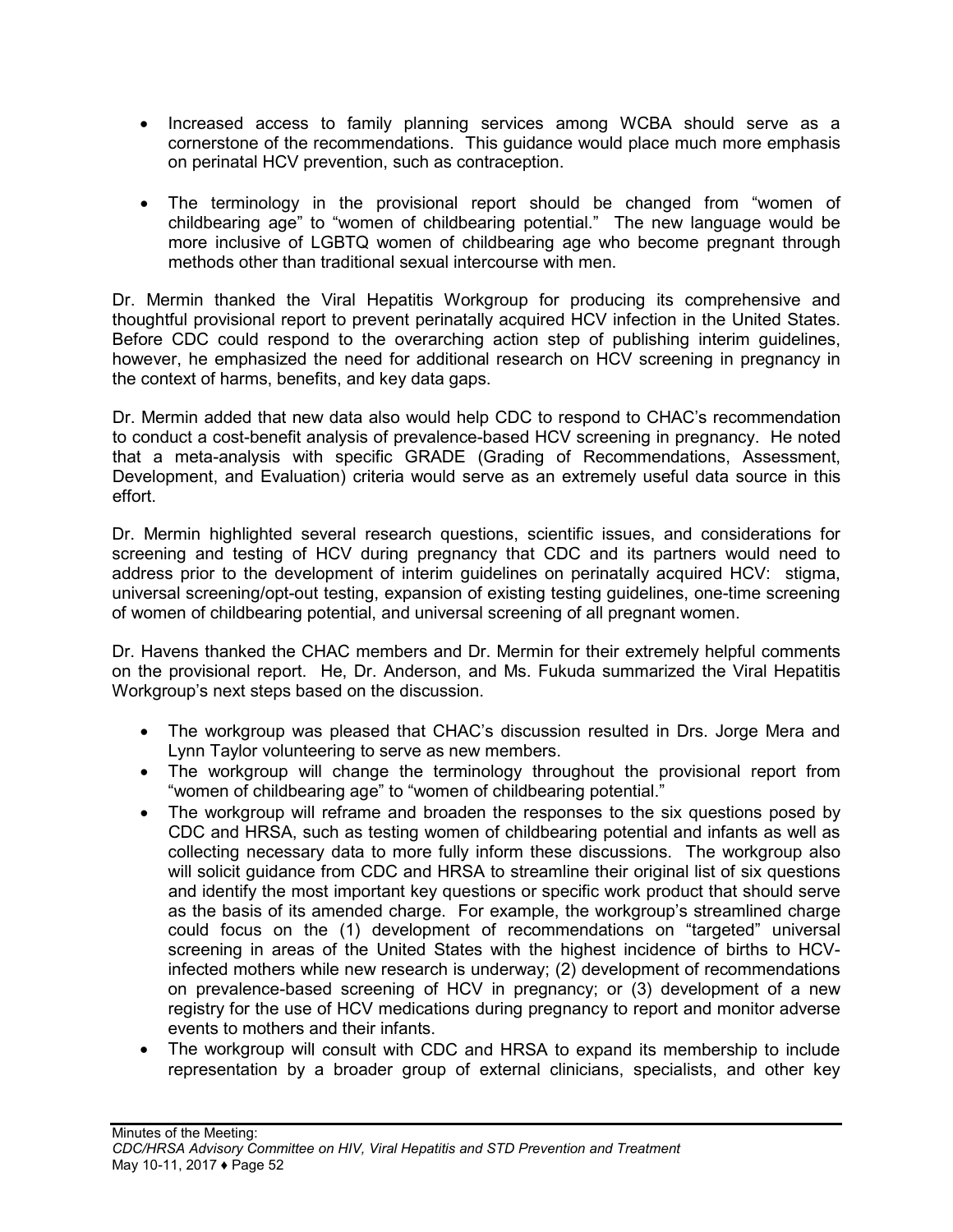- Increased access to family planning services among WCBA should serve as a cornerstone of the recommendations. This guidance would place much more emphasis on perinatal HCV prevention, such as contraception.
- The terminology in the provisional report should be changed from "women of childbearing age" to "women of childbearing potential." The new language would be more inclusive of LGBTQ women of childbearing age who become pregnant through methods other than traditional sexual intercourse with men.

Dr. Mermin thanked the Viral Hepatitis Workgroup for producing its comprehensive and thoughtful provisional report to prevent perinatally acquired HCV infection in the United States. Before CDC could respond to the overarching action step of publishing interim guidelines, however, he emphasized the need for additional research on HCV screening in pregnancy in the context of harms, benefits, and key data gaps.

Dr. Mermin added that new data also would help CDC to respond to CHAC's recommendation to conduct a cost-benefit analysis of prevalence-based HCV screening in pregnancy. He noted that a meta-analysis with specific GRADE (Grading of Recommendations, Assessment, Development, and Evaluation) criteria would serve as an extremely useful data source in this effort.

Dr. Mermin highlighted several research questions, scientific issues, and considerations for screening and testing of HCV during pregnancy that CDC and its partners would need to address prior to the development of interim guidelines on perinatally acquired HCV: stigma, universal screening/opt-out testing, expansion of existing testing guidelines, one-time screening of women of childbearing potential, and universal screening of all pregnant women.

Dr. Havens thanked the CHAC members and Dr. Mermin for their extremely helpful comments on the provisional report. He, Dr. Anderson, and Ms. Fukuda summarized the Viral Hepatitis Workgroup's next steps based on the discussion.

- The workgroup was pleased that CHAC's discussion resulted in Drs. Jorge Mera and Lynn Taylor volunteering to serve as new members.
- The workgroup will change the terminology throughout the provisional report from "women of childbearing age" to "women of childbearing potential."
- The workgroup will reframe and broaden the responses to the six questions posed by CDC and HRSA, such as testing women of childbearing potential and infants as well as collecting necessary data to more fully inform these discussions. The workgroup also will solicit guidance from CDC and HRSA to streamline their original list of six questions and identify the most important key questions or specific work product that should serve as the basis of its amended charge. For example, the workgroup's streamlined charge could focus on the (1) development of recommendations on "targeted" universal screening in areas of the United States with the highest incidence of births to HCVinfected mothers while new research is underway; (2) development of recommendations on prevalence-based screening of HCV in pregnancy; or (3) development of a new registry for the use of HCV medications during pregnancy to report and monitor adverse events to mothers and their infants.
- The workgroup will consult with CDC and HRSA to expand its membership to include representation by a broader group of external clinicians, specialists, and other key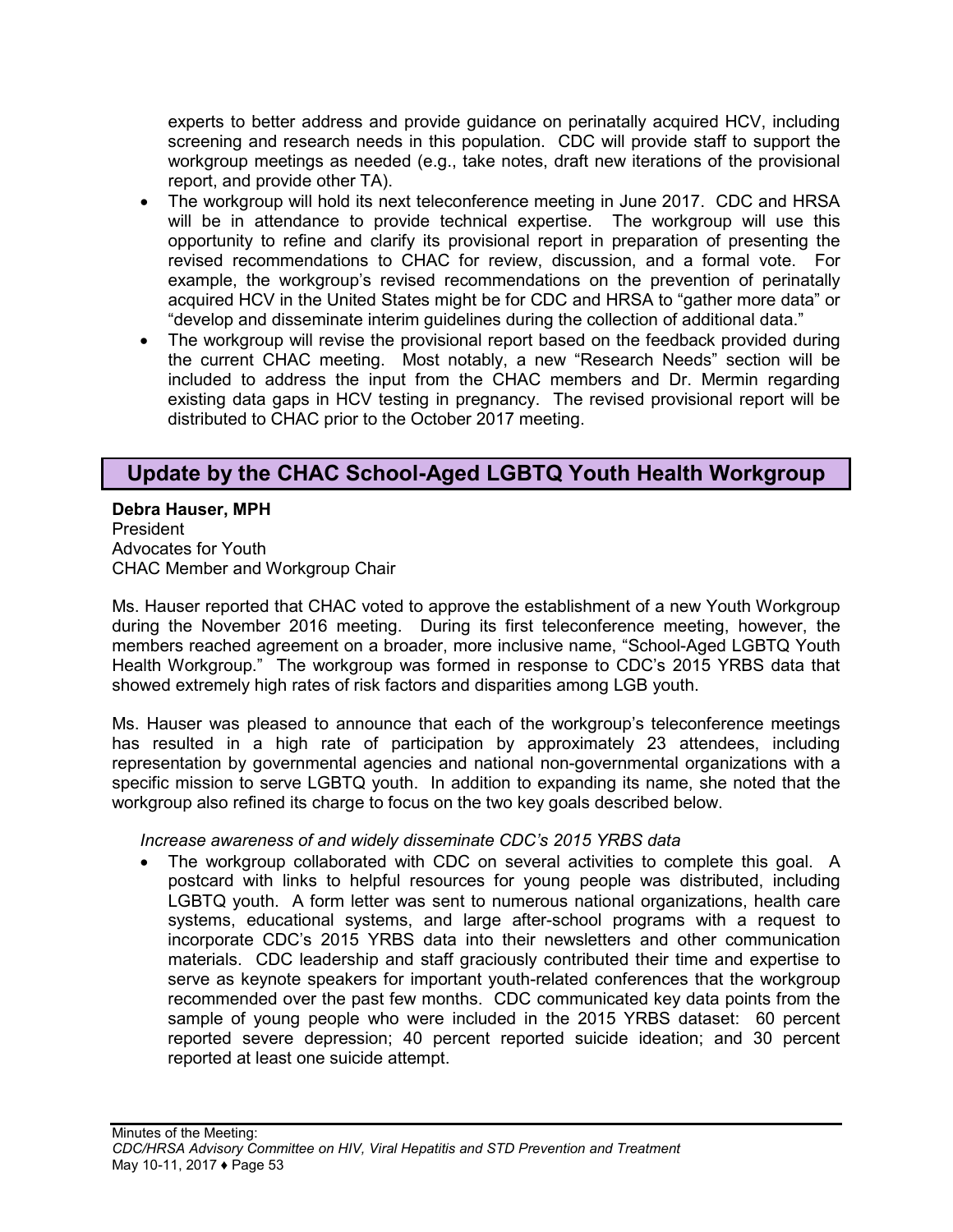experts to better address and provide guidance on perinatally acquired HCV, including screening and research needs in this population. CDC will provide staff to support the workgroup meetings as needed (e.g., take notes, draft new iterations of the provisional report, and provide other TA).

- The workgroup will hold its next teleconference meeting in June 2017. CDC and HRSA will be in attendance to provide technical expertise. The workgroup will use this opportunity to refine and clarify its provisional report in preparation of presenting the revised recommendations to CHAC for review, discussion, and a formal vote. For example, the workgroup's revised recommendations on the prevention of perinatally acquired HCV in the United States might be for CDC and HRSA to "gather more data" or "develop and disseminate interim guidelines during the collection of additional data."
- The workgroup will revise the provisional report based on the feedback provided during the current CHAC meeting. Most notably, a new "Research Needs" section will be included to address the input from the CHAC members and Dr. Mermin regarding existing data gaps in HCV testing in pregnancy. The revised provisional report will be distributed to CHAC prior to the October 2017 meeting.

## <span id="page-54-0"></span>**Update by the CHAC School-Aged LGBTQ Youth Health Workgroup**

**Debra Hauser, MPH** President Advocates for Youth CHAC Member and Workgroup Chair

Ms. Hauser reported that CHAC voted to approve the establishment of a new Youth Workgroup during the November 2016 meeting. During its first teleconference meeting, however, the members reached agreement on a broader, more inclusive name, "School-Aged LGBTQ Youth Health Workgroup." The workgroup was formed in response to CDC's 2015 YRBS data that showed extremely high rates of risk factors and disparities among LGB youth.

Ms. Hauser was pleased to announce that each of the workgroup's teleconference meetings has resulted in a high rate of participation by approximately 23 attendees, including representation by governmental agencies and national non-governmental organizations with a specific mission to serve LGBTQ youth. In addition to expanding its name, she noted that the workgroup also refined its charge to focus on the two key goals described below.

## *Increase awareness of and widely disseminate CDC's 2015 YRBS data*

• The workgroup collaborated with CDC on several activities to complete this goal. A postcard with links to helpful resources for young people was distributed, including LGBTQ youth. A form letter was sent to numerous national organizations, health care systems, educational systems, and large after-school programs with a request to incorporate CDC's 2015 YRBS data into their newsletters and other communication materials. CDC leadership and staff graciously contributed their time and expertise to serve as keynote speakers for important youth-related conferences that the workgroup recommended over the past few months. CDC communicated key data points from the sample of young people who were included in the 2015 YRBS dataset: 60 percent reported severe depression; 40 percent reported suicide ideation; and 30 percent reported at least one suicide attempt.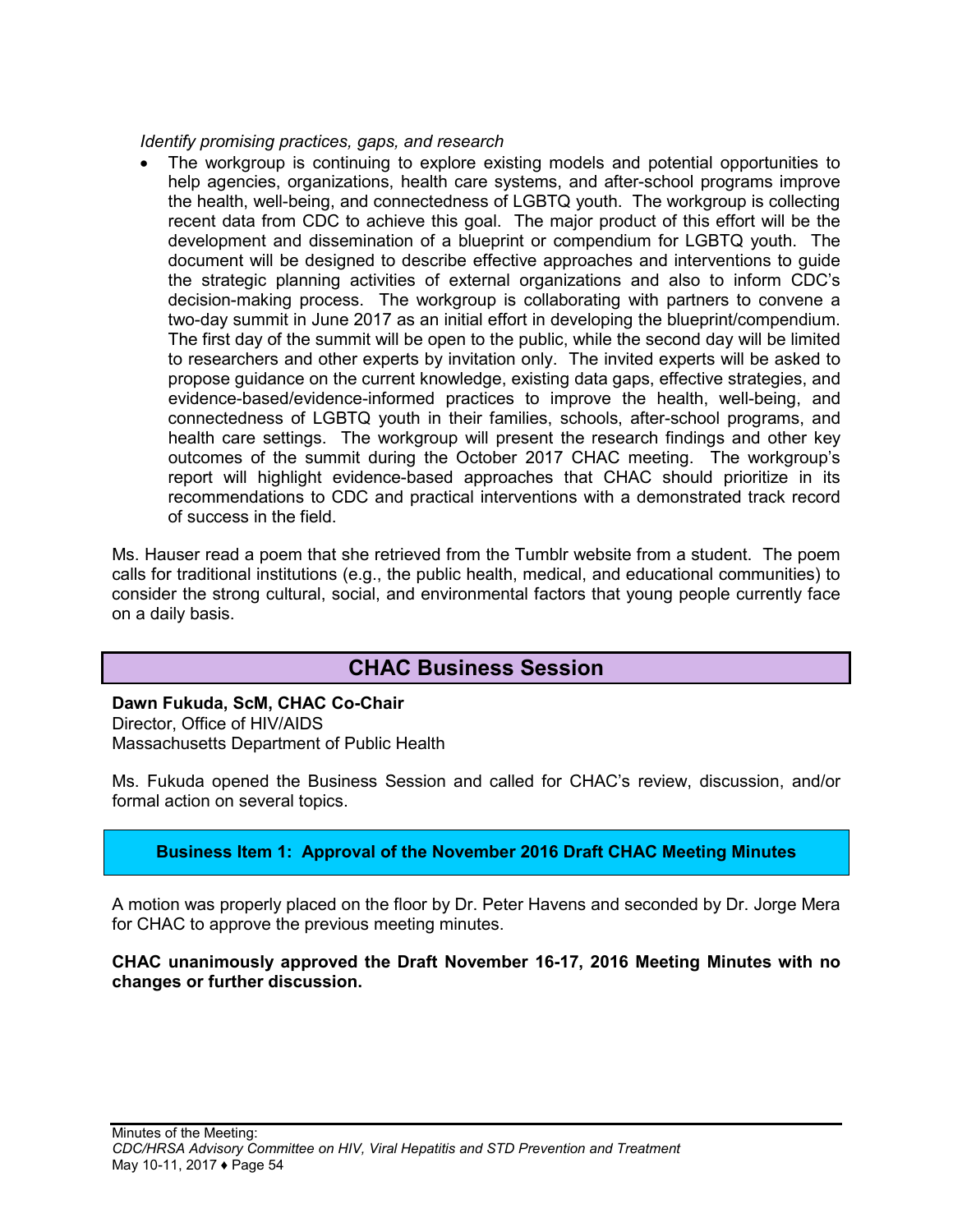*Identify promising practices, gaps, and research*

The workgroup is continuing to explore existing models and potential opportunities to help agencies, organizations, health care systems, and after-school programs improve the health, well-being, and connectedness of LGBTQ youth. The workgroup is collecting recent data from CDC to achieve this goal. The major product of this effort will be the development and dissemination of a blueprint or compendium for LGBTQ youth. The document will be designed to describe effective approaches and interventions to guide the strategic planning activities of external organizations and also to inform CDC's decision-making process. The workgroup is collaborating with partners to convene a two-day summit in June 2017 as an initial effort in developing the blueprint/compendium. The first day of the summit will be open to the public, while the second day will be limited to researchers and other experts by invitation only. The invited experts will be asked to propose guidance on the current knowledge, existing data gaps, effective strategies, and evidence-based/evidence-informed practices to improve the health, well-being, and connectedness of LGBTQ youth in their families, schools, after-school programs, and health care settings. The workgroup will present the research findings and other key outcomes of the summit during the October 2017 CHAC meeting. The workgroup's report will highlight evidence-based approaches that CHAC should prioritize in its recommendations to CDC and practical interventions with a demonstrated track record of success in the field.

Ms. Hauser read a poem that she retrieved from the Tumblr website from a student. The poem calls for traditional institutions (e.g., the public health, medical, and educational communities) to consider the strong cultural, social, and environmental factors that young people currently face on a daily basis.

## **CHAC Business Session**

<span id="page-55-0"></span>**Dawn Fukuda, ScM, CHAC Co-Chair** Director, Office of HIV/AIDS Massachusetts Department of Public Health

Ms. Fukuda opened the Business Session and called for CHAC's review, discussion, and/or formal action on several topics.

## <span id="page-55-1"></span>**Business Item 1: Approval of the November 2016 Draft CHAC Meeting Minutes**

A motion was properly placed on the floor by Dr. Peter Havens and seconded by Dr. Jorge Mera for CHAC to approve the previous meeting minutes.

#### <span id="page-55-2"></span>**CHAC unanimously approved the Draft November 16-17, 2016 Meeting Minutes with no changes or further discussion.**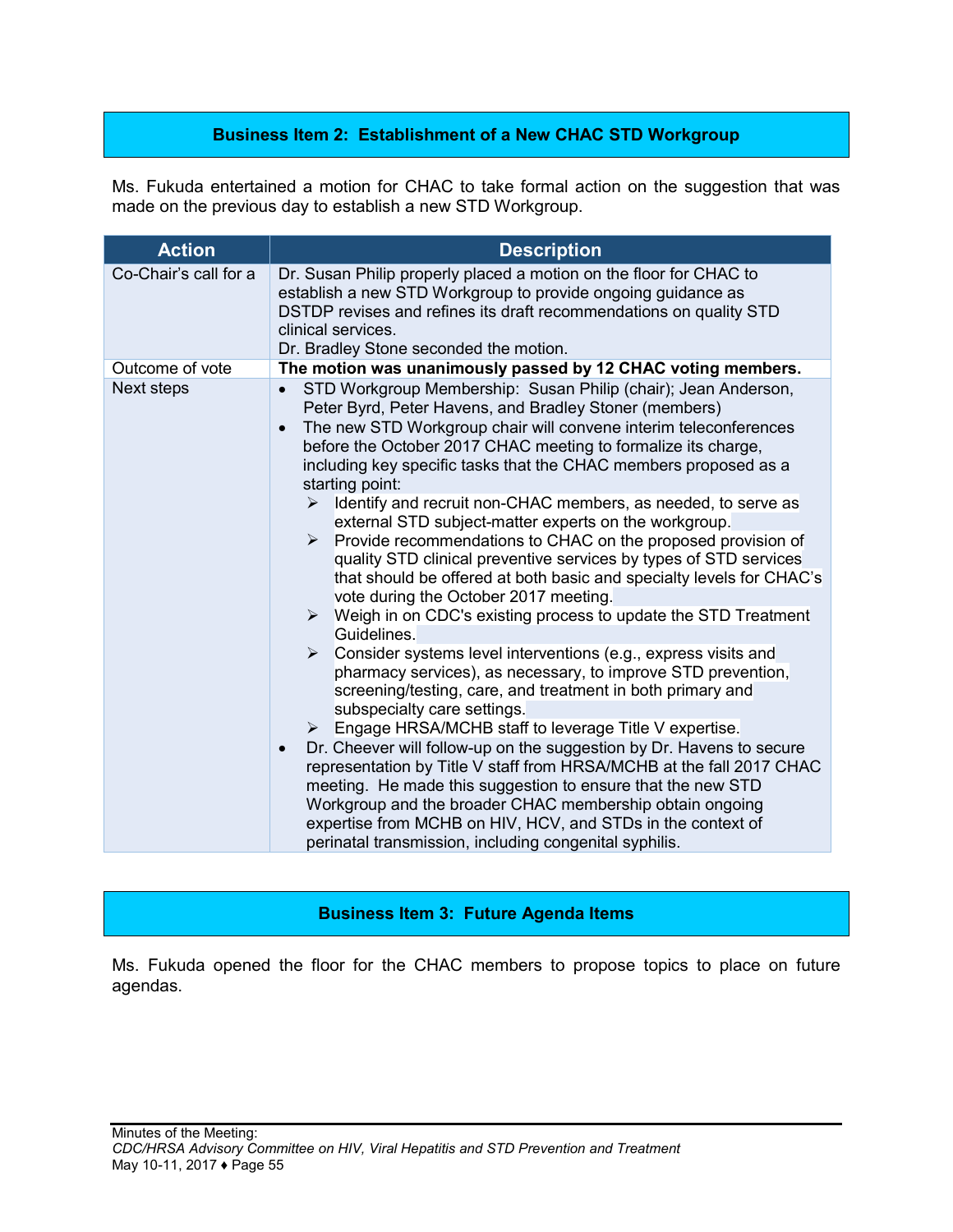## **Business Item 2: Establishment of a New CHAC STD Workgroup**

Ms. Fukuda entertained a motion for CHAC to take formal action on the suggestion that was made on the previous day to establish a new STD Workgroup.

| <b>Action</b>         | <b>Description</b>                                                                                                                                                                                                                                                                                                                                                                                                                                                                                                                                                                                                                                                                                                                                                                                                                                                                                                                                                                                                                                                                                                                                                                                                                                                                                                                                                                                                                                                                                                                                                                                                       |
|-----------------------|--------------------------------------------------------------------------------------------------------------------------------------------------------------------------------------------------------------------------------------------------------------------------------------------------------------------------------------------------------------------------------------------------------------------------------------------------------------------------------------------------------------------------------------------------------------------------------------------------------------------------------------------------------------------------------------------------------------------------------------------------------------------------------------------------------------------------------------------------------------------------------------------------------------------------------------------------------------------------------------------------------------------------------------------------------------------------------------------------------------------------------------------------------------------------------------------------------------------------------------------------------------------------------------------------------------------------------------------------------------------------------------------------------------------------------------------------------------------------------------------------------------------------------------------------------------------------------------------------------------------------|
| Co-Chair's call for a | Dr. Susan Philip properly placed a motion on the floor for CHAC to<br>establish a new STD Workgroup to provide ongoing guidance as<br>DSTDP revises and refines its draft recommendations on quality STD<br>clinical services.<br>Dr. Bradley Stone seconded the motion.                                                                                                                                                                                                                                                                                                                                                                                                                                                                                                                                                                                                                                                                                                                                                                                                                                                                                                                                                                                                                                                                                                                                                                                                                                                                                                                                                 |
| Outcome of vote       | The motion was unanimously passed by 12 CHAC voting members.                                                                                                                                                                                                                                                                                                                                                                                                                                                                                                                                                                                                                                                                                                                                                                                                                                                                                                                                                                                                                                                                                                                                                                                                                                                                                                                                                                                                                                                                                                                                                             |
| <b>Next steps</b>     | STD Workgroup Membership: Susan Philip (chair); Jean Anderson,<br>$\bullet$<br>Peter Byrd, Peter Havens, and Bradley Stoner (members)<br>The new STD Workgroup chair will convene interim teleconferences<br>$\bullet$<br>before the October 2017 CHAC meeting to formalize its charge,<br>including key specific tasks that the CHAC members proposed as a<br>starting point:<br>Identify and recruit non-CHAC members, as needed, to serve as<br>≻<br>external STD subject-matter experts on the workgroup.<br>Provide recommendations to CHAC on the proposed provision of<br>$\triangleright$<br>quality STD clinical preventive services by types of STD services<br>that should be offered at both basic and specialty levels for CHAC's<br>vote during the October 2017 meeting.<br>$\triangleright$ Weigh in on CDC's existing process to update the STD Treatment<br>Guidelines.<br>$\triangleright$ Consider systems level interventions (e.g., express visits and<br>pharmacy services), as necessary, to improve STD prevention,<br>screening/testing, care, and treatment in both primary and<br>subspecialty care settings.<br>Engage HRSA/MCHB staff to leverage Title V expertise.<br>➤<br>Dr. Cheever will follow-up on the suggestion by Dr. Havens to secure<br>$\bullet$<br>representation by Title V staff from HRSA/MCHB at the fall 2017 CHAC<br>meeting. He made this suggestion to ensure that the new STD<br>Workgroup and the broader CHAC membership obtain ongoing<br>expertise from MCHB on HIV, HCV, and STDs in the context of<br>perinatal transmission, including congenital syphilis. |

#### **Business Item 3: Future Agenda Items**

<span id="page-56-0"></span>Ms. Fukuda opened the floor for the CHAC members to propose topics to place on future agendas.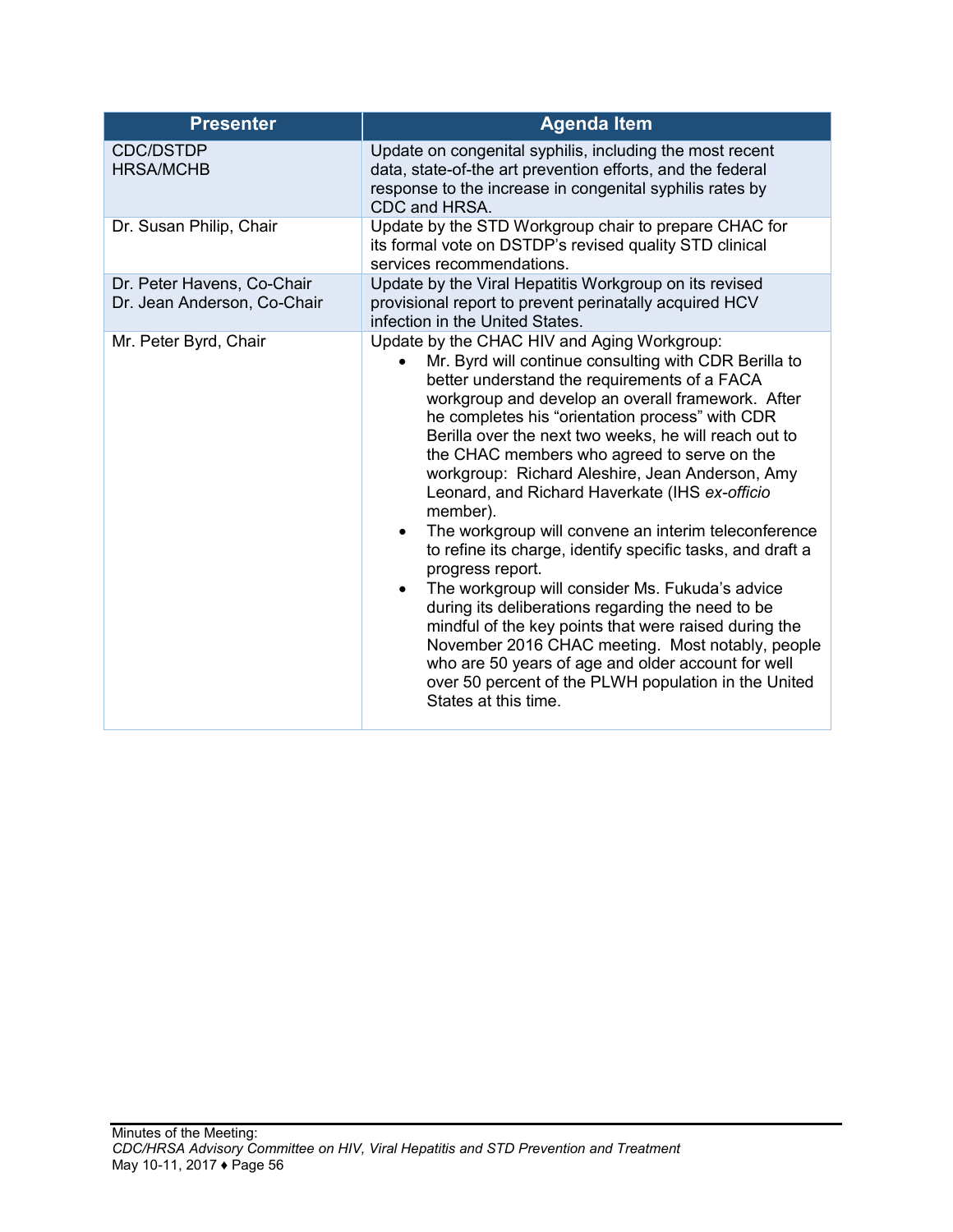| <b>Presenter</b>                                          | <b>Agenda Item</b>                                                                                                                                                                                                                                                                                                                                                                                                                                                                                                                                                                                                                                                                                                                                                                                                                                                                                                                                                                         |
|-----------------------------------------------------------|--------------------------------------------------------------------------------------------------------------------------------------------------------------------------------------------------------------------------------------------------------------------------------------------------------------------------------------------------------------------------------------------------------------------------------------------------------------------------------------------------------------------------------------------------------------------------------------------------------------------------------------------------------------------------------------------------------------------------------------------------------------------------------------------------------------------------------------------------------------------------------------------------------------------------------------------------------------------------------------------|
| <b>CDC/DSTDP</b><br><b>HRSA/MCHB</b>                      | Update on congenital syphilis, including the most recent<br>data, state-of-the art prevention efforts, and the federal<br>response to the increase in congenital syphilis rates by<br>CDC and HRSA.                                                                                                                                                                                                                                                                                                                                                                                                                                                                                                                                                                                                                                                                                                                                                                                        |
| Dr. Susan Philip, Chair                                   | Update by the STD Workgroup chair to prepare CHAC for<br>its formal vote on DSTDP's revised quality STD clinical<br>services recommendations.                                                                                                                                                                                                                                                                                                                                                                                                                                                                                                                                                                                                                                                                                                                                                                                                                                              |
| Dr. Peter Havens, Co-Chair<br>Dr. Jean Anderson, Co-Chair | Update by the Viral Hepatitis Workgroup on its revised<br>provisional report to prevent perinatally acquired HCV<br>infection in the United States.                                                                                                                                                                                                                                                                                                                                                                                                                                                                                                                                                                                                                                                                                                                                                                                                                                        |
| Mr. Peter Byrd, Chair                                     | Update by the CHAC HIV and Aging Workgroup:<br>Mr. Byrd will continue consulting with CDR Berilla to<br>better understand the requirements of a FACA<br>workgroup and develop an overall framework. After<br>he completes his "orientation process" with CDR<br>Berilla over the next two weeks, he will reach out to<br>the CHAC members who agreed to serve on the<br>workgroup: Richard Aleshire, Jean Anderson, Amy<br>Leonard, and Richard Haverkate (IHS ex-officio<br>member).<br>The workgroup will convene an interim teleconference<br>to refine its charge, identify specific tasks, and draft a<br>progress report.<br>The workgroup will consider Ms. Fukuda's advice<br>during its deliberations regarding the need to be<br>mindful of the key points that were raised during the<br>November 2016 CHAC meeting. Most notably, people<br>who are 50 years of age and older account for well<br>over 50 percent of the PLWH population in the United<br>States at this time. |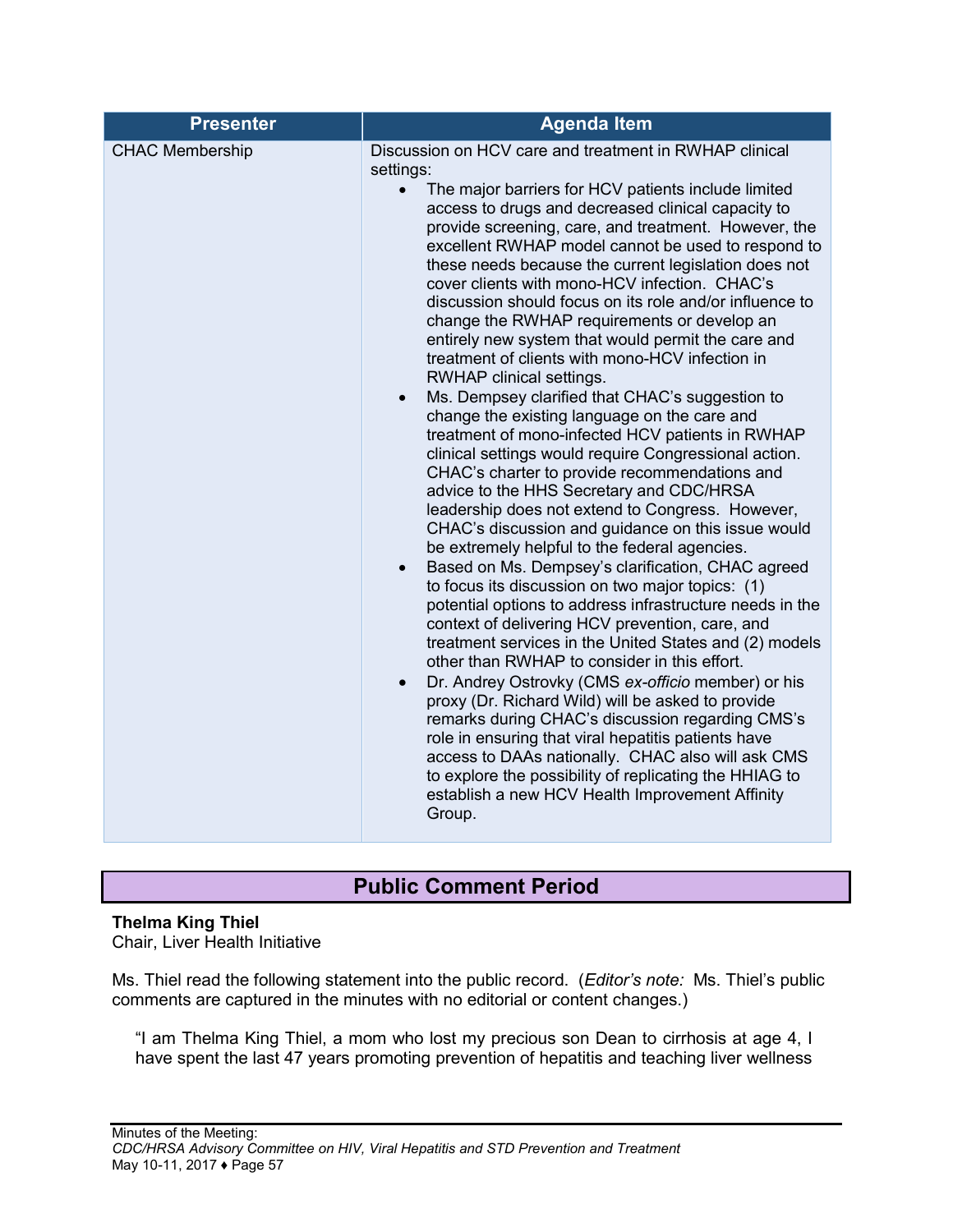## **Public Comment Period**

## <span id="page-58-0"></span>**Thelma King Thiel**

Chair, Liver Health Initiative

Ms. Thiel read the following statement into the public record. (*Editor's note:* Ms. Thiel's public comments are captured in the minutes with no editorial or content changes.)

"I am Thelma King Thiel, a mom who lost my precious son Dean to cirrhosis at age 4, I have spent the last 47 years promoting prevention of hepatitis and teaching liver wellness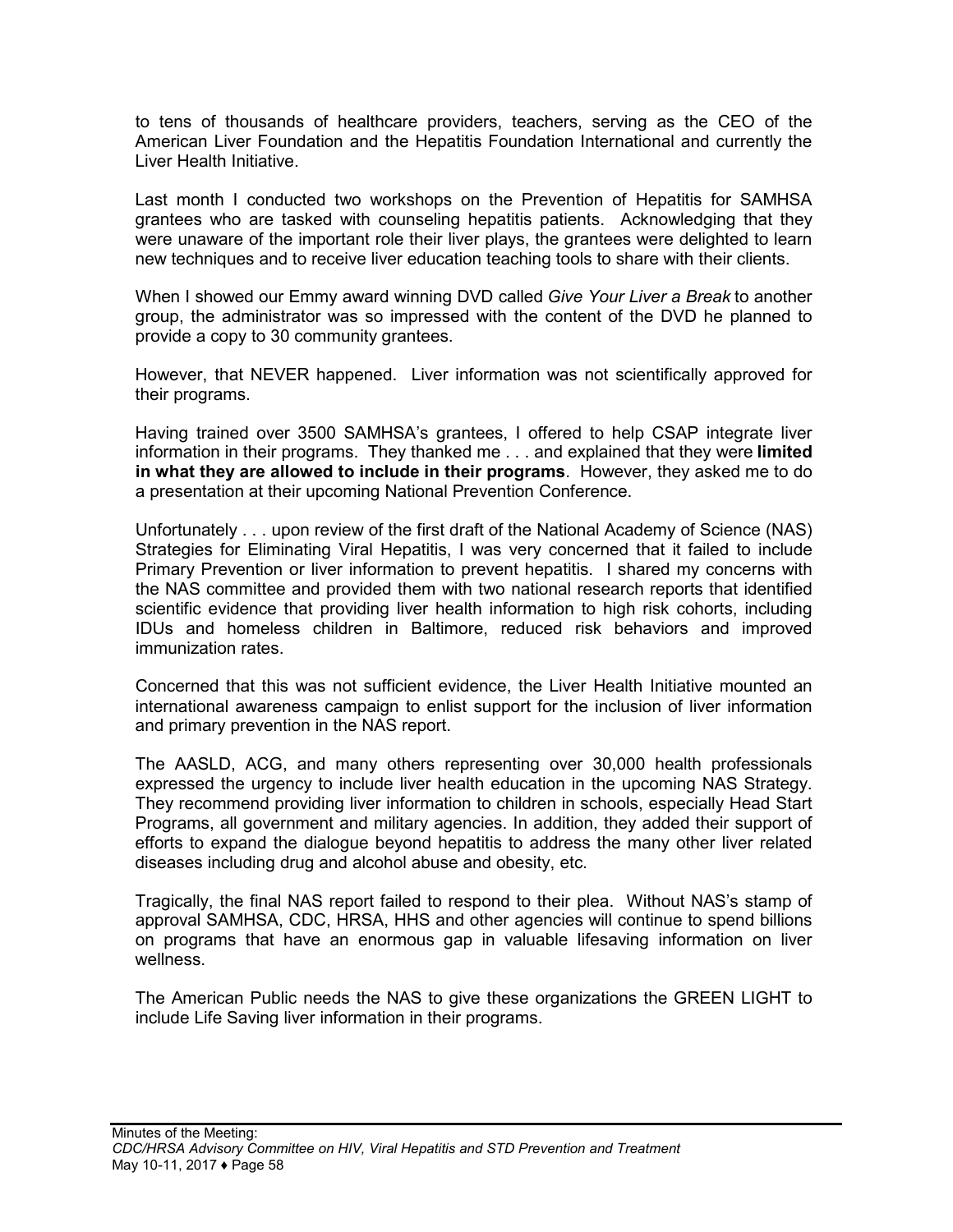to tens of thousands of healthcare providers, teachers, serving as the CEO of the American Liver Foundation and the Hepatitis Foundation International and currently the Liver Health Initiative.

Last month I conducted two workshops on the Prevention of Hepatitis for SAMHSA grantees who are tasked with counseling hepatitis patients. Acknowledging that they were unaware of the important role their liver plays, the grantees were delighted to learn new techniques and to receive liver education teaching tools to share with their clients.

When I showed our Emmy award winning DVD called *Give Your Liver a Break* to another group, the administrator was so impressed with the content of the DVD he planned to provide a copy to 30 community grantees.

However, that NEVER happened. Liver information was not scientifically approved for their programs.

Having trained over 3500 SAMHSA's grantees, I offered to help CSAP integrate liver information in their programs. They thanked me . . . and explained that they were **limited in what they are allowed to include in their programs**. However, they asked me to do a presentation at their upcoming National Prevention Conference.

Unfortunately . . . upon review of the first draft of the National Academy of Science (NAS) Strategies for Eliminating Viral Hepatitis, I was very concerned that it failed to include Primary Prevention or liver information to prevent hepatitis. I shared my concerns with the NAS committee and provided them with two national research reports that identified scientific evidence that providing liver health information to high risk cohorts, including IDUs and homeless children in Baltimore, reduced risk behaviors and improved immunization rates.

Concerned that this was not sufficient evidence, the Liver Health Initiative mounted an international awareness campaign to enlist support for the inclusion of liver information and primary prevention in the NAS report.

The AASLD, ACG, and many others representing over 30,000 health professionals expressed the urgency to include liver health education in the upcoming NAS Strategy. They recommend providing liver information to children in schools, especially Head Start Programs, all government and military agencies. In addition, they added their support of efforts to expand the dialogue beyond hepatitis to address the many other liver related diseases including drug and alcohol abuse and obesity, etc.

Tragically, the final NAS report failed to respond to their plea. Without NAS's stamp of approval SAMHSA, CDC, HRSA, HHS and other agencies will continue to spend billions on programs that have an enormous gap in valuable lifesaving information on liver wellness.

The American Public needs the NAS to give these organizations the GREEN LIGHT to include Life Saving liver information in their programs.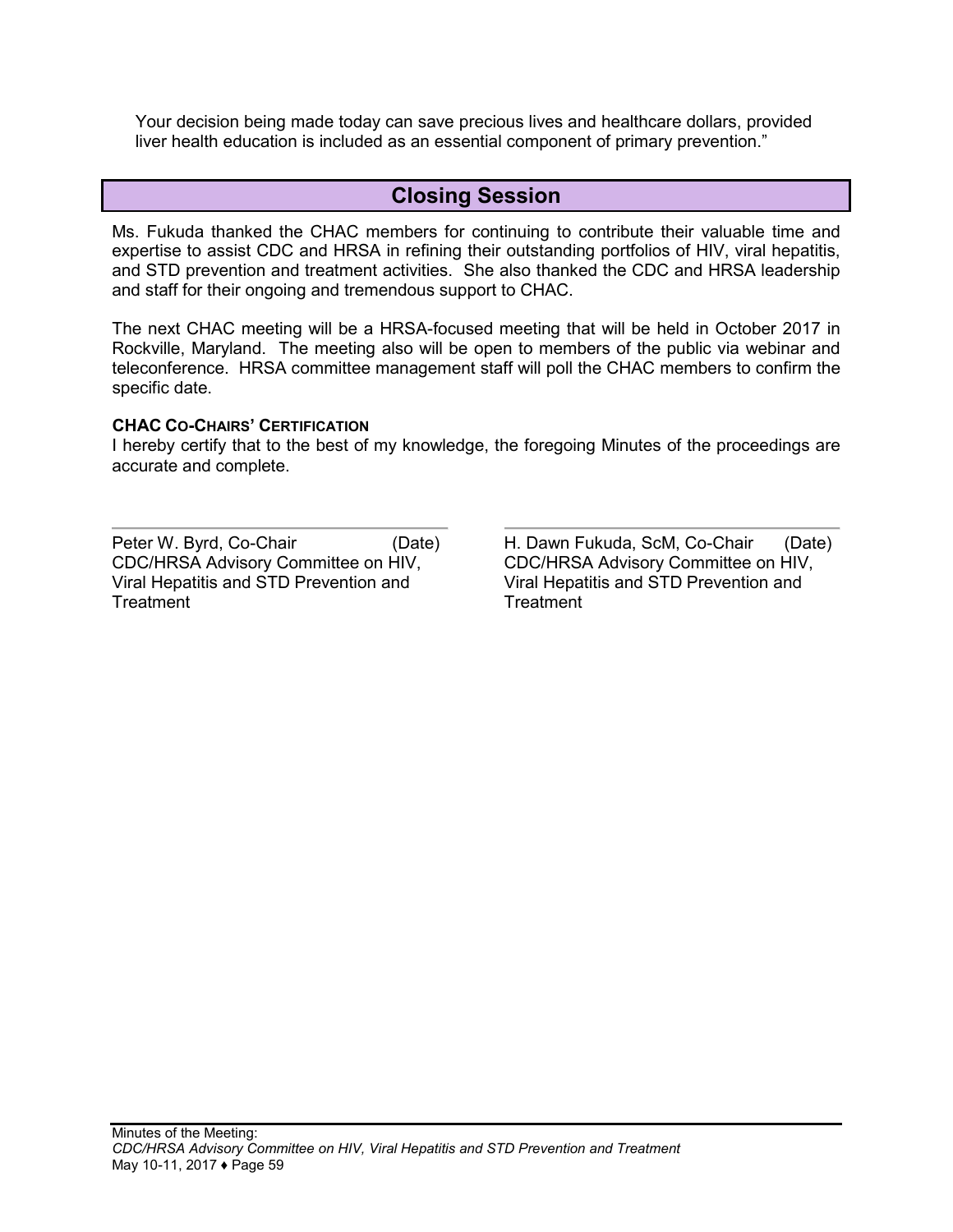Your decision being made today can save precious lives and healthcare dollars, provided liver health education is included as an essential component of primary prevention."

## **Closing Session**

<span id="page-60-0"></span>Ms. Fukuda thanked the CHAC members for continuing to contribute their valuable time and expertise to assist CDC and HRSA in refining their outstanding portfolios of HIV, viral hepatitis, and STD prevention and treatment activities. She also thanked the CDC and HRSA leadership and staff for their ongoing and tremendous support to CHAC.

The next CHAC meeting will be a HRSA-focused meeting that will be held in October 2017 in Rockville, Maryland. The meeting also will be open to members of the public via webinar and teleconference. HRSA committee management staff will poll the CHAC members to confirm the specific date.

#### **CHAC CO-CHAIRS' CERTIFICATION**

I hereby certify that to the best of my knowledge, the foregoing Minutes of the proceedings are accurate and complete.

Peter W. Byrd, Co-Chair (Date) CDC/HRSA Advisory Committee on HIV, Viral Hepatitis and STD Prevention and **Treatment** 

H. Dawn Fukuda, ScM, Co-Chair (Date) CDC/HRSA Advisory Committee on HIV, Viral Hepatitis and STD Prevention and **Treatment**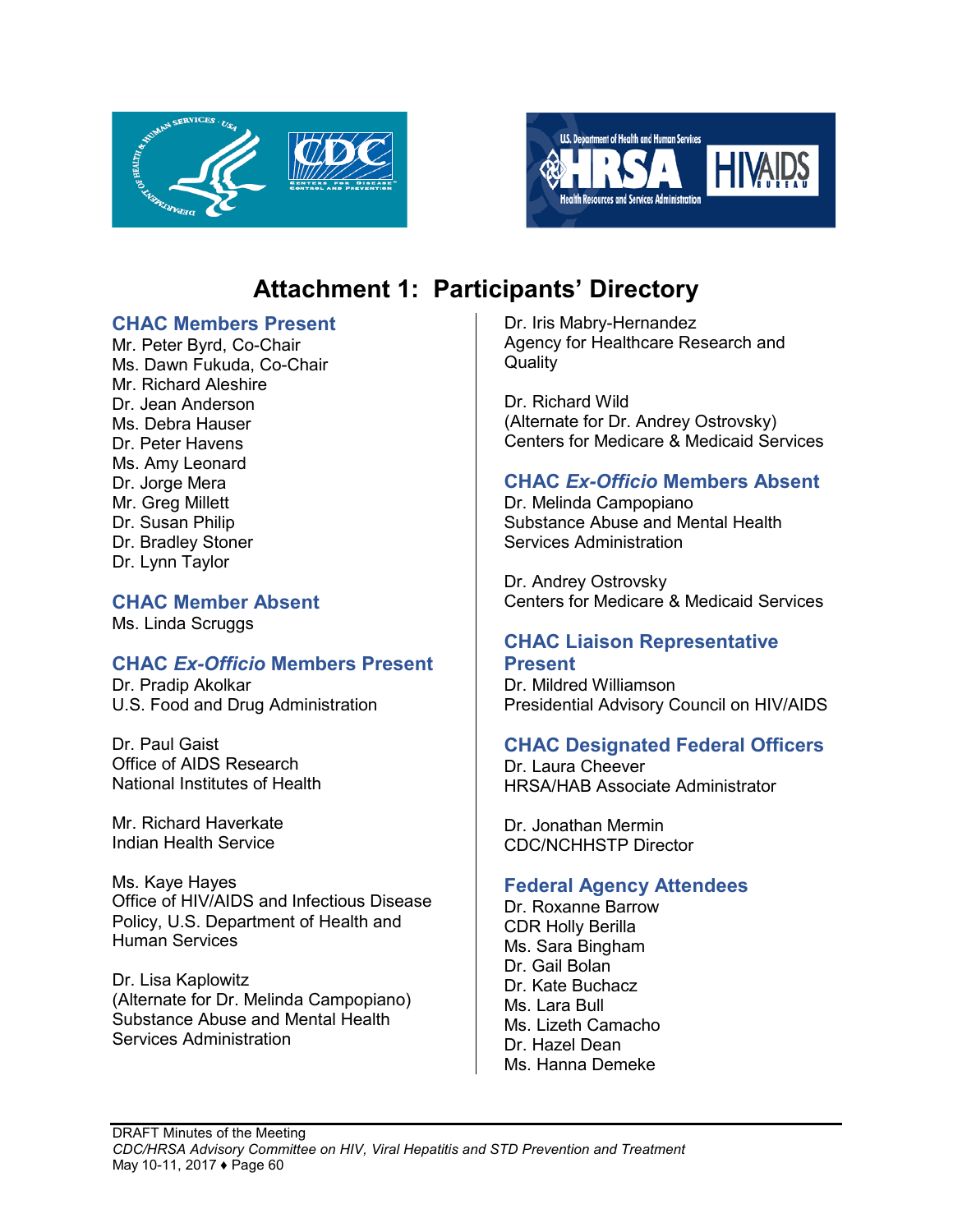



# **Attachment 1: Participants' Directory**

### <span id="page-61-0"></span>**CHAC Members Present**

Mr. Peter Byrd, Co-Chair Ms. Dawn Fukuda, Co-Chair Mr. Richard Aleshire Dr. Jean Anderson Ms. Debra Hauser Dr. Peter Havens Ms. Amy Leonard Dr. Jorge Mera Mr. Greg Millett Dr. Susan Philip Dr. Bradley Stoner Dr. Lynn Taylor

## **CHAC Member Absent**

Ms. Linda Scruggs

## **CHAC** *Ex-Officio* **Members Present**

Dr. Pradip Akolkar U.S. Food and Drug Administration

Dr. Paul Gaist Office of AIDS Research National Institutes of Health

Mr. Richard Haverkate Indian Health Service

Ms. Kaye Hayes Office of HIV/AIDS and Infectious Disease Policy, U.S. Department of Health and Human Services

Dr. Lisa Kaplowitz (Alternate for Dr. Melinda Campopiano) Substance Abuse and Mental Health Services Administration

Dr. Iris Mabry-Hernandez Agency for Healthcare Research and **Quality** 

Dr. Richard Wild (Alternate for Dr. Andrey Ostrovsky) Centers for Medicare & Medicaid Services

## **CHAC** *Ex-Officio* **Members Absent**

Dr. Melinda Campopiano Substance Abuse and Mental Health Services Administration

Dr. Andrey Ostrovsky Centers for Medicare & Medicaid Services

### **CHAC Liaison Representative Present**

Dr. Mildred Williamson Presidential Advisory Council on HIV/AIDS

## **CHAC Designated Federal Officers**

Dr. Laura Cheever HRSA/HAB Associate Administrator

Dr. Jonathan Mermin CDC/NCHHSTP Director

## **Federal Agency Attendees**

Dr. Roxanne Barrow CDR Holly Berilla Ms. Sara Bingham Dr. Gail Bolan Dr. Kate Buchacz Ms. Lara Bull Ms. Lizeth Camacho Dr. Hazel Dean Ms. Hanna Demeke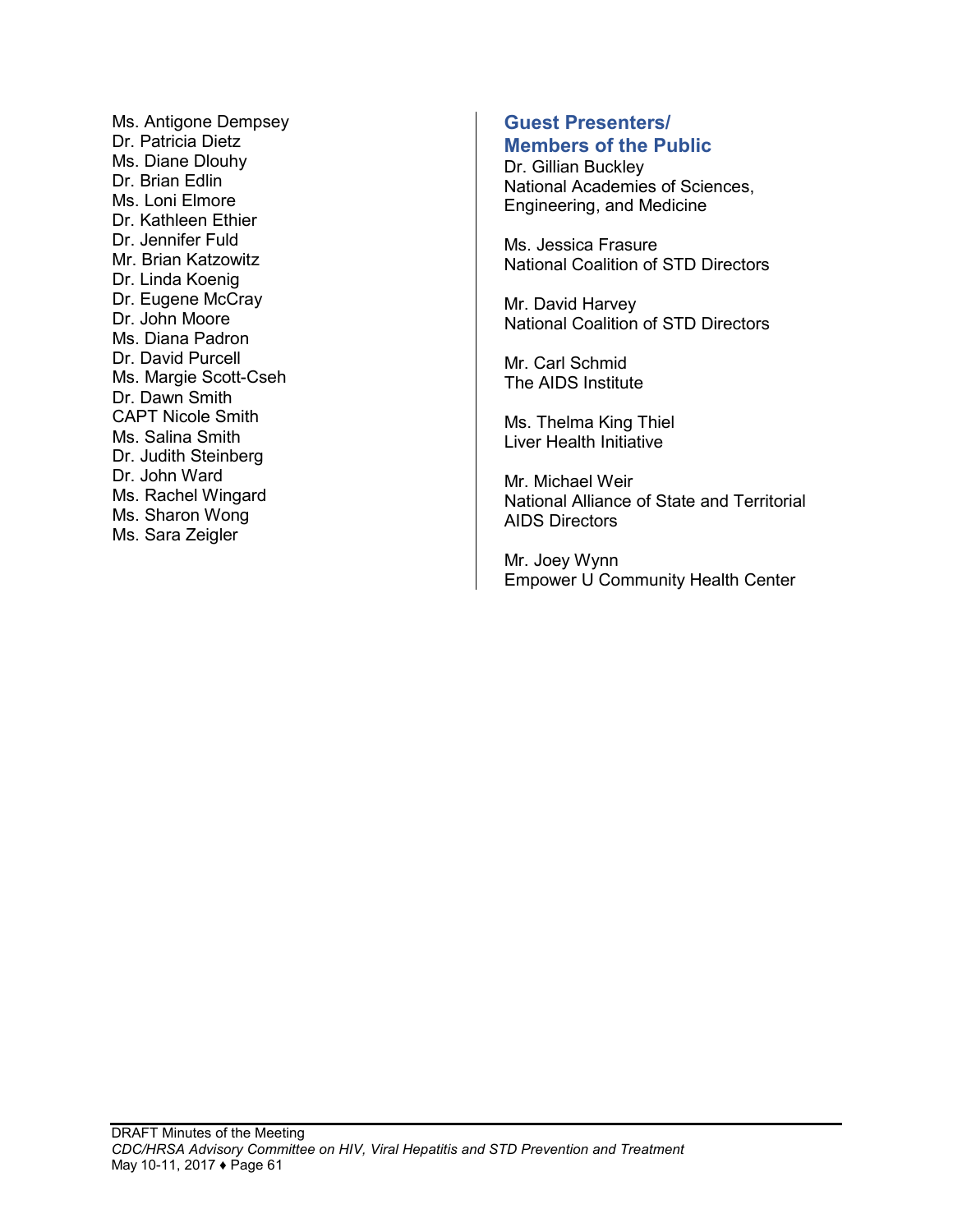Ms. Antigone Dempsey Dr. Patricia Dietz Ms. Diane Dlouhy Dr. Brian Edlin Ms. Loni Elmore Dr. Kathleen Ethier Dr. Jennifer Fuld Mr. Brian Katzowitz Dr. Linda Koenig Dr. Eugene McCray Dr. John Moore Ms. Diana Padron Dr. David Purcell Ms. Margie Scott-Cseh Dr. Dawn Smith CAPT Nicole Smith Ms. Salina Smith Dr. Judith Steinberg Dr. John Ward Ms. Rachel Wingard Ms. Sharon Wong Ms. Sara Zeigler

#### **Guest Presenters/ Members of the Public**

Dr. Gillian Buckley National Academies of Sciences, Engineering, and Medicine

Ms. Jessica Frasure National Coalition of STD Directors

Mr. David Harvey National Coalition of STD Directors

Mr. Carl Schmid The AIDS Institute

Ms. Thelma King Thiel Liver Health Initiative

Mr. Michael Weir National Alliance of State and Territorial AIDS Directors

Mr. Joey Wynn Empower U Community Health Center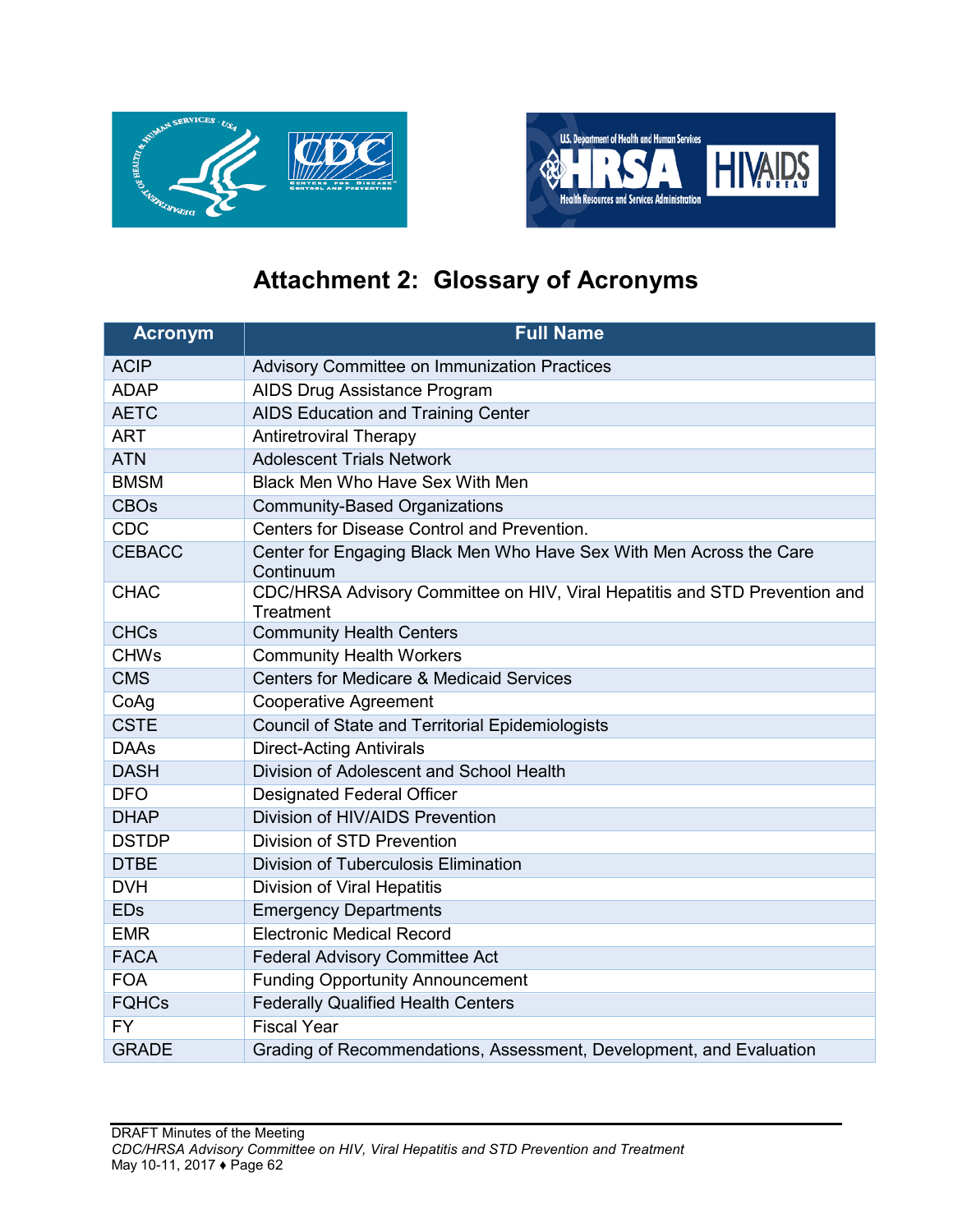



# **Attachment 2: Glossary of Acronyms**

<span id="page-63-0"></span>

| <b>Acronym</b> | <b>Full Name</b>                                                                        |
|----------------|-----------------------------------------------------------------------------------------|
| <b>ACIP</b>    | Advisory Committee on Immunization Practices                                            |
| <b>ADAP</b>    | AIDS Drug Assistance Program                                                            |
| <b>AETC</b>    | AIDS Education and Training Center                                                      |
| <b>ART</b>     | <b>Antiretroviral Therapy</b>                                                           |
| <b>ATN</b>     | <b>Adolescent Trials Network</b>                                                        |
| <b>BMSM</b>    | Black Men Who Have Sex With Men                                                         |
| <b>CBOs</b>    | <b>Community-Based Organizations</b>                                                    |
| <b>CDC</b>     | Centers for Disease Control and Prevention.                                             |
| <b>CEBACC</b>  | Center for Engaging Black Men Who Have Sex With Men Across the Care<br>Continuum        |
| <b>CHAC</b>    | CDC/HRSA Advisory Committee on HIV, Viral Hepatitis and STD Prevention and<br>Treatment |
| <b>CHCs</b>    | <b>Community Health Centers</b>                                                         |
| <b>CHWs</b>    | <b>Community Health Workers</b>                                                         |
| <b>CMS</b>     | <b>Centers for Medicare &amp; Medicaid Services</b>                                     |
| CoAg           | <b>Cooperative Agreement</b>                                                            |
| <b>CSTE</b>    | Council of State and Territorial Epidemiologists                                        |
| <b>DAAs</b>    | <b>Direct-Acting Antivirals</b>                                                         |
| <b>DASH</b>    | Division of Adolescent and School Health                                                |
| <b>DFO</b>     | <b>Designated Federal Officer</b>                                                       |
| <b>DHAP</b>    | Division of HIV/AIDS Prevention                                                         |
| <b>DSTDP</b>   | Division of STD Prevention                                                              |
| <b>DTBE</b>    | Division of Tuberculosis Elimination                                                    |
| <b>DVH</b>     | Division of Viral Hepatitis                                                             |
| <b>EDs</b>     | <b>Emergency Departments</b>                                                            |
| <b>EMR</b>     | <b>Electronic Medical Record</b>                                                        |
| <b>FACA</b>    | <b>Federal Advisory Committee Act</b>                                                   |
| <b>FOA</b>     | <b>Funding Opportunity Announcement</b>                                                 |
| <b>FQHCs</b>   | <b>Federally Qualified Health Centers</b>                                               |
| <b>FY</b>      | <b>Fiscal Year</b>                                                                      |
| <b>GRADE</b>   | Grading of Recommendations, Assessment, Development, and Evaluation                     |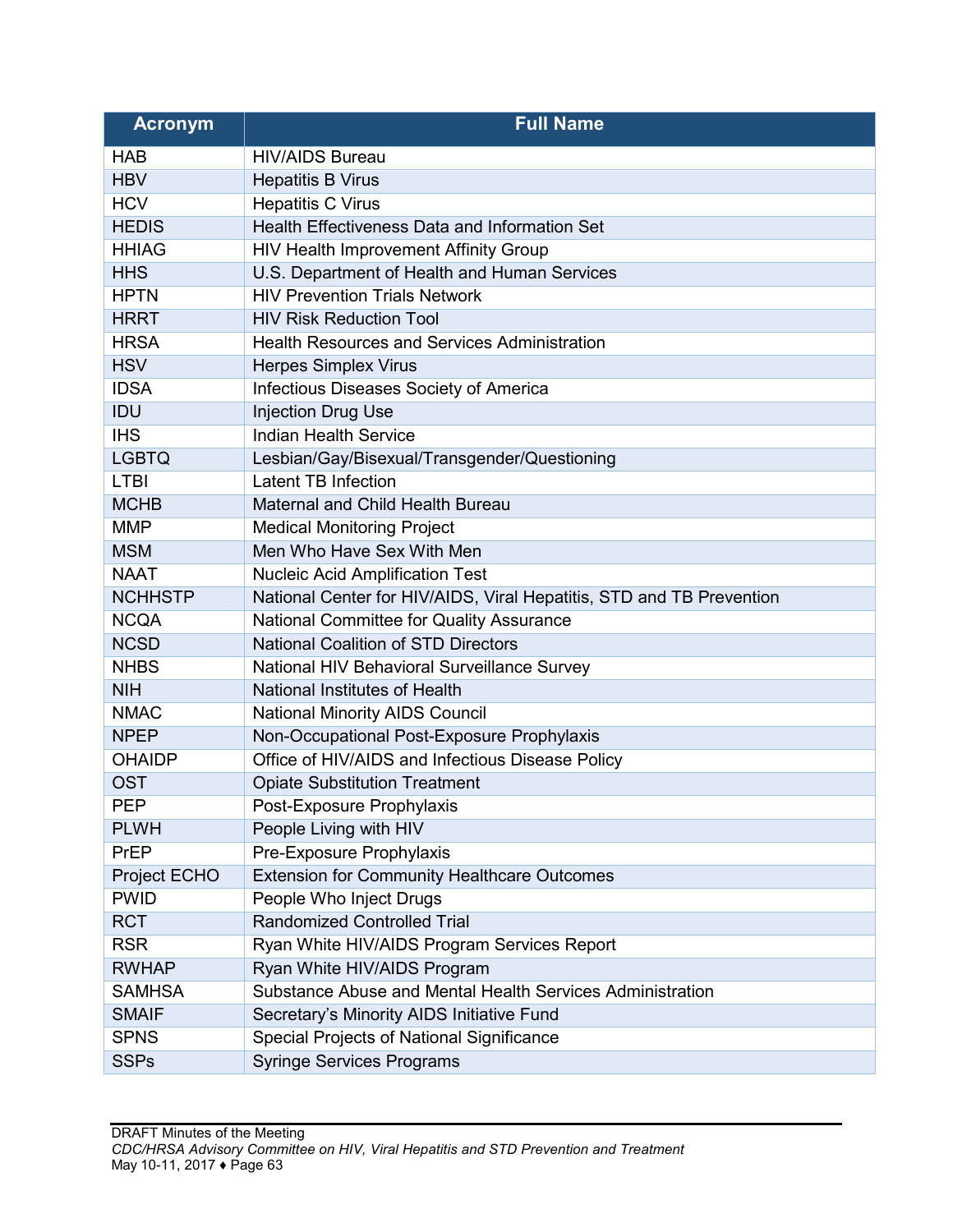| <b>Acronym</b> | <b>Full Name</b>                                                     |
|----------------|----------------------------------------------------------------------|
| <b>HAB</b>     | <b>HIV/AIDS Bureau</b>                                               |
| <b>HBV</b>     | <b>Hepatitis B Virus</b>                                             |
| <b>HCV</b>     | <b>Hepatitis C Virus</b>                                             |
| <b>HEDIS</b>   | Health Effectiveness Data and Information Set                        |
| <b>HHIAG</b>   | HIV Health Improvement Affinity Group                                |
| <b>HHS</b>     | U.S. Department of Health and Human Services                         |
| <b>HPTN</b>    | <b>HIV Prevention Trials Network</b>                                 |
| <b>HRRT</b>    | <b>HIV Risk Reduction Tool</b>                                       |
| <b>HRSA</b>    | <b>Health Resources and Services Administration</b>                  |
| <b>HSV</b>     | <b>Herpes Simplex Virus</b>                                          |
| <b>IDSA</b>    | Infectious Diseases Society of America                               |
| IDU            | <b>Injection Drug Use</b>                                            |
| <b>IHS</b>     | <b>Indian Health Service</b>                                         |
| <b>LGBTQ</b>   | Lesbian/Gay/Bisexual/Transgender/Questioning                         |
| <b>LTBI</b>    | <b>Latent TB Infection</b>                                           |
| <b>MCHB</b>    | Maternal and Child Health Bureau                                     |
| <b>MMP</b>     | <b>Medical Monitoring Project</b>                                    |
| <b>MSM</b>     | Men Who Have Sex With Men                                            |
| <b>NAAT</b>    | <b>Nucleic Acid Amplification Test</b>                               |
| <b>NCHHSTP</b> | National Center for HIV/AIDS, Viral Hepatitis, STD and TB Prevention |
| <b>NCQA</b>    | National Committee for Quality Assurance                             |
| <b>NCSD</b>    | <b>National Coalition of STD Directors</b>                           |
| <b>NHBS</b>    | National HIV Behavioral Surveillance Survey                          |
| <b>NIH</b>     | National Institutes of Health                                        |
| <b>NMAC</b>    | <b>National Minority AIDS Council</b>                                |
| <b>NPEP</b>    | Non-Occupational Post-Exposure Prophylaxis                           |
| <b>OHAIDP</b>  | Office of HIV/AIDS and Infectious Disease Policy                     |
| <b>OST</b>     | <b>Opiate Substitution Treatment</b>                                 |
| PEP            | Post-Exposure Prophylaxis                                            |
| <b>PLWH</b>    | People Living with HIV                                               |
| <b>PrEP</b>    | Pre-Exposure Prophylaxis                                             |
| Project ECHO   | <b>Extension for Community Healthcare Outcomes</b>                   |
| <b>PWID</b>    | People Who Inject Drugs                                              |
| <b>RCT</b>     | <b>Randomized Controlled Trial</b>                                   |
| <b>RSR</b>     | Ryan White HIV/AIDS Program Services Report                          |
| <b>RWHAP</b>   | Ryan White HIV/AIDS Program                                          |
| <b>SAMHSA</b>  | Substance Abuse and Mental Health Services Administration            |
| <b>SMAIF</b>   | Secretary's Minority AIDS Initiative Fund                            |
| <b>SPNS</b>    | Special Projects of National Significance                            |
| <b>SSPs</b>    | <b>Syringe Services Programs</b>                                     |